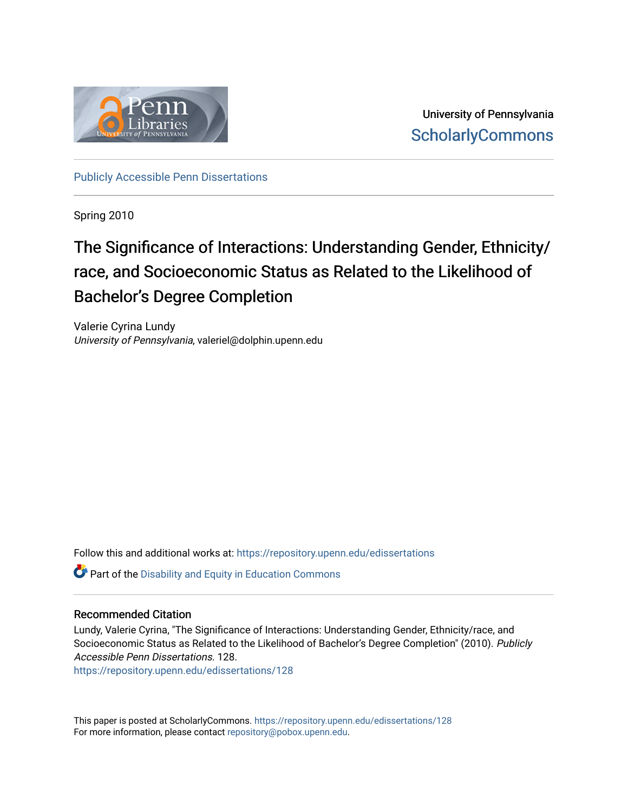

University of Pennsylvania **ScholarlyCommons** 

[Publicly Accessible Penn Dissertations](https://repository.upenn.edu/edissertations)

Spring 2010

## The Significance of Interactions: Understanding Gender, Ethnicity/ race, and Socioeconomic Status as Related to the Likelihood of Bachelor's Degree Completion

Valerie Cyrina Lundy University of Pennsylvania, valeriel@dolphin.upenn.edu

Follow this and additional works at: [https://repository.upenn.edu/edissertations](https://repository.upenn.edu/edissertations?utm_source=repository.upenn.edu%2Fedissertations%2F128&utm_medium=PDF&utm_campaign=PDFCoverPages) 

Part of the [Disability and Equity in Education Commons](http://network.bepress.com/hgg/discipline/1040?utm_source=repository.upenn.edu%2Fedissertations%2F128&utm_medium=PDF&utm_campaign=PDFCoverPages)

#### Recommended Citation

Lundy, Valerie Cyrina, "The Significance of Interactions: Understanding Gender, Ethnicity/race, and Socioeconomic Status as Related to the Likelihood of Bachelor's Degree Completion" (2010). Publicly Accessible Penn Dissertations. 128.

[https://repository.upenn.edu/edissertations/128](https://repository.upenn.edu/edissertations/128?utm_source=repository.upenn.edu%2Fedissertations%2F128&utm_medium=PDF&utm_campaign=PDFCoverPages) 

This paper is posted at ScholarlyCommons.<https://repository.upenn.edu/edissertations/128> For more information, please contact [repository@pobox.upenn.edu.](mailto:repository@pobox.upenn.edu)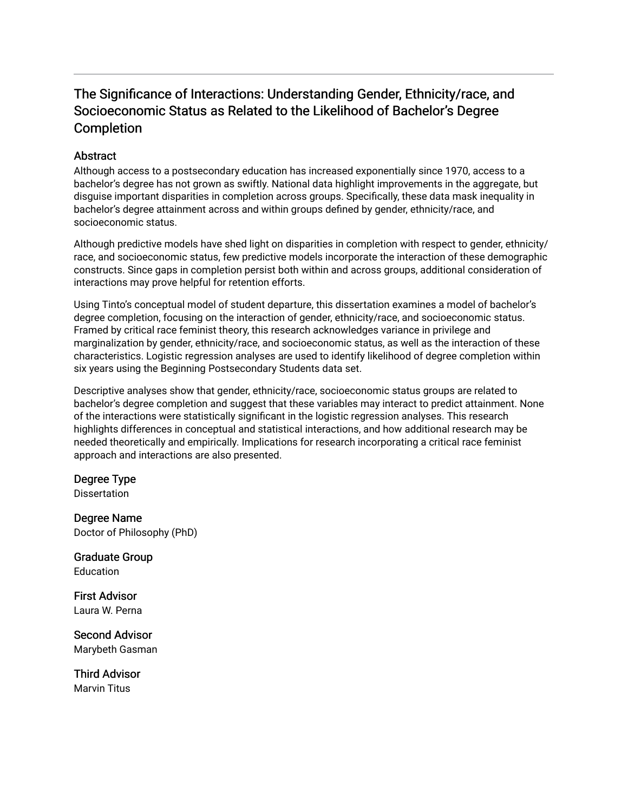## The Significance of Interactions: Understanding Gender, Ethnicity/race, and Socioeconomic Status as Related to the Likelihood of Bachelor's Degree Completion

#### **Abstract**

Although access to a postsecondary education has increased exponentially since 1970, access to a bachelor's degree has not grown as swiftly. National data highlight improvements in the aggregate, but disguise important disparities in completion across groups. Specifically, these data mask inequality in bachelor's degree attainment across and within groups defined by gender, ethnicity/race, and socioeconomic status.

Although predictive models have shed light on disparities in completion with respect to gender, ethnicity/ race, and socioeconomic status, few predictive models incorporate the interaction of these demographic constructs. Since gaps in completion persist both within and across groups, additional consideration of interactions may prove helpful for retention efforts.

Using Tinto's conceptual model of student departure, this dissertation examines a model of bachelor's degree completion, focusing on the interaction of gender, ethnicity/race, and socioeconomic status. Framed by critical race feminist theory, this research acknowledges variance in privilege and marginalization by gender, ethnicity/race, and socioeconomic status, as well as the interaction of these characteristics. Logistic regression analyses are used to identify likelihood of degree completion within six years using the Beginning Postsecondary Students data set.

Descriptive analyses show that gender, ethnicity/race, socioeconomic status groups are related to bachelor's degree completion and suggest that these variables may interact to predict attainment. None of the interactions were statistically significant in the logistic regression analyses. This research highlights differences in conceptual and statistical interactions, and how additional research may be needed theoretically and empirically. Implications for research incorporating a critical race feminist approach and interactions are also presented.

#### Degree Type

**Dissertation** 

Degree Name Doctor of Philosophy (PhD)

Graduate Group **Education** 

First Advisor Laura W. Perna

Second Advisor Marybeth Gasman

Third Advisor Marvin Titus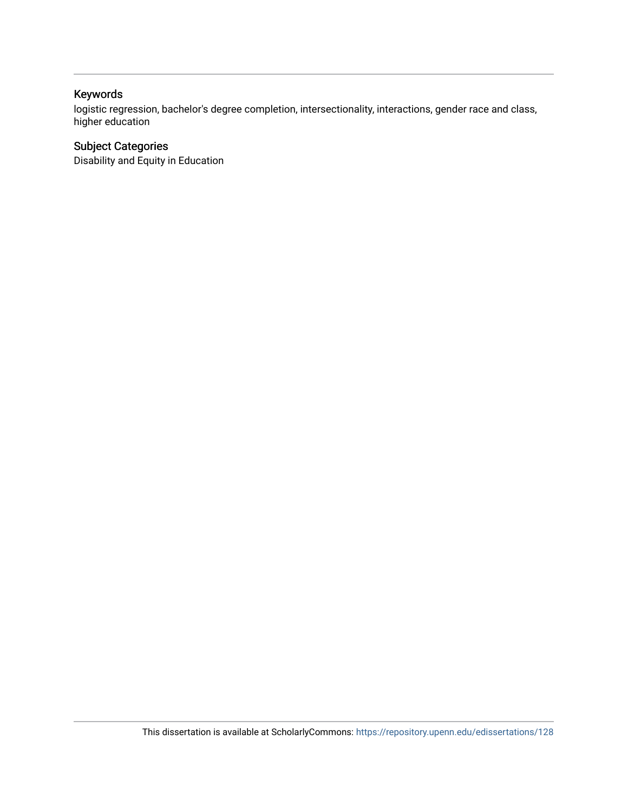## Keywords

logistic regression, bachelor's degree completion, intersectionality, interactions, gender race and class, higher education

### Subject Categories

Disability and Equity in Education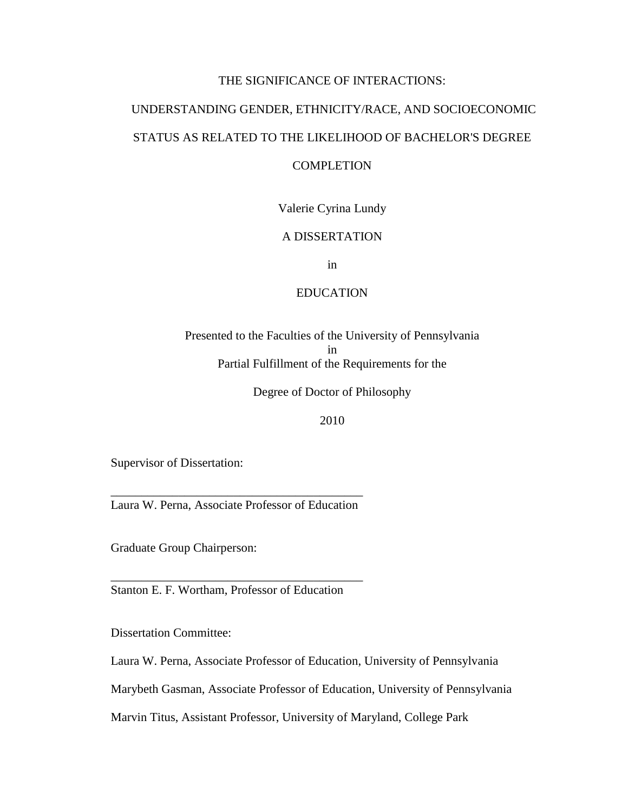#### THE SIGNIFICANCE OF INTERACTIONS:

# UNDERSTANDING GENDER, ETHNICITY/RACE, AND SOCIOECONOMIC STATUS AS RELATED TO THE LIKELIHOOD OF BACHELOR'S DEGREE

### COMPLETION

#### Valerie Cyrina Lundy

### A DISSERTATION

in

#### EDUCATION

Presented to the Faculties of the University of Pennsylvania in Partial Fulfillment of the Requirements for the

Degree of Doctor of Philosophy

#### 2010

Supervisor of Dissertation:

*\_\_\_\_\_\_\_\_\_\_\_\_\_\_\_\_\_\_\_\_\_\_\_\_\_\_\_\_\_\_\_\_\_\_\_\_\_\_\_\_\_*  Laura W. Perna, Associate Professor of Education

Graduate Group Chairperson:

Stanton E. F. Wortham, Professor of Education

*\_\_\_\_\_\_\_\_\_\_\_\_\_\_\_\_\_\_\_\_\_\_\_\_\_\_\_\_\_\_\_\_\_\_\_\_\_\_\_\_\_* 

Dissertation Committee:

Laura W. Perna, Associate Professor of Education, University of Pennsylvania

Marybeth Gasman, Associate Professor of Education, University of Pennsylvania

Marvin Titus, Assistant Professor, University of Maryland, College Park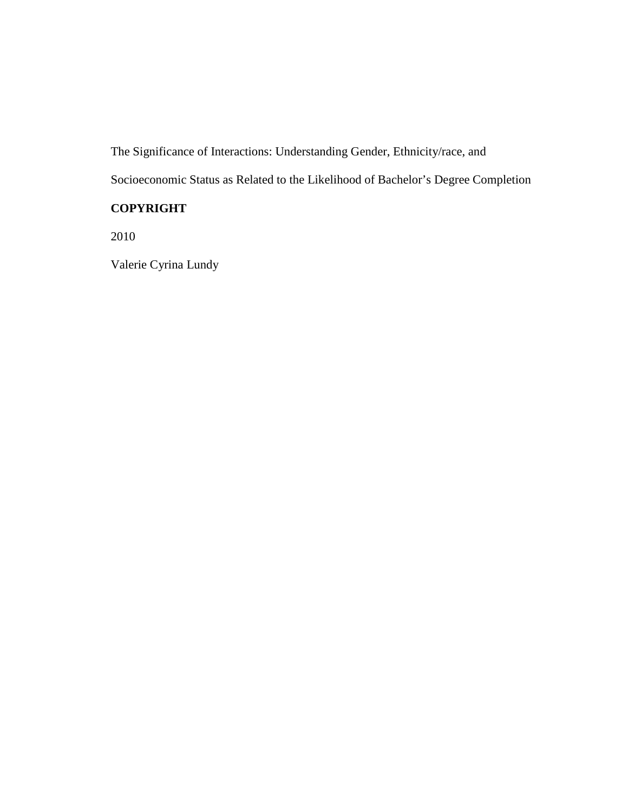The Significance of Interactions: Understanding Gender, Ethnicity/race, and

Socioeconomic Status as Related to the Likelihood of Bachelor's Degree Completion

## **COPYRIGHT**

2010

Valerie Cyrina Lundy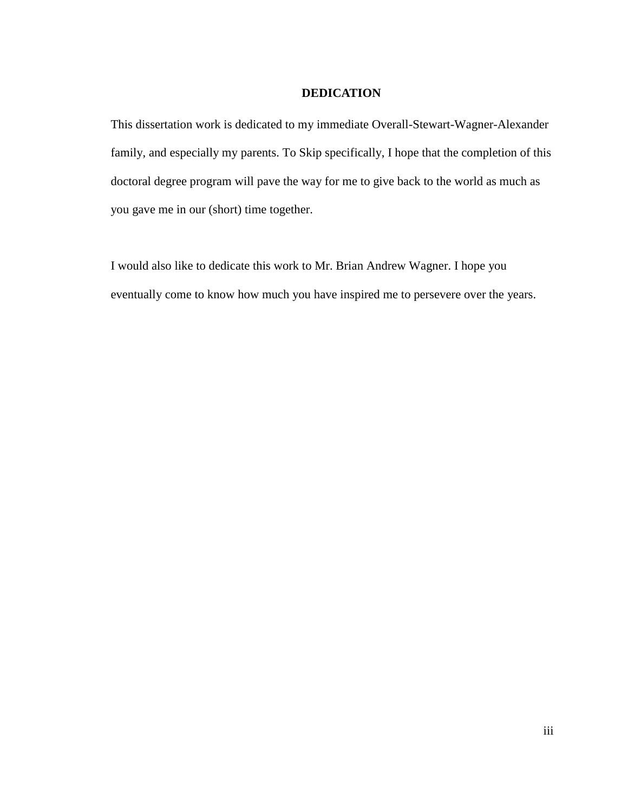#### **DEDICATION**

This dissertation work is dedicated to my immediate Overall-Stewart-Wagner-Alexander family, and especially my parents. To Skip specifically, I hope that the completion of this doctoral degree program will pave the way for me to give back to the world as much as you gave me in our (short) time together.

I would also like to dedicate this work to Mr. Brian Andrew Wagner. I hope you eventually come to know how much you have inspired me to persevere over the years.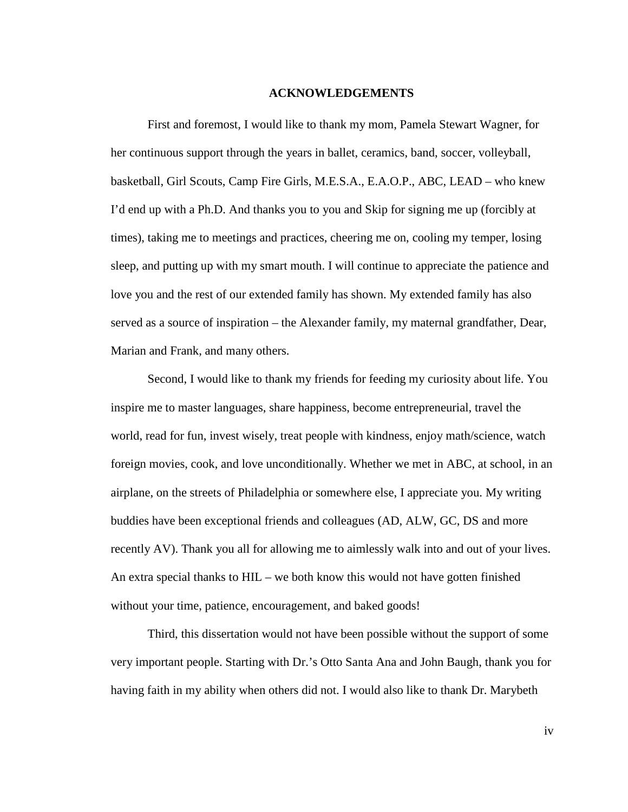#### **ACKNOWLEDGEMENTS**

First and foremost, I would like to thank my mom, Pamela Stewart Wagner, for her continuous support through the years in ballet, ceramics, band, soccer, volleyball, basketball, Girl Scouts, Camp Fire Girls, M.E.S.A., E.A.O.P., ABC, LEAD – who knew I'd end up with a Ph.D. And thanks you to you and Skip for signing me up (forcibly at times), taking me to meetings and practices, cheering me on, cooling my temper, losing sleep, and putting up with my smart mouth. I will continue to appreciate the patience and love you and the rest of our extended family has shown. My extended family has also served as a source of inspiration – the Alexander family, my maternal grandfather, Dear, Marian and Frank, and many others.

 Second, I would like to thank my friends for feeding my curiosity about life. You inspire me to master languages, share happiness, become entrepreneurial, travel the world, read for fun, invest wisely, treat people with kindness, enjoy math/science, watch foreign movies, cook, and love unconditionally. Whether we met in ABC, at school, in an airplane, on the streets of Philadelphia or somewhere else, I appreciate you. My writing buddies have been exceptional friends and colleagues (AD, ALW, GC, DS and more recently AV). Thank you all for allowing me to aimlessly walk into and out of your lives. An extra special thanks to HIL – we both know this would not have gotten finished without your time, patience, encouragement, and baked goods!

 Third, this dissertation would not have been possible without the support of some very important people. Starting with Dr.'s Otto Santa Ana and John Baugh, thank you for having faith in my ability when others did not. I would also like to thank Dr. Marybeth

iv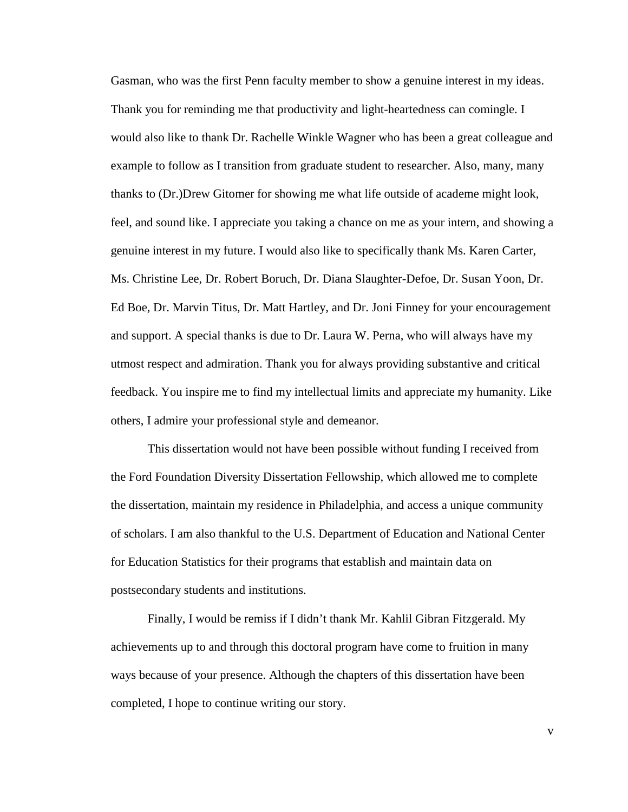Gasman, who was the first Penn faculty member to show a genuine interest in my ideas. Thank you for reminding me that productivity and light-heartedness can comingle. I would also like to thank Dr. Rachelle Winkle Wagner who has been a great colleague and example to follow as I transition from graduate student to researcher. Also, many, many thanks to (Dr.)Drew Gitomer for showing me what life outside of academe might look, feel, and sound like. I appreciate you taking a chance on me as your intern, and showing a genuine interest in my future. I would also like to specifically thank Ms. Karen Carter, Ms. Christine Lee, Dr. Robert Boruch, Dr. Diana Slaughter-Defoe, Dr. Susan Yoon, Dr. Ed Boe, Dr. Marvin Titus, Dr. Matt Hartley, and Dr. Joni Finney for your encouragement and support. A special thanks is due to Dr. Laura W. Perna, who will always have my utmost respect and admiration. Thank you for always providing substantive and critical feedback. You inspire me to find my intellectual limits and appreciate my humanity. Like others, I admire your professional style and demeanor.

 This dissertation would not have been possible without funding I received from the Ford Foundation Diversity Dissertation Fellowship, which allowed me to complete the dissertation, maintain my residence in Philadelphia, and access a unique community of scholars. I am also thankful to the U.S. Department of Education and National Center for Education Statistics for their programs that establish and maintain data on postsecondary students and institutions.

 Finally, I would be remiss if I didn't thank Mr. Kahlil Gibran Fitzgerald. My achievements up to and through this doctoral program have come to fruition in many ways because of your presence. Although the chapters of this dissertation have been completed, I hope to continue writing our story.

v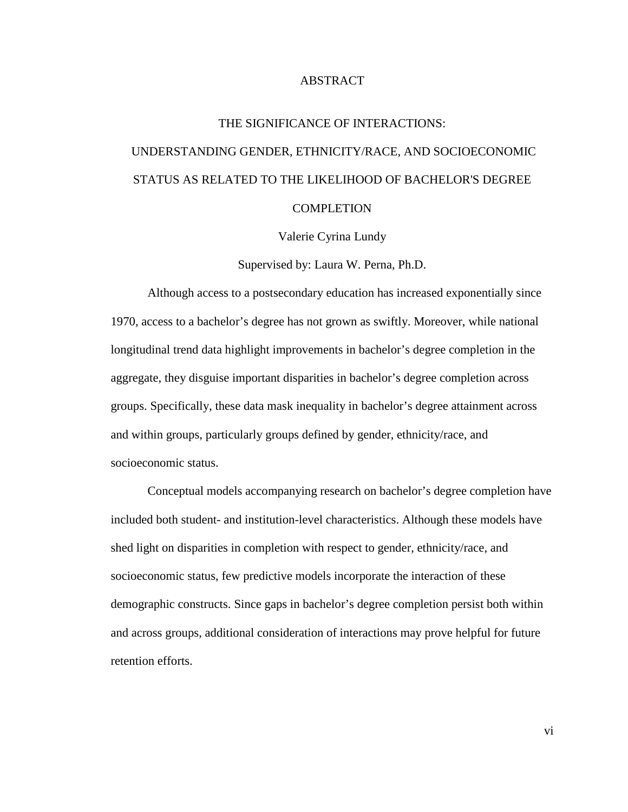#### ABSTRACT

## THE SIGNIFICANCE OF INTERACTIONS: UNDERSTANDING GENDER, ETHNICITY/RACE, AND SOCIOECONOMIC STATUS AS RELATED TO THE LIKELIHOOD OF BACHELOR'S DEGREE **COMPLETION**

Valerie Cyrina Lundy

Supervised by: Laura W. Perna, Ph.D.

Although access to a postsecondary education has increased exponentially since 1970, access to a bachelor's degree has not grown as swiftly. Moreover, while national longitudinal trend data highlight improvements in bachelor's degree completion in the aggregate, they disguise important disparities in bachelor's degree completion across groups. Specifically, these data mask inequality in bachelor's degree attainment across and within groups, particularly groups defined by gender, ethnicity/race, and socioeconomic status.

Conceptual models accompanying research on bachelor's degree completion have included both student- and institution-level characteristics. Although these models have shed light on disparities in completion with respect to gender, ethnicity/race, and socioeconomic status, few predictive models incorporate the interaction of these demographic constructs. Since gaps in bachelor's degree completion persist both within and across groups, additional consideration of interactions may prove helpful for future retention efforts.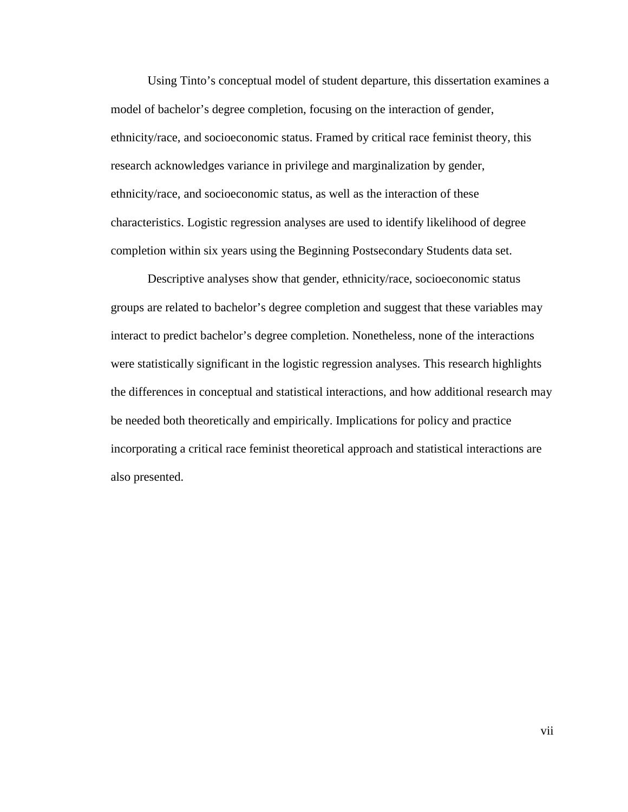Using Tinto's conceptual model of student departure, this dissertation examines a model of bachelor's degree completion, focusing on the interaction of gender, ethnicity/race, and socioeconomic status. Framed by critical race feminist theory, this research acknowledges variance in privilege and marginalization by gender, ethnicity/race, and socioeconomic status, as well as the interaction of these characteristics. Logistic regression analyses are used to identify likelihood of degree completion within six years using the Beginning Postsecondary Students data set.

Descriptive analyses show that gender, ethnicity/race, socioeconomic status groups are related to bachelor's degree completion and suggest that these variables may interact to predict bachelor's degree completion. Nonetheless, none of the interactions were statistically significant in the logistic regression analyses. This research highlights the differences in conceptual and statistical interactions, and how additional research may be needed both theoretically and empirically. Implications for policy and practice incorporating a critical race feminist theoretical approach and statistical interactions are also presented.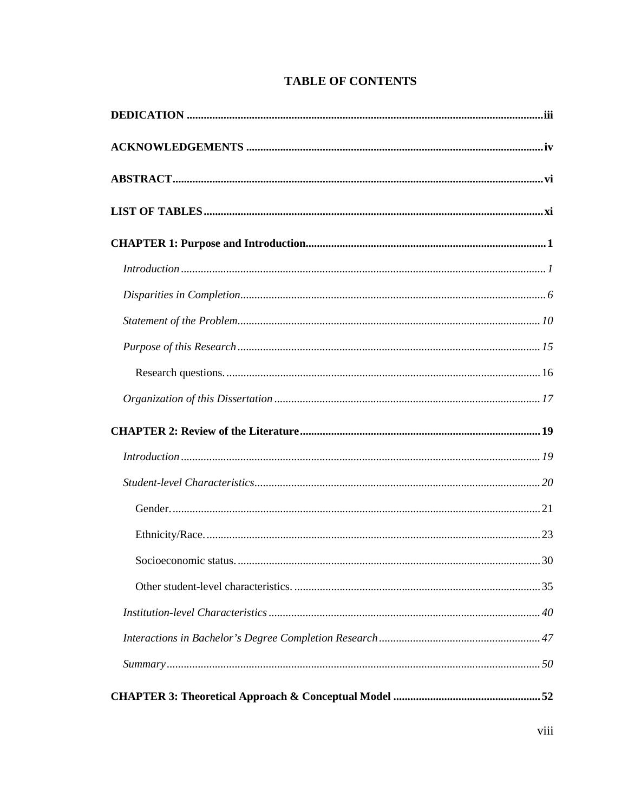## **TABLE OF CONTENTS**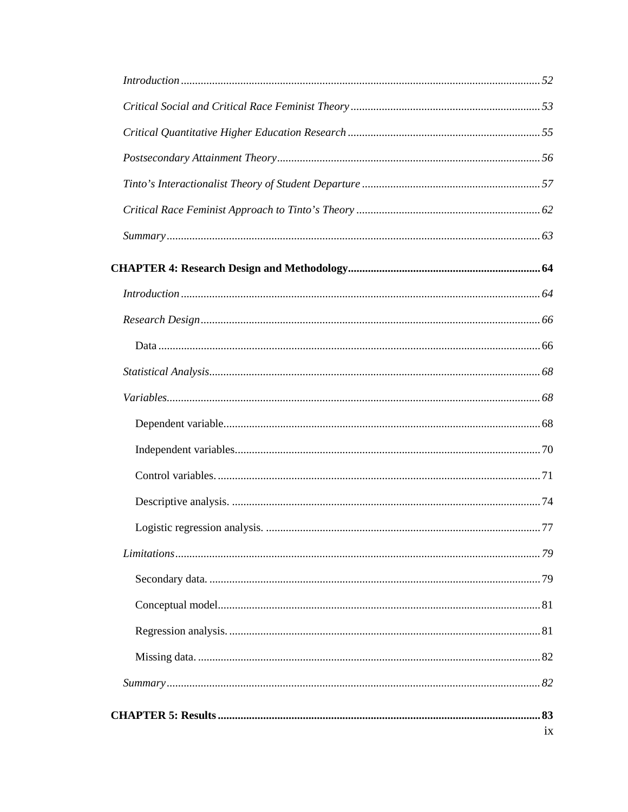| .77 |
|-----|
|     |
|     |
|     |
|     |
|     |
|     |
|     |
| ix  |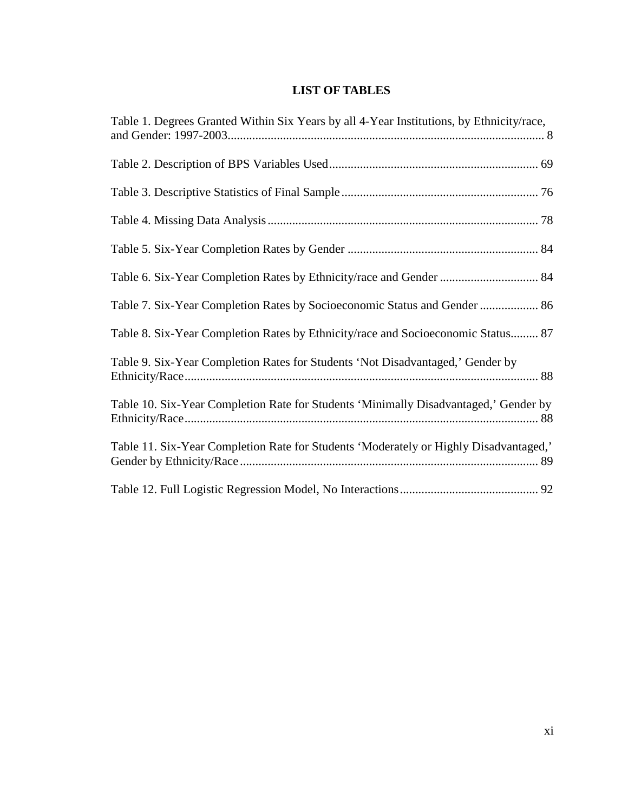## **LIST OF TABLES**

| Table 1. Degrees Granted Within Six Years by all 4-Year Institutions, by Ethnicity/race, |
|------------------------------------------------------------------------------------------|
|                                                                                          |
|                                                                                          |
|                                                                                          |
|                                                                                          |
|                                                                                          |
| Table 7. Six-Year Completion Rates by Socioeconomic Status and Gender  86                |
| Table 8. Six-Year Completion Rates by Ethnicity/race and Socioeconomic Status 87         |
| Table 9. Six-Year Completion Rates for Students 'Not Disadvantaged,' Gender by           |
| Table 10. Six-Year Completion Rate for Students 'Minimally Disadvantaged,' Gender by     |
| Table 11. Six-Year Completion Rate for Students 'Moderately or Highly Disadvantaged,'    |
|                                                                                          |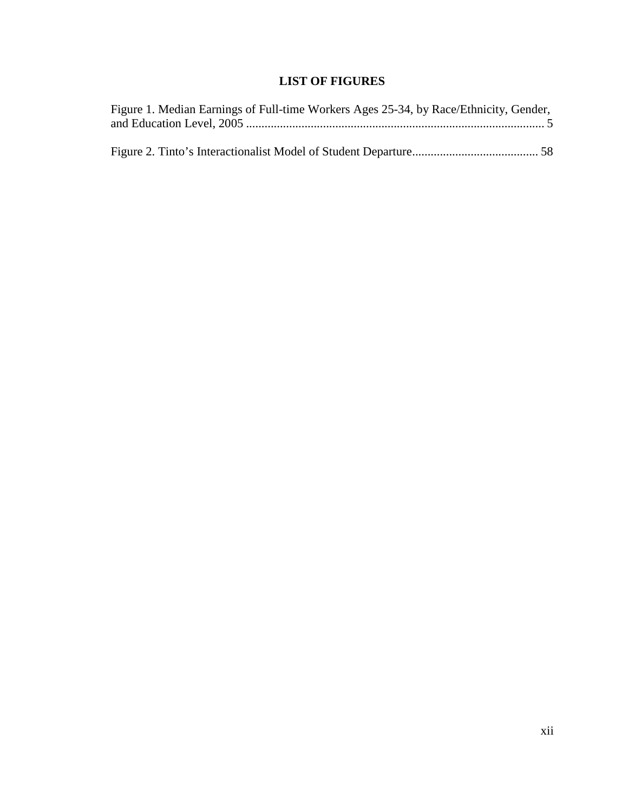## **LIST OF FIGURES**

| Figure 1. Median Earnings of Full-time Workers Ages 25-34, by Race/Ethnicity, Gender, |  |
|---------------------------------------------------------------------------------------|--|
|                                                                                       |  |
|                                                                                       |  |
|                                                                                       |  |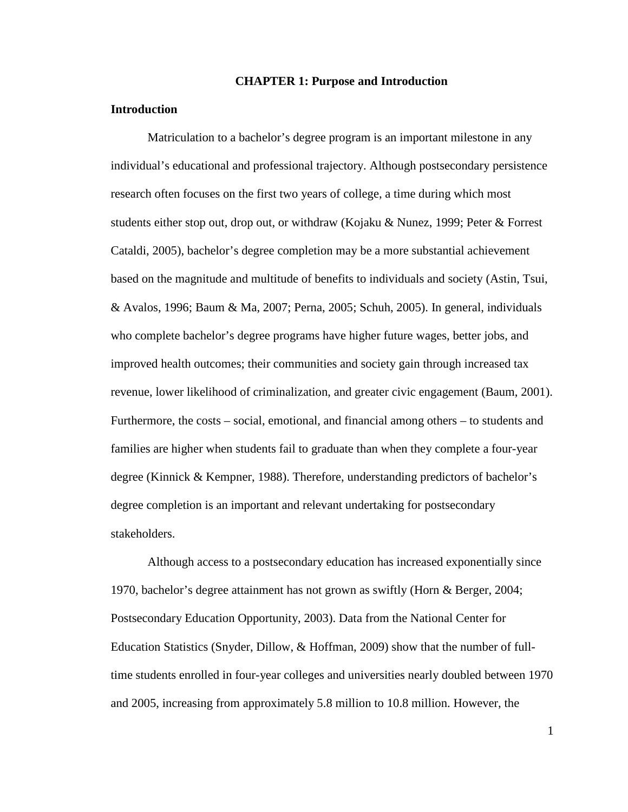#### **CHAPTER 1: Purpose and Introduction**

#### **Introduction**

Matriculation to a bachelor's degree program is an important milestone in any individual's educational and professional trajectory. Although postsecondary persistence research often focuses on the first two years of college, a time during which most students either stop out, drop out, or withdraw (Kojaku & Nunez, 1999; Peter & Forrest Cataldi, 2005), bachelor's degree completion may be a more substantial achievement based on the magnitude and multitude of benefits to individuals and society (Astin, Tsui, & Avalos, 1996; Baum & Ma, 2007; Perna, 2005; Schuh, 2005). In general, individuals who complete bachelor's degree programs have higher future wages, better jobs, and improved health outcomes; their communities and society gain through increased tax revenue, lower likelihood of criminalization, and greater civic engagement (Baum, 2001). Furthermore, the costs – social, emotional, and financial among others – to students and families are higher when students fail to graduate than when they complete a four-year degree (Kinnick & Kempner, 1988). Therefore, understanding predictors of bachelor's degree completion is an important and relevant undertaking for postsecondary stakeholders.

Although access to a postsecondary education has increased exponentially since 1970, bachelor's degree attainment has not grown as swiftly (Horn & Berger, 2004; Postsecondary Education Opportunity, 2003). Data from the National Center for Education Statistics (Snyder, Dillow, & Hoffman, 2009) show that the number of fulltime students enrolled in four-year colleges and universities nearly doubled between 1970 and 2005, increasing from approximately 5.8 million to 10.8 million. However, the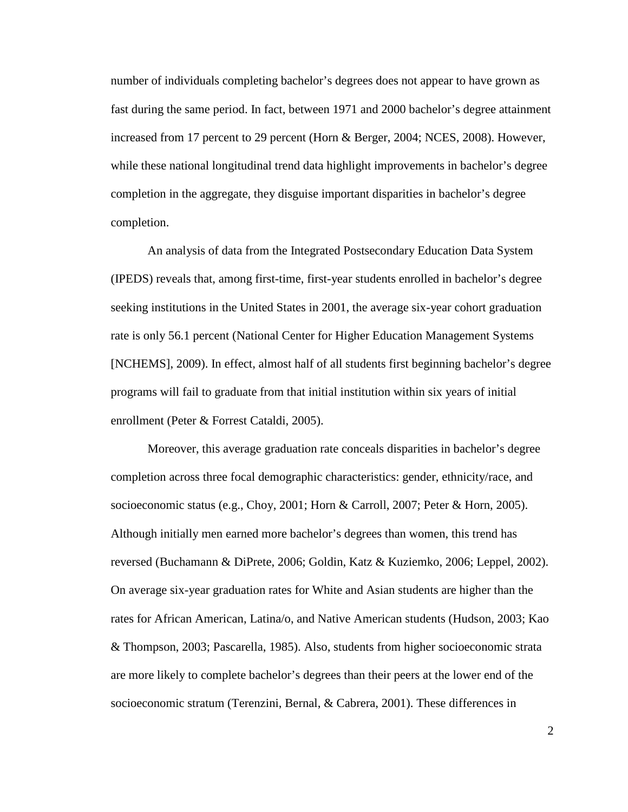number of individuals completing bachelor's degrees does not appear to have grown as fast during the same period. In fact, between 1971 and 2000 bachelor's degree attainment increased from 17 percent to 29 percent (Horn & Berger, 2004; NCES, 2008). However, while these national longitudinal trend data highlight improvements in bachelor's degree completion in the aggregate, they disguise important disparities in bachelor's degree completion.

An analysis of data from the Integrated Postsecondary Education Data System (IPEDS) reveals that, among first-time, first-year students enrolled in bachelor's degree seeking institutions in the United States in 2001, the average six-year cohort graduation rate is only 56.1 percent (National Center for Higher Education Management Systems [NCHEMS], 2009). In effect, almost half of all students first beginning bachelor's degree programs will fail to graduate from that initial institution within six years of initial enrollment (Peter & Forrest Cataldi, 2005).

Moreover, this average graduation rate conceals disparities in bachelor's degree completion across three focal demographic characteristics: gender, ethnicity/race, and socioeconomic status (e.g., Choy, 2001; Horn & Carroll, 2007; Peter & Horn, 2005). Although initially men earned more bachelor's degrees than women, this trend has reversed (Buchamann & DiPrete, 2006; Goldin, Katz & Kuziemko, 2006; Leppel, 2002). On average six-year graduation rates for White and Asian students are higher than the rates for African American, Latina/o, and Native American students (Hudson, 2003; Kao & Thompson, 2003; Pascarella, 1985). Also, students from higher socioeconomic strata are more likely to complete bachelor's degrees than their peers at the lower end of the socioeconomic stratum (Terenzini, Bernal, & Cabrera, 2001). These differences in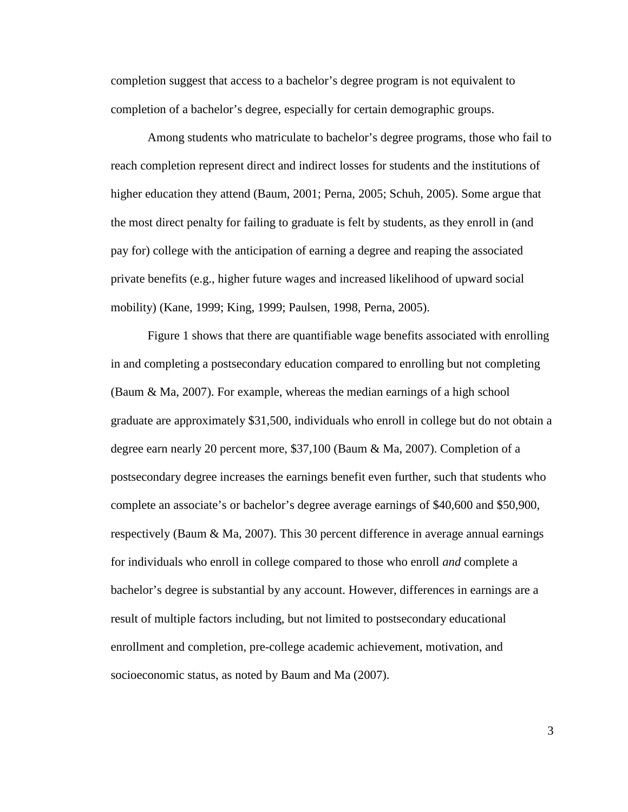completion suggest that access to a bachelor's degree program is not equivalent to completion of a bachelor's degree, especially for certain demographic groups.

 Among students who matriculate to bachelor's degree programs, those who fail to reach completion represent direct and indirect losses for students and the institutions of higher education they attend (Baum, 2001; Perna, 2005; Schuh, 2005). Some argue that the most direct penalty for failing to graduate is felt by students, as they enroll in (and pay for) college with the anticipation of earning a degree and reaping the associated private benefits (e.g., higher future wages and increased likelihood of upward social mobility) (Kane, 1999; King, 1999; Paulsen, 1998, Perna, 2005).

Figure 1 shows that there are quantifiable wage benefits associated with enrolling in and completing a postsecondary education compared to enrolling but not completing (Baum & Ma, 2007). For example, whereas the median earnings of a high school graduate are approximately \$31,500, individuals who enroll in college but do not obtain a degree earn nearly 20 percent more, \$37,100 (Baum & Ma, 2007). Completion of a postsecondary degree increases the earnings benefit even further, such that students who complete an associate's or bachelor's degree average earnings of \$40,600 and \$50,900, respectively (Baum & Ma, 2007). This 30 percent difference in average annual earnings for individuals who enroll in college compared to those who enroll *and* complete a bachelor's degree is substantial by any account. However, differences in earnings are a result of multiple factors including, but not limited to postsecondary educational enrollment and completion, pre-college academic achievement, motivation, and socioeconomic status, as noted by Baum and Ma (2007).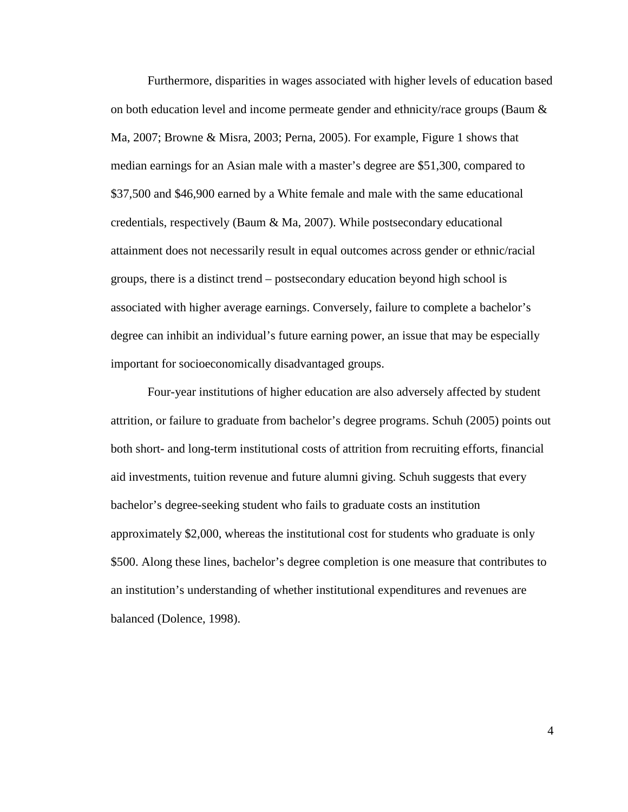Furthermore, disparities in wages associated with higher levels of education based on both education level and income permeate gender and ethnicity/race groups (Baum & Ma, 2007; Browne & Misra, 2003; Perna, 2005). For example, Figure 1 shows that median earnings for an Asian male with a master's degree are \$51,300, compared to \$37,500 and \$46,900 earned by a White female and male with the same educational credentials, respectively (Baum & Ma, 2007). While postsecondary educational attainment does not necessarily result in equal outcomes across gender or ethnic/racial groups, there is a distinct trend – postsecondary education beyond high school is associated with higher average earnings. Conversely, failure to complete a bachelor's degree can inhibit an individual's future earning power, an issue that may be especially important for socioeconomically disadvantaged groups.

Four-year institutions of higher education are also adversely affected by student attrition, or failure to graduate from bachelor's degree programs. Schuh (2005) points out both short- and long-term institutional costs of attrition from recruiting efforts, financial aid investments, tuition revenue and future alumni giving. Schuh suggests that every bachelor's degree-seeking student who fails to graduate costs an institution approximately \$2,000, whereas the institutional cost for students who graduate is only \$500. Along these lines, bachelor's degree completion is one measure that contributes to an institution's understanding of whether institutional expenditures and revenues are balanced (Dolence, 1998).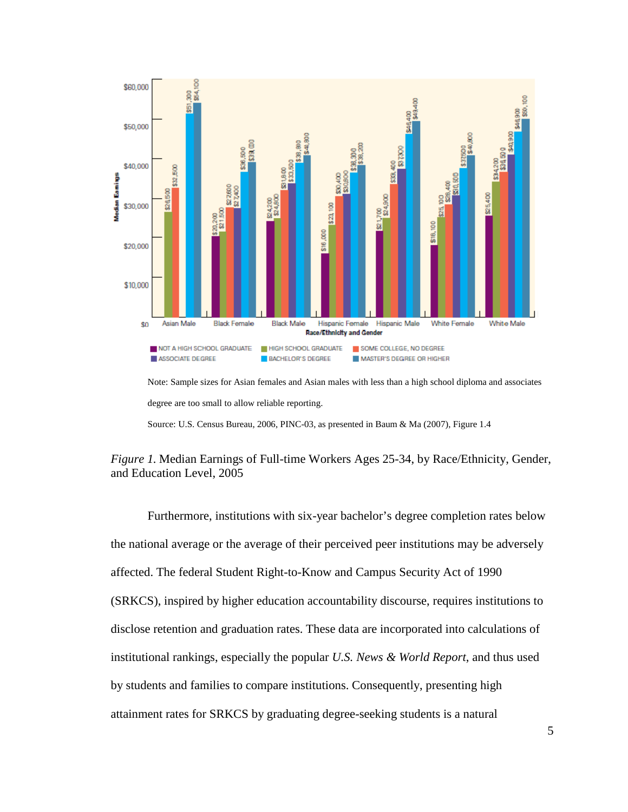

Note: Sample sizes for Asian females and Asian males with less than a high school diploma and associates degree are too small to allow reliable reporting.

Source: U.S. Census Bureau, 2006, PINC-03, as presented in Baum & Ma (2007), Figure 1.4



Furthermore, institutions with six-year bachelor's degree completion rates below the national average or the average of their perceived peer institutions may be adversely affected. The federal Student Right-to-Know and Campus Security Act of 1990 (SRKCS), inspired by higher education accountability discourse, requires institutions to disclose retention and graduation rates. These data are incorporated into calculations of institutional rankings, especially the popular *U.S. News & World Report*, and thus used by students and families to compare institutions. Consequently, presenting high attainment rates for SRKCS by graduating degree-seeking students is a natural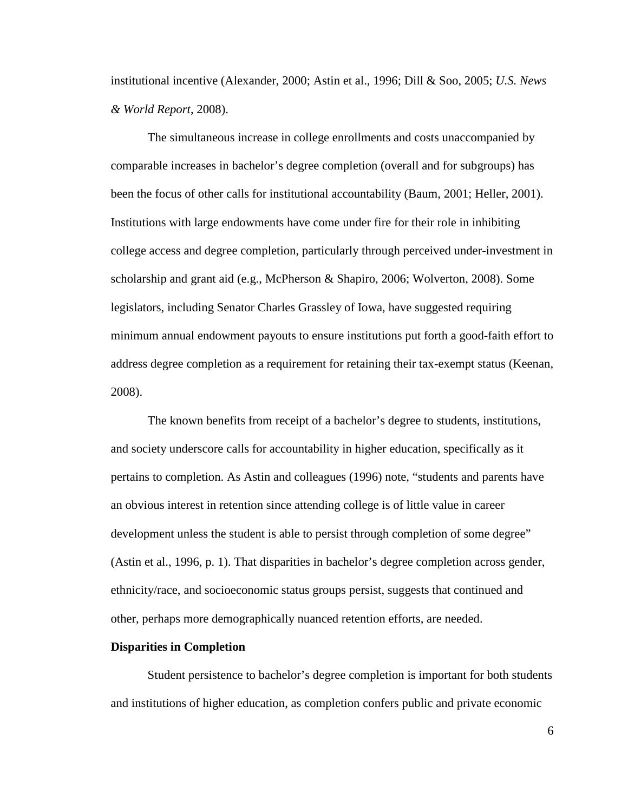institutional incentive (Alexander, 2000; Astin et al., 1996; Dill & Soo, 2005; *U.S. News & World Report*, 2008).

 The simultaneous increase in college enrollments and costs unaccompanied by comparable increases in bachelor's degree completion (overall and for subgroups) has been the focus of other calls for institutional accountability (Baum, 2001; Heller, 2001). Institutions with large endowments have come under fire for their role in inhibiting college access and degree completion, particularly through perceived under-investment in scholarship and grant aid (e.g., McPherson & Shapiro, 2006; Wolverton, 2008). Some legislators, including Senator Charles Grassley of Iowa, have suggested requiring minimum annual endowment payouts to ensure institutions put forth a good-faith effort to address degree completion as a requirement for retaining their tax-exempt status (Keenan, 2008).

The known benefits from receipt of a bachelor's degree to students, institutions, and society underscore calls for accountability in higher education, specifically as it pertains to completion. As Astin and colleagues (1996) note, "students and parents have an obvious interest in retention since attending college is of little value in career development unless the student is able to persist through completion of some degree" (Astin et al., 1996, p. 1). That disparities in bachelor's degree completion across gender, ethnicity/race, and socioeconomic status groups persist, suggests that continued and other, perhaps more demographically nuanced retention efforts, are needed.

#### **Disparities in Completion**

 Student persistence to bachelor's degree completion is important for both students and institutions of higher education, as completion confers public and private economic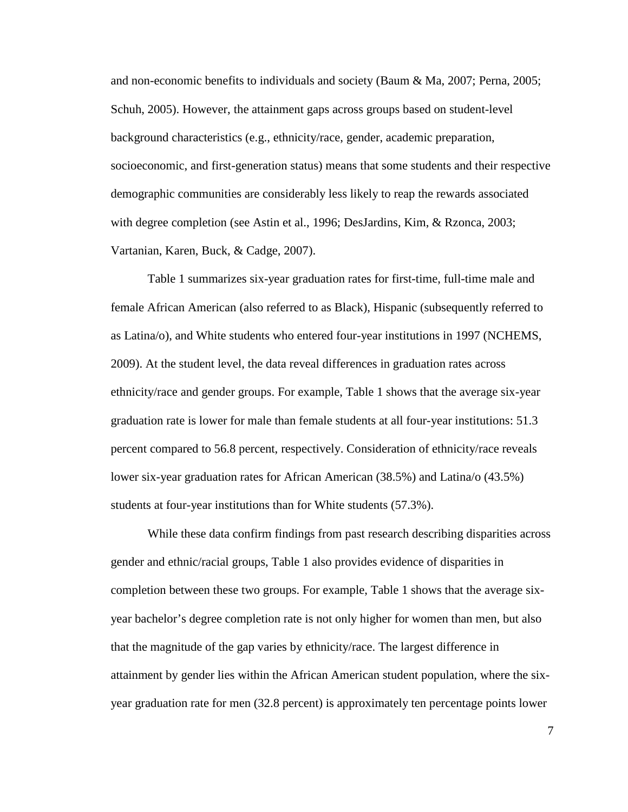and non-economic benefits to individuals and society (Baum & Ma, 2007; Perna, 2005; Schuh, 2005). However, the attainment gaps across groups based on student-level background characteristics (e.g., ethnicity/race, gender, academic preparation, socioeconomic, and first-generation status) means that some students and their respective demographic communities are considerably less likely to reap the rewards associated with degree completion (see Astin et al., 1996; DesJardins, Kim, & Rzonca, 2003; Vartanian, Karen, Buck, & Cadge, 2007).

Table 1 summarizes six-year graduation rates for first-time, full-time male and female African American (also referred to as Black), Hispanic (subsequently referred to as Latina/o), and White students who entered four-year institutions in 1997 (NCHEMS, 2009). At the student level, the data reveal differences in graduation rates across ethnicity/race and gender groups. For example, Table 1 shows that the average six-year graduation rate is lower for male than female students at all four-year institutions: 51.3 percent compared to 56.8 percent, respectively. Consideration of ethnicity/race reveals lower six-year graduation rates for African American (38.5%) and Latina/o (43.5%) students at four-year institutions than for White students (57.3%).

While these data confirm findings from past research describing disparities across gender and ethnic/racial groups, Table 1 also provides evidence of disparities in completion between these two groups. For example, Table 1 shows that the average sixyear bachelor's degree completion rate is not only higher for women than men, but also that the magnitude of the gap varies by ethnicity/race. The largest difference in attainment by gender lies within the African American student population, where the sixyear graduation rate for men (32.8 percent) is approximately ten percentage points lower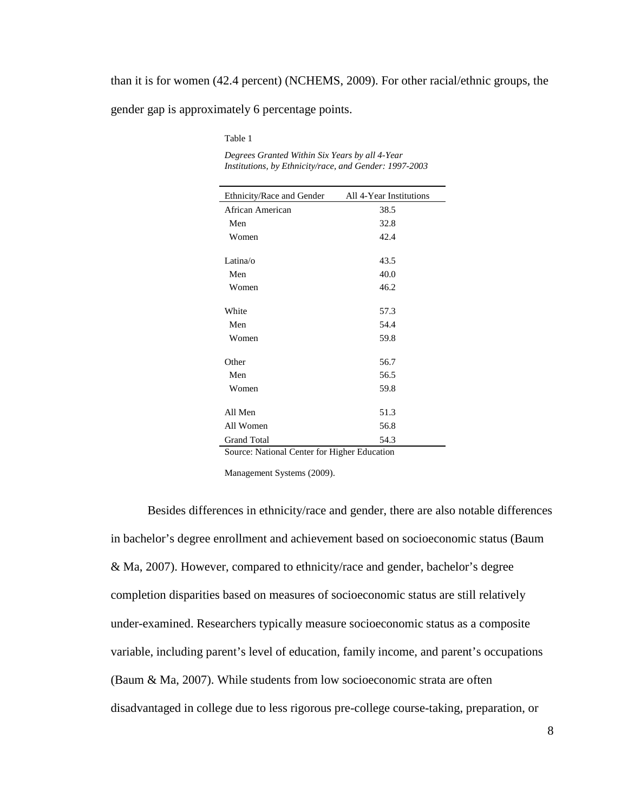than it is for women (42.4 percent) (NCHEMS, 2009). For other racial/ethnic groups, the gender gap is approximately 6 percentage points.

Table 1

*Degrees Granted Within Six Years by all 4-Year Institutions, by Ethnicity/race, and Gender: 1997-2003* 

| Ethnicity/Race and Gender | All 4-Year Institutions |
|---------------------------|-------------------------|
| African American          | 38.5                    |
| Men                       | 32.8                    |
| Women                     | 42.4                    |
| Latina/o                  | 43.5                    |
| Men                       | 40.0                    |
| Women                     | 46.2                    |
| White                     | 57.3                    |
| Men                       | 54.4                    |
| Women                     | 59.8                    |
| Other                     | 56.7                    |
| Men                       | 56.5                    |
| Women                     | 59.8                    |
| All Men                   | 51.3                    |
| All Women                 | 56.8                    |
| <b>Grand Total</b>        | 54.3                    |

Source: National Center for Higher Education

Management Systems (2009).

Besides differences in ethnicity/race and gender, there are also notable differences in bachelor's degree enrollment and achievement based on socioeconomic status (Baum & Ma, 2007). However, compared to ethnicity/race and gender, bachelor's degree completion disparities based on measures of socioeconomic status are still relatively under-examined. Researchers typically measure socioeconomic status as a composite variable, including parent's level of education, family income, and parent's occupations (Baum & Ma, 2007). While students from low socioeconomic strata are often disadvantaged in college due to less rigorous pre-college course-taking, preparation, or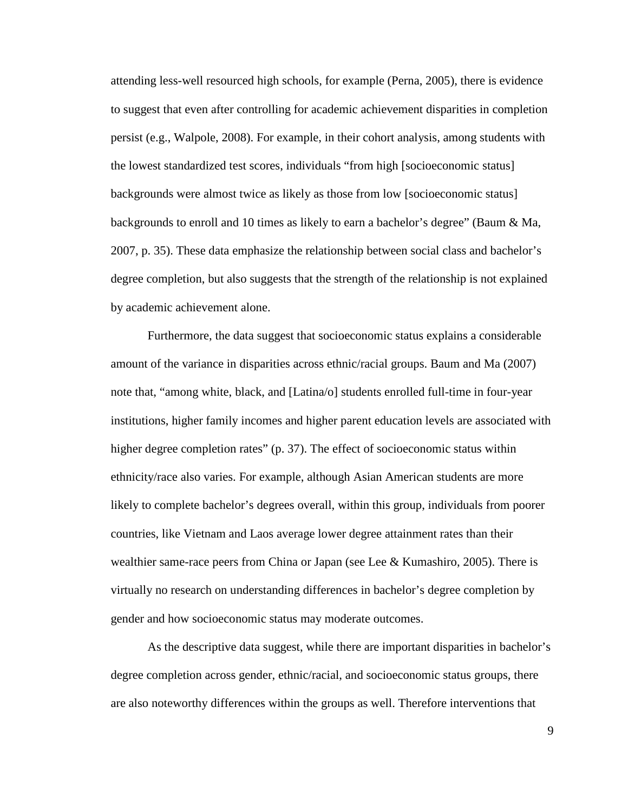attending less-well resourced high schools, for example (Perna, 2005), there is evidence to suggest that even after controlling for academic achievement disparities in completion persist (e.g., Walpole, 2008). For example, in their cohort analysis, among students with the lowest standardized test scores, individuals "from high [socioeconomic status] backgrounds were almost twice as likely as those from low [socioeconomic status] backgrounds to enroll and 10 times as likely to earn a bachelor's degree" (Baum & Ma, 2007, p. 35). These data emphasize the relationship between social class and bachelor's degree completion, but also suggests that the strength of the relationship is not explained by academic achievement alone.

Furthermore, the data suggest that socioeconomic status explains a considerable amount of the variance in disparities across ethnic/racial groups. Baum and Ma (2007) note that, "among white, black, and [Latina/o] students enrolled full-time in four-year institutions, higher family incomes and higher parent education levels are associated with higher degree completion rates" (p. 37). The effect of socioeconomic status within ethnicity/race also varies. For example, although Asian American students are more likely to complete bachelor's degrees overall, within this group, individuals from poorer countries, like Vietnam and Laos average lower degree attainment rates than their wealthier same-race peers from China or Japan (see Lee & Kumashiro, 2005). There is virtually no research on understanding differences in bachelor's degree completion by gender and how socioeconomic status may moderate outcomes.

As the descriptive data suggest, while there are important disparities in bachelor's degree completion across gender, ethnic/racial, and socioeconomic status groups, there are also noteworthy differences within the groups as well. Therefore interventions that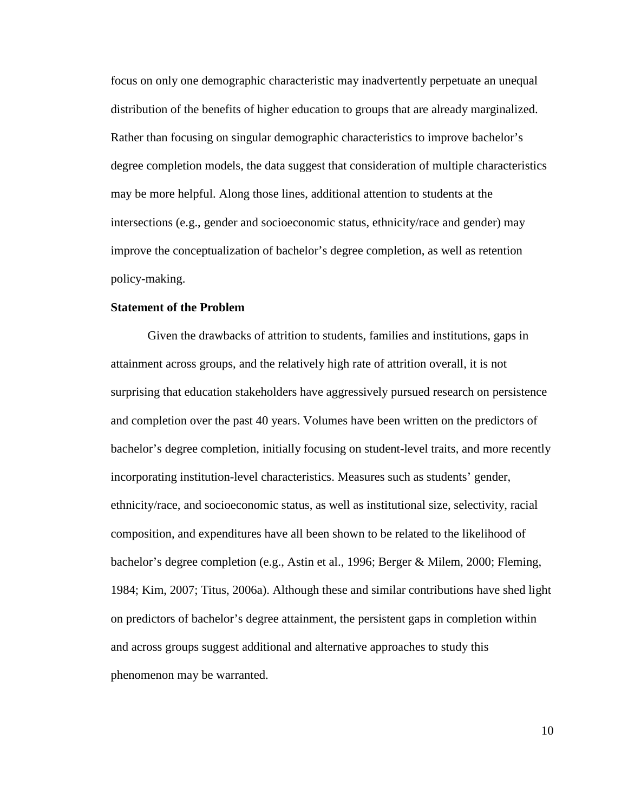focus on only one demographic characteristic may inadvertently perpetuate an unequal distribution of the benefits of higher education to groups that are already marginalized. Rather than focusing on singular demographic characteristics to improve bachelor's degree completion models, the data suggest that consideration of multiple characteristics may be more helpful. Along those lines, additional attention to students at the intersections (e.g., gender and socioeconomic status, ethnicity/race and gender) may improve the conceptualization of bachelor's degree completion, as well as retention policy-making.

#### **Statement of the Problem**

Given the drawbacks of attrition to students, families and institutions, gaps in attainment across groups, and the relatively high rate of attrition overall, it is not surprising that education stakeholders have aggressively pursued research on persistence and completion over the past 40 years. Volumes have been written on the predictors of bachelor's degree completion, initially focusing on student-level traits, and more recently incorporating institution-level characteristics. Measures such as students' gender, ethnicity/race, and socioeconomic status, as well as institutional size, selectivity, racial composition, and expenditures have all been shown to be related to the likelihood of bachelor's degree completion (e.g., Astin et al., 1996; Berger & Milem, 2000; Fleming, 1984; Kim, 2007; Titus, 2006a). Although these and similar contributions have shed light on predictors of bachelor's degree attainment, the persistent gaps in completion within and across groups suggest additional and alternative approaches to study this phenomenon may be warranted.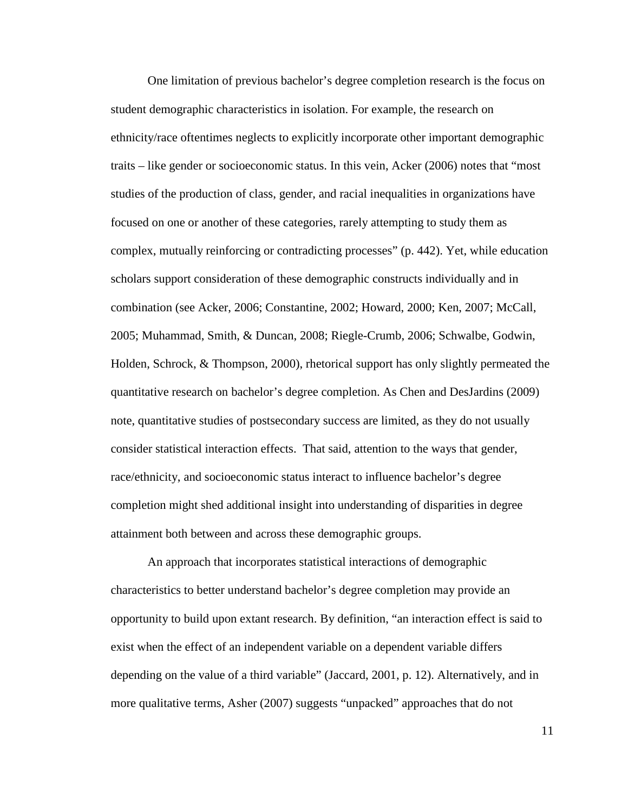One limitation of previous bachelor's degree completion research is the focus on student demographic characteristics in isolation. For example, the research on ethnicity/race oftentimes neglects to explicitly incorporate other important demographic traits – like gender or socioeconomic status. In this vein, Acker (2006) notes that "most studies of the production of class, gender, and racial inequalities in organizations have focused on one or another of these categories, rarely attempting to study them as complex, mutually reinforcing or contradicting processes" (p. 442). Yet, while education scholars support consideration of these demographic constructs individually and in combination (see Acker, 2006; Constantine, 2002; Howard, 2000; Ken, 2007; McCall, 2005; Muhammad, Smith, & Duncan, 2008; Riegle-Crumb, 2006; Schwalbe, Godwin, Holden, Schrock, & Thompson, 2000), rhetorical support has only slightly permeated the quantitative research on bachelor's degree completion. As Chen and DesJardins (2009) note, quantitative studies of postsecondary success are limited, as they do not usually consider statistical interaction effects. That said, attention to the ways that gender, race/ethnicity, and socioeconomic status interact to influence bachelor's degree completion might shed additional insight into understanding of disparities in degree attainment both between and across these demographic groups.

An approach that incorporates statistical interactions of demographic characteristics to better understand bachelor's degree completion may provide an opportunity to build upon extant research. By definition, "an interaction effect is said to exist when the effect of an independent variable on a dependent variable differs depending on the value of a third variable" (Jaccard, 2001, p. 12). Alternatively, and in more qualitative terms, Asher (2007) suggests "unpacked" approaches that do not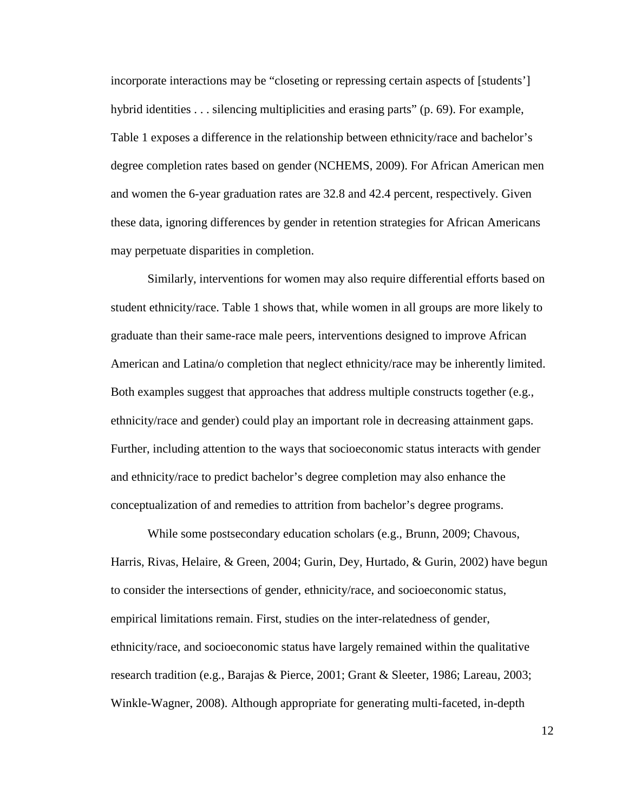incorporate interactions may be "closeting or repressing certain aspects of [students'] hybrid identities . . . silencing multiplicities and erasing parts" (p. 69). For example, Table 1 exposes a difference in the relationship between ethnicity/race and bachelor's degree completion rates based on gender (NCHEMS, 2009). For African American men and women the 6-year graduation rates are 32.8 and 42.4 percent, respectively. Given these data, ignoring differences by gender in retention strategies for African Americans may perpetuate disparities in completion.

Similarly, interventions for women may also require differential efforts based on student ethnicity/race. Table 1 shows that, while women in all groups are more likely to graduate than their same-race male peers, interventions designed to improve African American and Latina/o completion that neglect ethnicity/race may be inherently limited. Both examples suggest that approaches that address multiple constructs together (e.g., ethnicity/race and gender) could play an important role in decreasing attainment gaps. Further, including attention to the ways that socioeconomic status interacts with gender and ethnicity/race to predict bachelor's degree completion may also enhance the conceptualization of and remedies to attrition from bachelor's degree programs.

While some postsecondary education scholars (e.g., Brunn, 2009; Chavous, Harris, Rivas, Helaire, & Green, 2004; Gurin, Dey, Hurtado, & Gurin, 2002) have begun to consider the intersections of gender, ethnicity/race, and socioeconomic status, empirical limitations remain. First, studies on the inter-relatedness of gender, ethnicity/race, and socioeconomic status have largely remained within the qualitative research tradition (e.g., Barajas & Pierce, 2001; Grant & Sleeter, 1986; Lareau, 2003; Winkle-Wagner, 2008). Although appropriate for generating multi-faceted, in-depth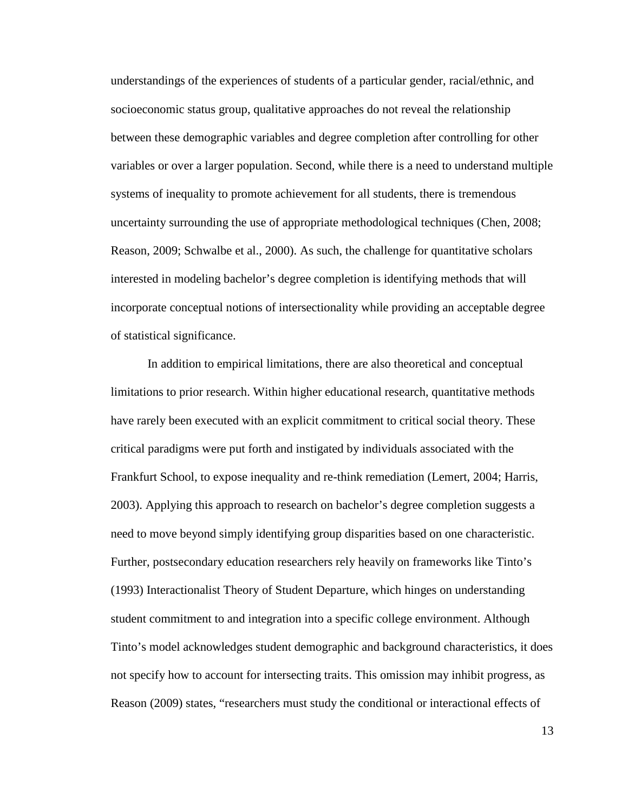understandings of the experiences of students of a particular gender, racial/ethnic, and socioeconomic status group, qualitative approaches do not reveal the relationship between these demographic variables and degree completion after controlling for other variables or over a larger population. Second, while there is a need to understand multiple systems of inequality to promote achievement for all students, there is tremendous uncertainty surrounding the use of appropriate methodological techniques (Chen, 2008; Reason, 2009; Schwalbe et al., 2000). As such, the challenge for quantitative scholars interested in modeling bachelor's degree completion is identifying methods that will incorporate conceptual notions of intersectionality while providing an acceptable degree of statistical significance.

In addition to empirical limitations, there are also theoretical and conceptual limitations to prior research. Within higher educational research, quantitative methods have rarely been executed with an explicit commitment to critical social theory. These critical paradigms were put forth and instigated by individuals associated with the Frankfurt School, to expose inequality and re-think remediation (Lemert, 2004; Harris, 2003). Applying this approach to research on bachelor's degree completion suggests a need to move beyond simply identifying group disparities based on one characteristic. Further, postsecondary education researchers rely heavily on frameworks like Tinto's (1993) Interactionalist Theory of Student Departure, which hinges on understanding student commitment to and integration into a specific college environment. Although Tinto's model acknowledges student demographic and background characteristics, it does not specify how to account for intersecting traits. This omission may inhibit progress, as Reason (2009) states, "researchers must study the conditional or interactional effects of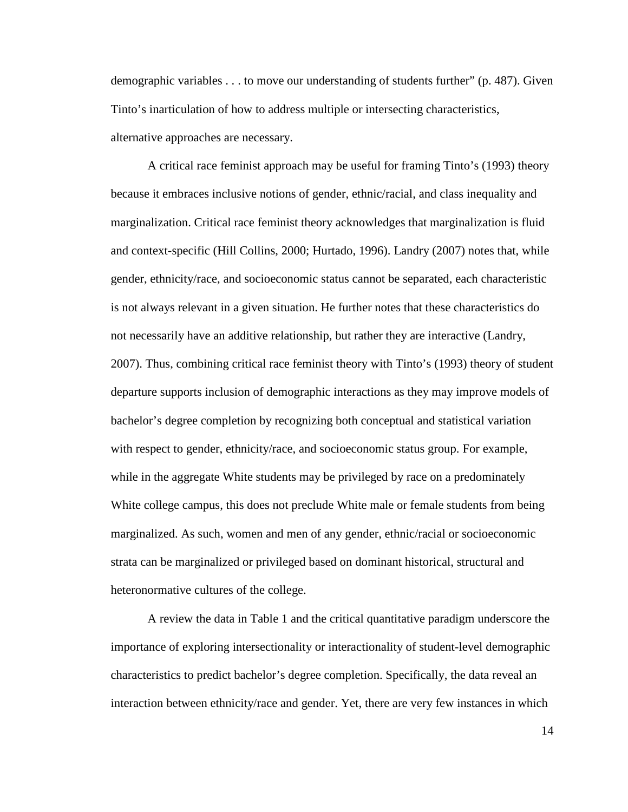demographic variables . . . to move our understanding of students further" (p. 487). Given Tinto's inarticulation of how to address multiple or intersecting characteristics, alternative approaches are necessary.

A critical race feminist approach may be useful for framing Tinto's (1993) theory because it embraces inclusive notions of gender, ethnic/racial, and class inequality and marginalization. Critical race feminist theory acknowledges that marginalization is fluid and context-specific (Hill Collins, 2000; Hurtado, 1996). Landry (2007) notes that, while gender, ethnicity/race, and socioeconomic status cannot be separated, each characteristic is not always relevant in a given situation. He further notes that these characteristics do not necessarily have an additive relationship, but rather they are interactive (Landry, 2007). Thus, combining critical race feminist theory with Tinto's (1993) theory of student departure supports inclusion of demographic interactions as they may improve models of bachelor's degree completion by recognizing both conceptual and statistical variation with respect to gender, ethnicity/race, and socioeconomic status group. For example, while in the aggregate White students may be privileged by race on a predominately White college campus, this does not preclude White male or female students from being marginalized. As such, women and men of any gender, ethnic/racial or socioeconomic strata can be marginalized or privileged based on dominant historical, structural and heteronormative cultures of the college.

A review the data in Table 1 and the critical quantitative paradigm underscore the importance of exploring intersectionality or interactionality of student-level demographic characteristics to predict bachelor's degree completion. Specifically, the data reveal an interaction between ethnicity/race and gender. Yet, there are very few instances in which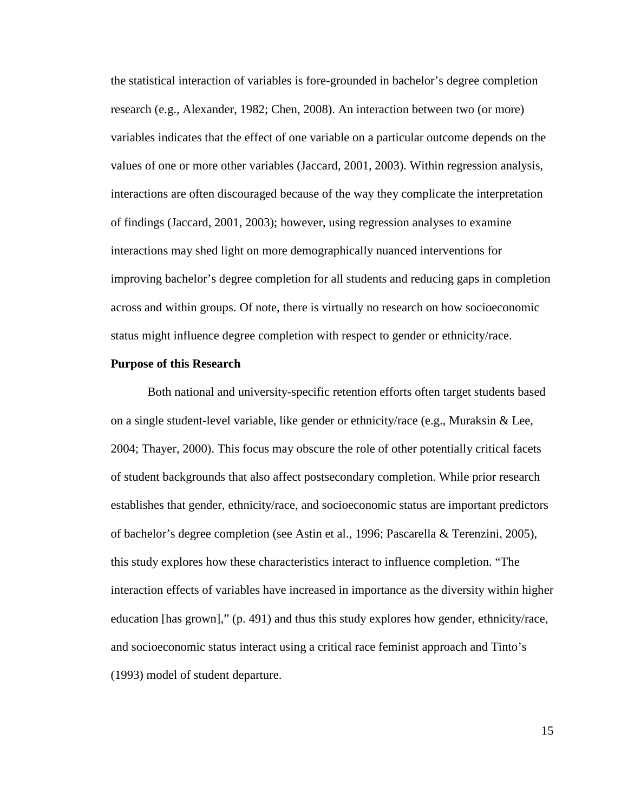the statistical interaction of variables is fore-grounded in bachelor's degree completion research (e.g., Alexander, 1982; Chen, 2008). An interaction between two (or more) variables indicates that the effect of one variable on a particular outcome depends on the values of one or more other variables (Jaccard, 2001, 2003). Within regression analysis, interactions are often discouraged because of the way they complicate the interpretation of findings (Jaccard, 2001, 2003); however, using regression analyses to examine interactions may shed light on more demographically nuanced interventions for improving bachelor's degree completion for all students and reducing gaps in completion across and within groups. Of note, there is virtually no research on how socioeconomic status might influence degree completion with respect to gender or ethnicity/race.

#### **Purpose of this Research**

Both national and university-specific retention efforts often target students based on a single student-level variable, like gender or ethnicity/race (e.g., Muraksin & Lee, 2004; Thayer, 2000). This focus may obscure the role of other potentially critical facets of student backgrounds that also affect postsecondary completion. While prior research establishes that gender, ethnicity/race, and socioeconomic status are important predictors of bachelor's degree completion (see Astin et al., 1996; Pascarella & Terenzini, 2005), this study explores how these characteristics interact to influence completion. "The interaction effects of variables have increased in importance as the diversity within higher education [has grown]," (p. 491) and thus this study explores how gender, ethnicity/race, and socioeconomic status interact using a critical race feminist approach and Tinto's (1993) model of student departure.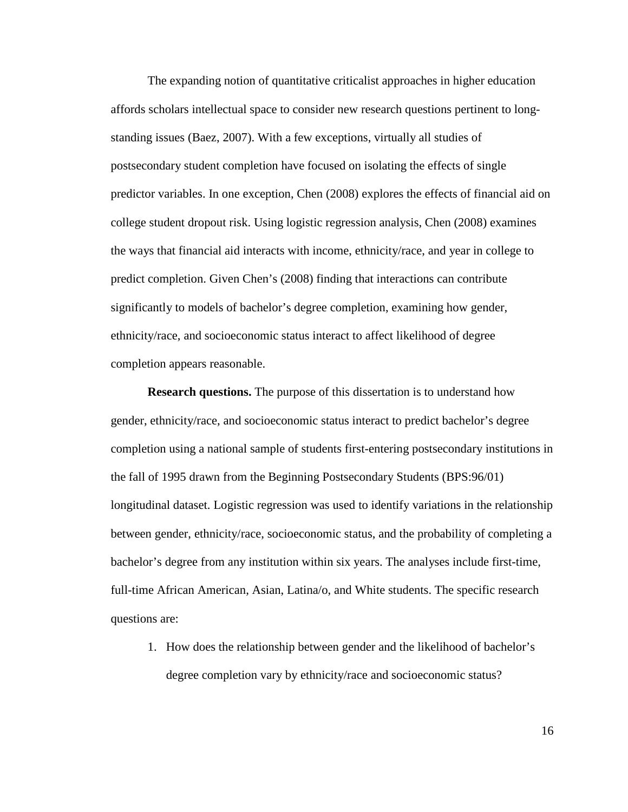The expanding notion of quantitative criticalist approaches in higher education affords scholars intellectual space to consider new research questions pertinent to longstanding issues (Baez, 2007). With a few exceptions, virtually all studies of postsecondary student completion have focused on isolating the effects of single predictor variables. In one exception, Chen (2008) explores the effects of financial aid on college student dropout risk. Using logistic regression analysis, Chen (2008) examines the ways that financial aid interacts with income, ethnicity/race, and year in college to predict completion. Given Chen's (2008) finding that interactions can contribute significantly to models of bachelor's degree completion, examining how gender, ethnicity/race, and socioeconomic status interact to affect likelihood of degree completion appears reasonable.

**Research questions.** The purpose of this dissertation is to understand how gender, ethnicity/race, and socioeconomic status interact to predict bachelor's degree completion using a national sample of students first-entering postsecondary institutions in the fall of 1995 drawn from the Beginning Postsecondary Students (BPS:96/01) longitudinal dataset. Logistic regression was used to identify variations in the relationship between gender, ethnicity/race, socioeconomic status, and the probability of completing a bachelor's degree from any institution within six years. The analyses include first-time, full-time African American, Asian, Latina/o, and White students. The specific research questions are:

1. How does the relationship between gender and the likelihood of bachelor's degree completion vary by ethnicity/race and socioeconomic status?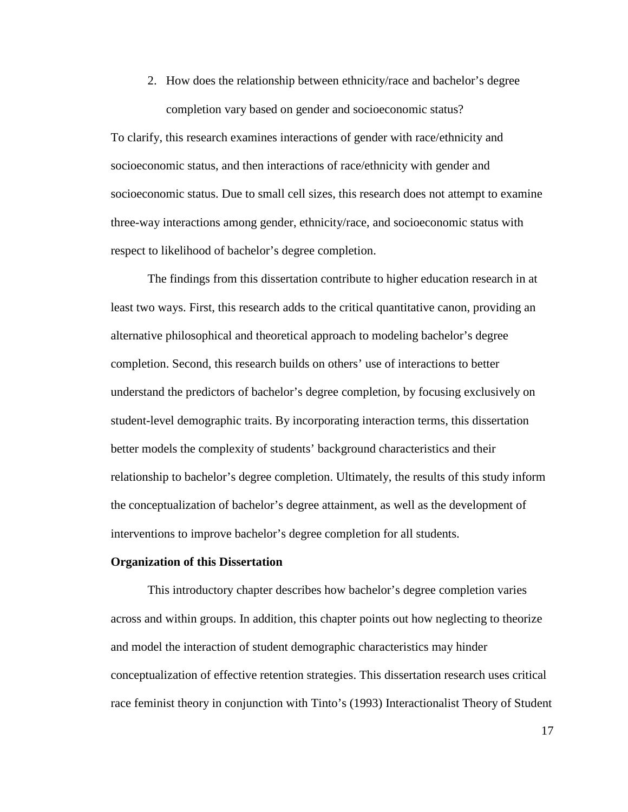2. How does the relationship between ethnicity/race and bachelor's degree completion vary based on gender and socioeconomic status?

To clarify, this research examines interactions of gender with race/ethnicity and socioeconomic status, and then interactions of race/ethnicity with gender and socioeconomic status. Due to small cell sizes, this research does not attempt to examine three-way interactions among gender, ethnicity/race, and socioeconomic status with respect to likelihood of bachelor's degree completion.

The findings from this dissertation contribute to higher education research in at least two ways. First, this research adds to the critical quantitative canon, providing an alternative philosophical and theoretical approach to modeling bachelor's degree completion. Second, this research builds on others' use of interactions to better understand the predictors of bachelor's degree completion, by focusing exclusively on student-level demographic traits. By incorporating interaction terms, this dissertation better models the complexity of students' background characteristics and their relationship to bachelor's degree completion. Ultimately, the results of this study inform the conceptualization of bachelor's degree attainment, as well as the development of interventions to improve bachelor's degree completion for all students.

#### **Organization of this Dissertation**

 This introductory chapter describes how bachelor's degree completion varies across and within groups. In addition, this chapter points out how neglecting to theorize and model the interaction of student demographic characteristics may hinder conceptualization of effective retention strategies. This dissertation research uses critical race feminist theory in conjunction with Tinto's (1993) Interactionalist Theory of Student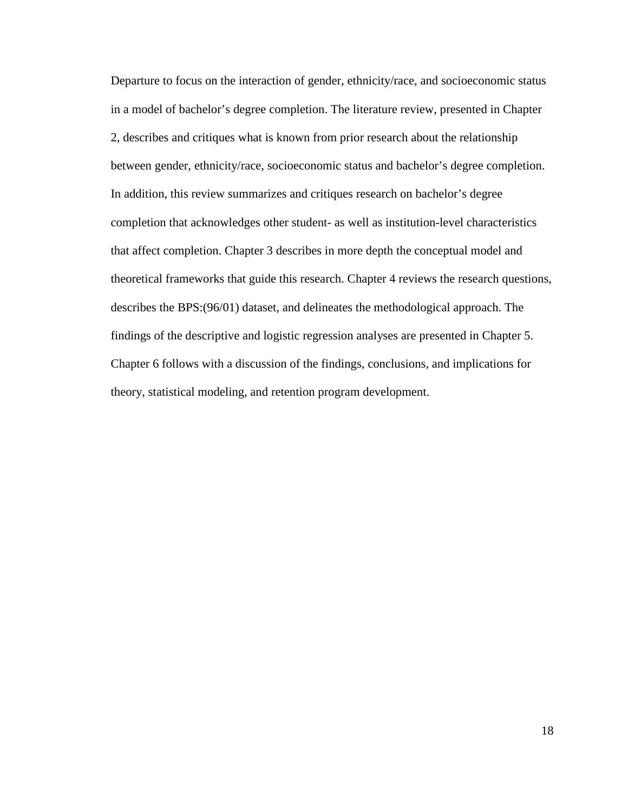Departure to focus on the interaction of gender, ethnicity/race, and socioeconomic status in a model of bachelor's degree completion. The literature review, presented in Chapter 2, describes and critiques what is known from prior research about the relationship between gender, ethnicity/race, socioeconomic status and bachelor's degree completion. In addition, this review summarizes and critiques research on bachelor's degree completion that acknowledges other student- as well as institution-level characteristics that affect completion. Chapter 3 describes in more depth the conceptual model and theoretical frameworks that guide this research. Chapter 4 reviews the research questions, describes the BPS:(96/01) dataset, and delineates the methodological approach. The findings of the descriptive and logistic regression analyses are presented in Chapter 5. Chapter 6 follows with a discussion of the findings, conclusions, and implications for theory, statistical modeling, and retention program development.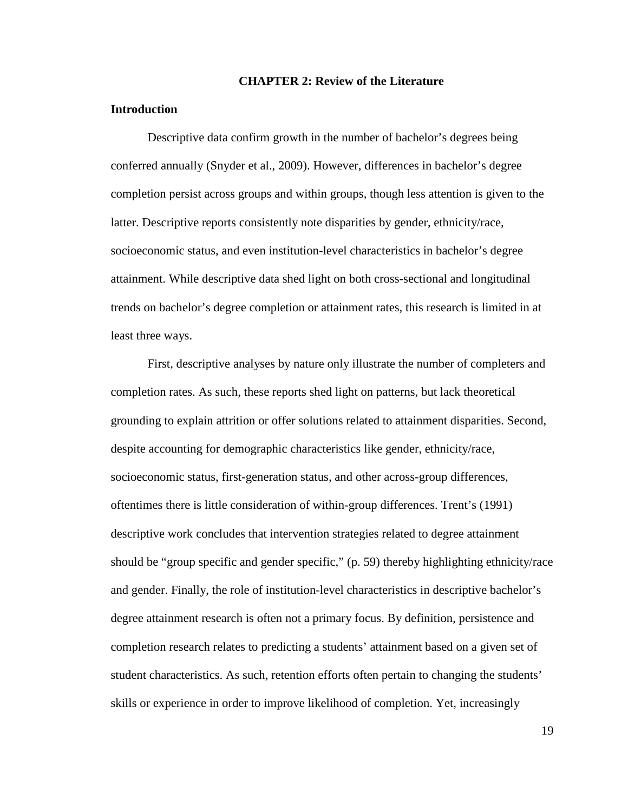#### **CHAPTER 2: Review of the Literature**

#### **Introduction**

Descriptive data confirm growth in the number of bachelor's degrees being conferred annually (Snyder et al., 2009). However, differences in bachelor's degree completion persist across groups and within groups, though less attention is given to the latter. Descriptive reports consistently note disparities by gender, ethnicity/race, socioeconomic status, and even institution-level characteristics in bachelor's degree attainment. While descriptive data shed light on both cross-sectional and longitudinal trends on bachelor's degree completion or attainment rates, this research is limited in at least three ways.

First, descriptive analyses by nature only illustrate the number of completers and completion rates. As such, these reports shed light on patterns, but lack theoretical grounding to explain attrition or offer solutions related to attainment disparities. Second, despite accounting for demographic characteristics like gender, ethnicity/race, socioeconomic status, first-generation status, and other across-group differences, oftentimes there is little consideration of within-group differences. Trent's (1991) descriptive work concludes that intervention strategies related to degree attainment should be "group specific and gender specific," (p. 59) thereby highlighting ethnicity/race and gender. Finally, the role of institution-level characteristics in descriptive bachelor's degree attainment research is often not a primary focus. By definition, persistence and completion research relates to predicting a students' attainment based on a given set of student characteristics. As such, retention efforts often pertain to changing the students' skills or experience in order to improve likelihood of completion. Yet, increasingly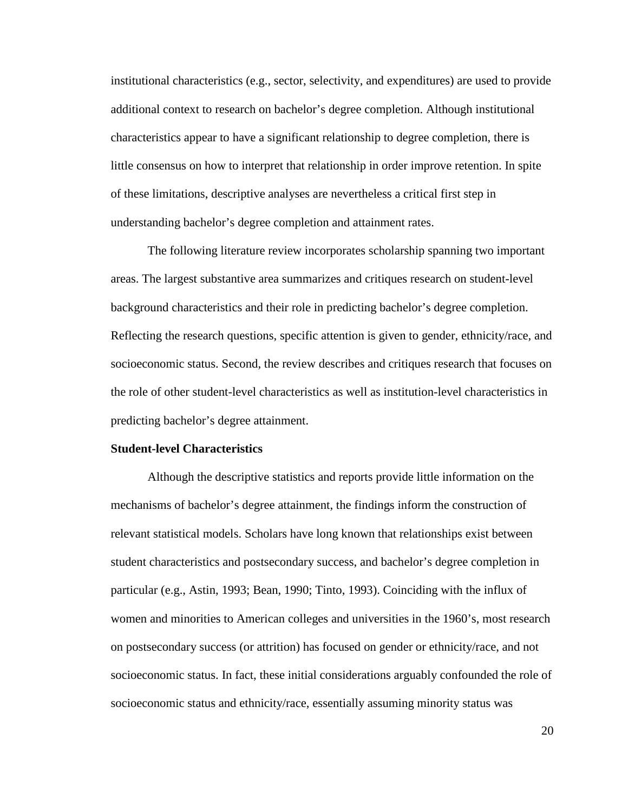institutional characteristics (e.g., sector, selectivity, and expenditures) are used to provide additional context to research on bachelor's degree completion. Although institutional characteristics appear to have a significant relationship to degree completion, there is little consensus on how to interpret that relationship in order improve retention. In spite of these limitations, descriptive analyses are nevertheless a critical first step in understanding bachelor's degree completion and attainment rates.

The following literature review incorporates scholarship spanning two important areas. The largest substantive area summarizes and critiques research on student-level background characteristics and their role in predicting bachelor's degree completion. Reflecting the research questions, specific attention is given to gender, ethnicity/race, and socioeconomic status. Second, the review describes and critiques research that focuses on the role of other student-level characteristics as well as institution-level characteristics in predicting bachelor's degree attainment.

#### **Student-level Characteristics**

Although the descriptive statistics and reports provide little information on the mechanisms of bachelor's degree attainment, the findings inform the construction of relevant statistical models. Scholars have long known that relationships exist between student characteristics and postsecondary success, and bachelor's degree completion in particular (e.g., Astin, 1993; Bean, 1990; Tinto, 1993). Coinciding with the influx of women and minorities to American colleges and universities in the 1960's, most research on postsecondary success (or attrition) has focused on gender or ethnicity/race, and not socioeconomic status. In fact, these initial considerations arguably confounded the role of socioeconomic status and ethnicity/race, essentially assuming minority status was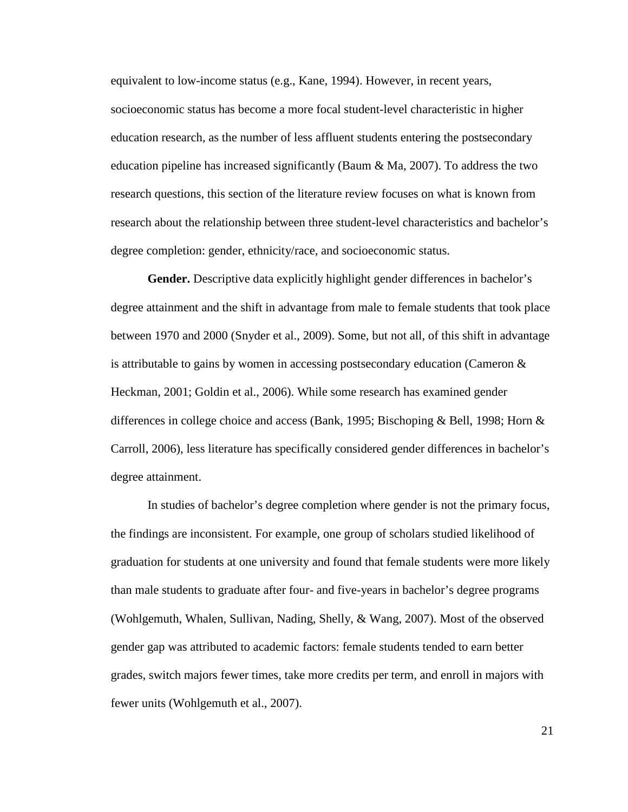equivalent to low-income status (e.g., Kane, 1994). However, in recent years, socioeconomic status has become a more focal student-level characteristic in higher education research, as the number of less affluent students entering the postsecondary education pipeline has increased significantly (Baum & Ma, 2007). To address the two research questions, this section of the literature review focuses on what is known from research about the relationship between three student-level characteristics and bachelor's degree completion: gender, ethnicity/race, and socioeconomic status.

**Gender.** Descriptive data explicitly highlight gender differences in bachelor's degree attainment and the shift in advantage from male to female students that took place between 1970 and 2000 (Snyder et al., 2009). Some, but not all, of this shift in advantage is attributable to gains by women in accessing postsecondary education (Cameron  $\&$ Heckman, 2001; Goldin et al., 2006). While some research has examined gender differences in college choice and access (Bank, 1995; Bischoping & Bell, 1998; Horn & Carroll, 2006), less literature has specifically considered gender differences in bachelor's degree attainment.

In studies of bachelor's degree completion where gender is not the primary focus, the findings are inconsistent. For example, one group of scholars studied likelihood of graduation for students at one university and found that female students were more likely than male students to graduate after four- and five-years in bachelor's degree programs (Wohlgemuth, Whalen, Sullivan, Nading, Shelly, & Wang, 2007). Most of the observed gender gap was attributed to academic factors: female students tended to earn better grades, switch majors fewer times, take more credits per term, and enroll in majors with fewer units (Wohlgemuth et al., 2007).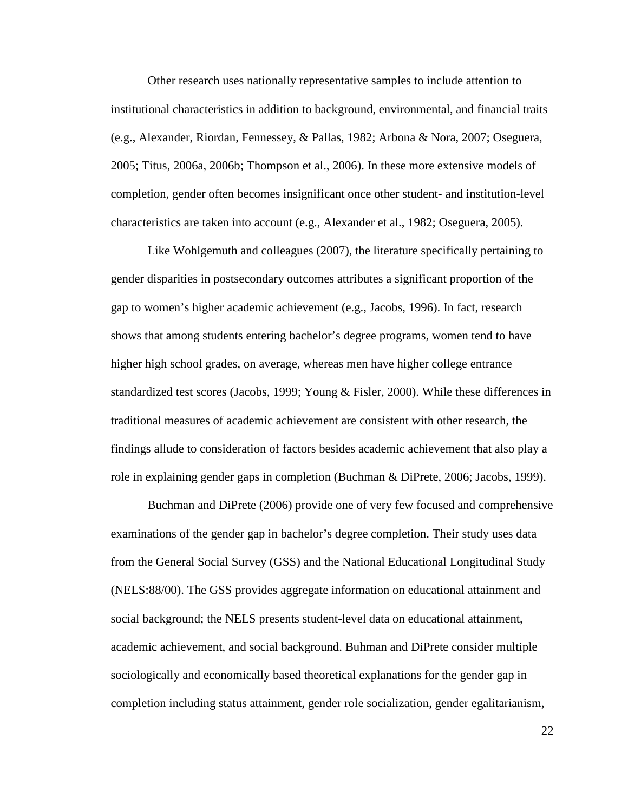Other research uses nationally representative samples to include attention to institutional characteristics in addition to background, environmental, and financial traits (e.g., Alexander, Riordan, Fennessey, & Pallas, 1982; Arbona & Nora, 2007; Oseguera, 2005; Titus, 2006a, 2006b; Thompson et al., 2006). In these more extensive models of completion, gender often becomes insignificant once other student- and institution-level characteristics are taken into account (e.g., Alexander et al., 1982; Oseguera, 2005).

Like Wohlgemuth and colleagues (2007), the literature specifically pertaining to gender disparities in postsecondary outcomes attributes a significant proportion of the gap to women's higher academic achievement (e.g., Jacobs, 1996). In fact, research shows that among students entering bachelor's degree programs, women tend to have higher high school grades, on average, whereas men have higher college entrance standardized test scores (Jacobs, 1999; Young & Fisler, 2000). While these differences in traditional measures of academic achievement are consistent with other research, the findings allude to consideration of factors besides academic achievement that also play a role in explaining gender gaps in completion (Buchman & DiPrete, 2006; Jacobs, 1999).

Buchman and DiPrete (2006) provide one of very few focused and comprehensive examinations of the gender gap in bachelor's degree completion. Their study uses data from the General Social Survey (GSS) and the National Educational Longitudinal Study (NELS:88/00). The GSS provides aggregate information on educational attainment and social background; the NELS presents student-level data on educational attainment, academic achievement, and social background. Buhman and DiPrete consider multiple sociologically and economically based theoretical explanations for the gender gap in completion including status attainment, gender role socialization, gender egalitarianism,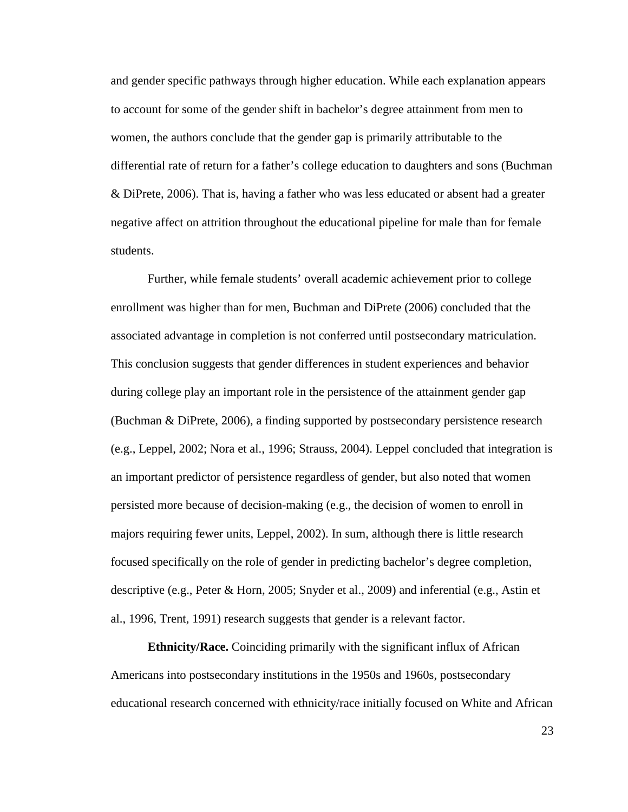and gender specific pathways through higher education. While each explanation appears to account for some of the gender shift in bachelor's degree attainment from men to women, the authors conclude that the gender gap is primarily attributable to the differential rate of return for a father's college education to daughters and sons (Buchman & DiPrete, 2006). That is, having a father who was less educated or absent had a greater negative affect on attrition throughout the educational pipeline for male than for female students.

Further, while female students' overall academic achievement prior to college enrollment was higher than for men, Buchman and DiPrete (2006) concluded that the associated advantage in completion is not conferred until postsecondary matriculation. This conclusion suggests that gender differences in student experiences and behavior during college play an important role in the persistence of the attainment gender gap (Buchman & DiPrete, 2006), a finding supported by postsecondary persistence research (e.g., Leppel, 2002; Nora et al., 1996; Strauss, 2004). Leppel concluded that integration is an important predictor of persistence regardless of gender, but also noted that women persisted more because of decision-making (e.g., the decision of women to enroll in majors requiring fewer units, Leppel, 2002). In sum, although there is little research focused specifically on the role of gender in predicting bachelor's degree completion, descriptive (e.g., Peter & Horn, 2005; Snyder et al., 2009) and inferential (e.g., Astin et al., 1996, Trent, 1991) research suggests that gender is a relevant factor.

**Ethnicity/Race.** Coinciding primarily with the significant influx of African Americans into postsecondary institutions in the 1950s and 1960s, postsecondary educational research concerned with ethnicity/race initially focused on White and African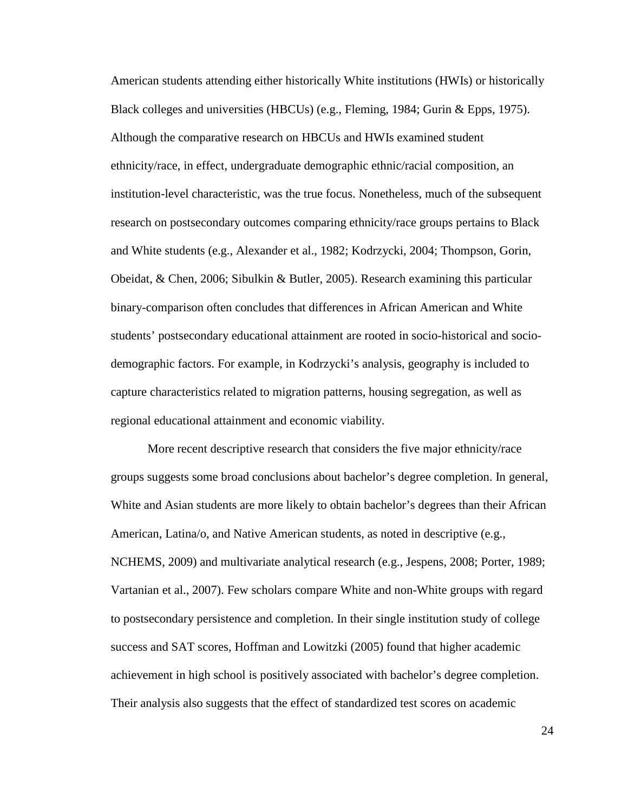American students attending either historically White institutions (HWIs) or historically Black colleges and universities (HBCUs) (e.g., Fleming, 1984; Gurin & Epps, 1975). Although the comparative research on HBCUs and HWIs examined student ethnicity/race, in effect, undergraduate demographic ethnic/racial composition, an institution-level characteristic, was the true focus. Nonetheless, much of the subsequent research on postsecondary outcomes comparing ethnicity/race groups pertains to Black and White students (e.g., Alexander et al., 1982; Kodrzycki, 2004; Thompson, Gorin, Obeidat, & Chen, 2006; Sibulkin & Butler, 2005). Research examining this particular binary-comparison often concludes that differences in African American and White students' postsecondary educational attainment are rooted in socio-historical and sociodemographic factors. For example, in Kodrzycki's analysis, geography is included to capture characteristics related to migration patterns, housing segregation, as well as regional educational attainment and economic viability.

More recent descriptive research that considers the five major ethnicity/race groups suggests some broad conclusions about bachelor's degree completion. In general, White and Asian students are more likely to obtain bachelor's degrees than their African American, Latina/o, and Native American students, as noted in descriptive (e.g., NCHEMS, 2009) and multivariate analytical research (e.g., Jespens, 2008; Porter, 1989; Vartanian et al., 2007). Few scholars compare White and non-White groups with regard to postsecondary persistence and completion. In their single institution study of college success and SAT scores, Hoffman and Lowitzki (2005) found that higher academic achievement in high school is positively associated with bachelor's degree completion. Their analysis also suggests that the effect of standardized test scores on academic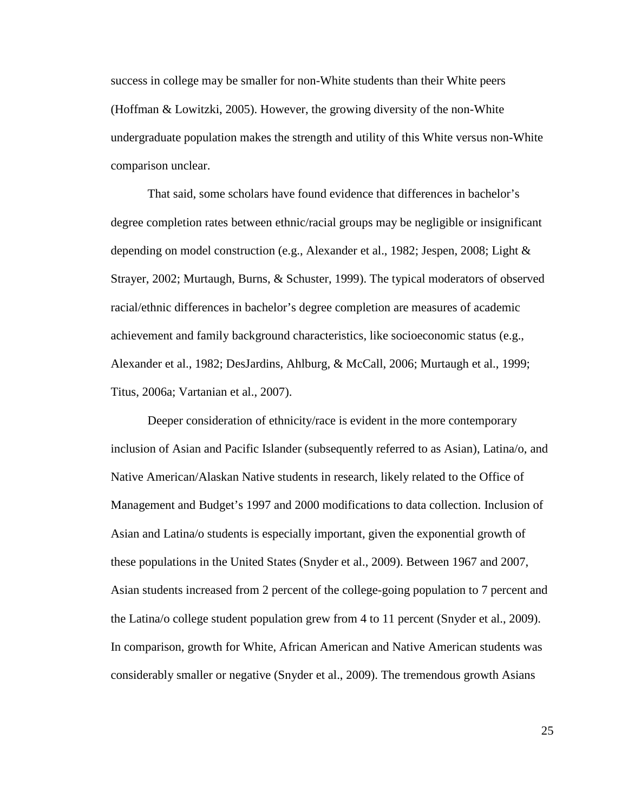success in college may be smaller for non-White students than their White peers (Hoffman & Lowitzki, 2005). However, the growing diversity of the non-White undergraduate population makes the strength and utility of this White versus non-White comparison unclear.

That said, some scholars have found evidence that differences in bachelor's degree completion rates between ethnic/racial groups may be negligible or insignificant depending on model construction (e.g., Alexander et al., 1982; Jespen, 2008; Light & Strayer, 2002; Murtaugh, Burns, & Schuster, 1999). The typical moderators of observed racial/ethnic differences in bachelor's degree completion are measures of academic achievement and family background characteristics, like socioeconomic status (e.g., Alexander et al., 1982; DesJardins, Ahlburg, & McCall, 2006; Murtaugh et al., 1999; Titus, 2006a; Vartanian et al., 2007).

Deeper consideration of ethnicity/race is evident in the more contemporary inclusion of Asian and Pacific Islander (subsequently referred to as Asian), Latina/o, and Native American/Alaskan Native students in research, likely related to the Office of Management and Budget's 1997 and 2000 modifications to data collection. Inclusion of Asian and Latina/o students is especially important, given the exponential growth of these populations in the United States (Snyder et al., 2009). Between 1967 and 2007, Asian students increased from 2 percent of the college-going population to 7 percent and the Latina/o college student population grew from 4 to 11 percent (Snyder et al., 2009). In comparison, growth for White, African American and Native American students was considerably smaller or negative (Snyder et al., 2009). The tremendous growth Asians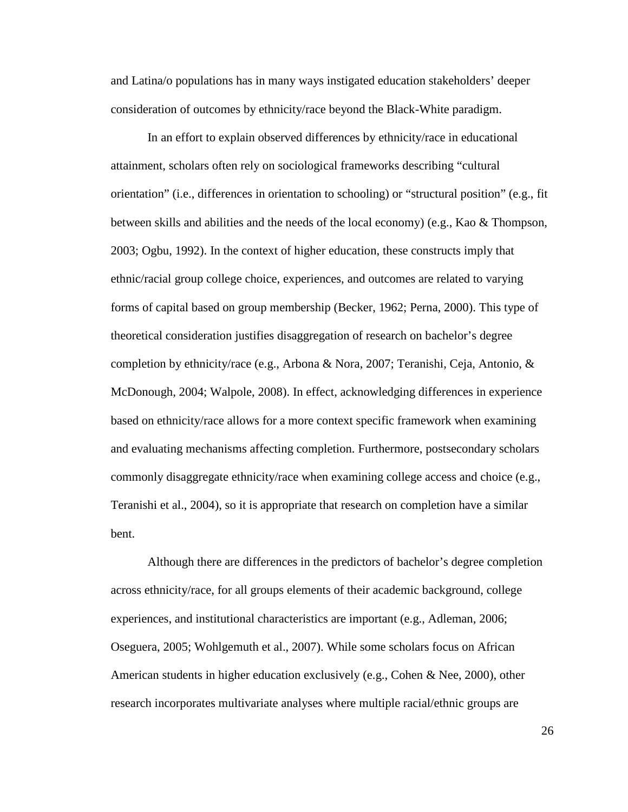and Latina/o populations has in many ways instigated education stakeholders' deeper consideration of outcomes by ethnicity/race beyond the Black-White paradigm.

In an effort to explain observed differences by ethnicity/race in educational attainment, scholars often rely on sociological frameworks describing "cultural orientation" (i.e., differences in orientation to schooling) or "structural position" (e.g., fit between skills and abilities and the needs of the local economy) (e.g., Kao & Thompson, 2003; Ogbu, 1992). In the context of higher education, these constructs imply that ethnic/racial group college choice, experiences, and outcomes are related to varying forms of capital based on group membership (Becker, 1962; Perna, 2000). This type of theoretical consideration justifies disaggregation of research on bachelor's degree completion by ethnicity/race (e.g., Arbona & Nora, 2007; Teranishi, Ceja, Antonio, & McDonough, 2004; Walpole, 2008). In effect, acknowledging differences in experience based on ethnicity/race allows for a more context specific framework when examining and evaluating mechanisms affecting completion. Furthermore, postsecondary scholars commonly disaggregate ethnicity/race when examining college access and choice (e.g., Teranishi et al., 2004), so it is appropriate that research on completion have a similar bent.

Although there are differences in the predictors of bachelor's degree completion across ethnicity/race, for all groups elements of their academic background, college experiences, and institutional characteristics are important (e.g., Adleman, 2006; Oseguera, 2005; Wohlgemuth et al., 2007). While some scholars focus on African American students in higher education exclusively (e.g., Cohen & Nee, 2000), other research incorporates multivariate analyses where multiple racial/ethnic groups are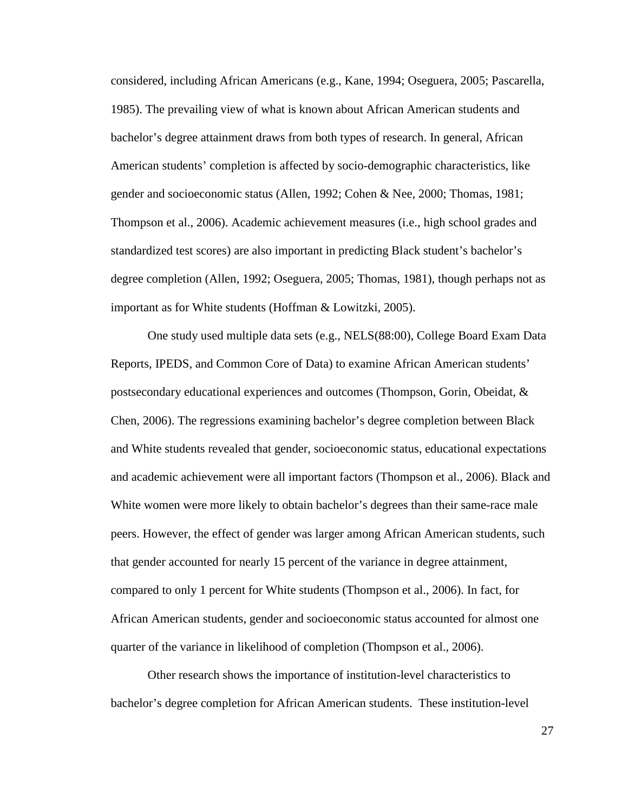considered, including African Americans (e.g., Kane, 1994; Oseguera, 2005; Pascarella, 1985). The prevailing view of what is known about African American students and bachelor's degree attainment draws from both types of research. In general, African American students' completion is affected by socio-demographic characteristics, like gender and socioeconomic status (Allen, 1992; Cohen & Nee, 2000; Thomas, 1981; Thompson et al., 2006). Academic achievement measures (i.e., high school grades and standardized test scores) are also important in predicting Black student's bachelor's degree completion (Allen, 1992; Oseguera, 2005; Thomas, 1981), though perhaps not as important as for White students (Hoffman & Lowitzki, 2005).

One study used multiple data sets (e.g., NELS(88:00), College Board Exam Data Reports, IPEDS, and Common Core of Data) to examine African American students' postsecondary educational experiences and outcomes (Thompson, Gorin, Obeidat, & Chen, 2006). The regressions examining bachelor's degree completion between Black and White students revealed that gender, socioeconomic status, educational expectations and academic achievement were all important factors (Thompson et al., 2006). Black and White women were more likely to obtain bachelor's degrees than their same-race male peers. However, the effect of gender was larger among African American students, such that gender accounted for nearly 15 percent of the variance in degree attainment, compared to only 1 percent for White students (Thompson et al., 2006). In fact, for African American students, gender and socioeconomic status accounted for almost one quarter of the variance in likelihood of completion (Thompson et al., 2006).

Other research shows the importance of institution-level characteristics to bachelor's degree completion for African American students. These institution-level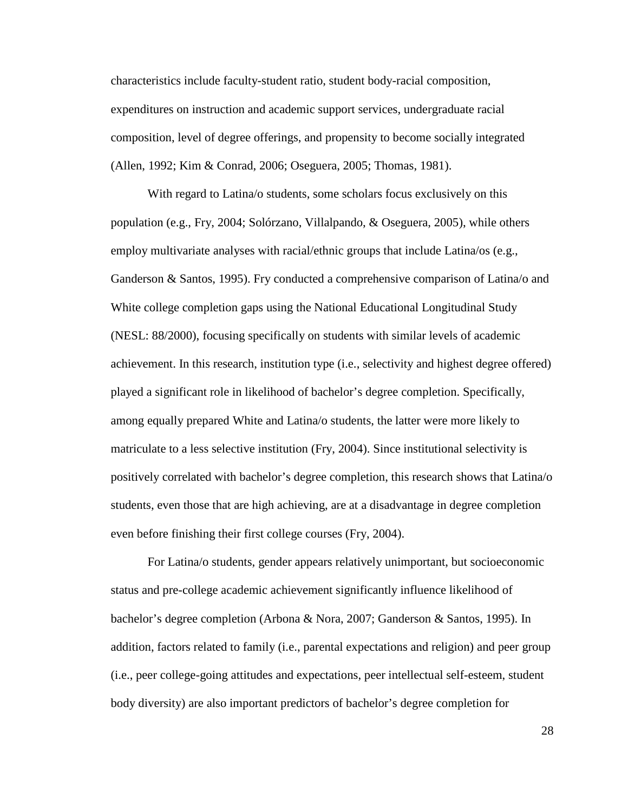characteristics include faculty-student ratio, student body-racial composition, expenditures on instruction and academic support services, undergraduate racial composition, level of degree offerings, and propensity to become socially integrated (Allen, 1992; Kim & Conrad, 2006; Oseguera, 2005; Thomas, 1981).

With regard to Latina/o students, some scholars focus exclusively on this population (e.g., Fry, 2004; Solórzano, Villalpando, & Oseguera, 2005), while others employ multivariate analyses with racial/ethnic groups that include Latina/os (e.g., Ganderson & Santos, 1995). Fry conducted a comprehensive comparison of Latina/o and White college completion gaps using the National Educational Longitudinal Study (NESL: 88/2000), focusing specifically on students with similar levels of academic achievement. In this research, institution type (i.e., selectivity and highest degree offered) played a significant role in likelihood of bachelor's degree completion. Specifically, among equally prepared White and Latina/o students, the latter were more likely to matriculate to a less selective institution (Fry, 2004). Since institutional selectivity is positively correlated with bachelor's degree completion, this research shows that Latina/o students, even those that are high achieving, are at a disadvantage in degree completion even before finishing their first college courses (Fry, 2004).

For Latina/o students, gender appears relatively unimportant, but socioeconomic status and pre-college academic achievement significantly influence likelihood of bachelor's degree completion (Arbona & Nora, 2007; Ganderson & Santos, 1995). In addition, factors related to family (i.e., parental expectations and religion) and peer group (i.e., peer college-going attitudes and expectations, peer intellectual self-esteem, student body diversity) are also important predictors of bachelor's degree completion for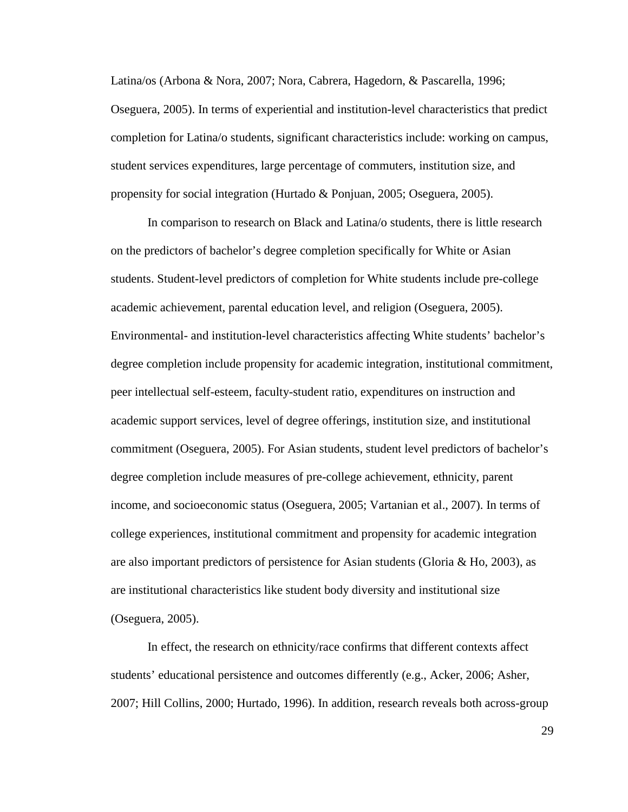Latina/os (Arbona & Nora, 2007; Nora, Cabrera, Hagedorn, & Pascarella, 1996; Oseguera, 2005). In terms of experiential and institution-level characteristics that predict completion for Latina/o students, significant characteristics include: working on campus, student services expenditures, large percentage of commuters, institution size, and propensity for social integration (Hurtado & Ponjuan, 2005; Oseguera, 2005).

In comparison to research on Black and Latina/o students, there is little research on the predictors of bachelor's degree completion specifically for White or Asian students. Student-level predictors of completion for White students include pre-college academic achievement, parental education level, and religion (Oseguera, 2005). Environmental- and institution-level characteristics affecting White students' bachelor's degree completion include propensity for academic integration, institutional commitment, peer intellectual self-esteem, faculty-student ratio, expenditures on instruction and academic support services, level of degree offerings, institution size, and institutional commitment (Oseguera, 2005). For Asian students, student level predictors of bachelor's degree completion include measures of pre-college achievement, ethnicity, parent income, and socioeconomic status (Oseguera, 2005; Vartanian et al., 2007). In terms of college experiences, institutional commitment and propensity for academic integration are also important predictors of persistence for Asian students (Gloria  $\&$  Ho, 2003), as are institutional characteristics like student body diversity and institutional size (Oseguera, 2005).

In effect, the research on ethnicity/race confirms that different contexts affect students' educational persistence and outcomes differently (e.g., Acker, 2006; Asher, 2007; Hill Collins, 2000; Hurtado, 1996). In addition, research reveals both across-group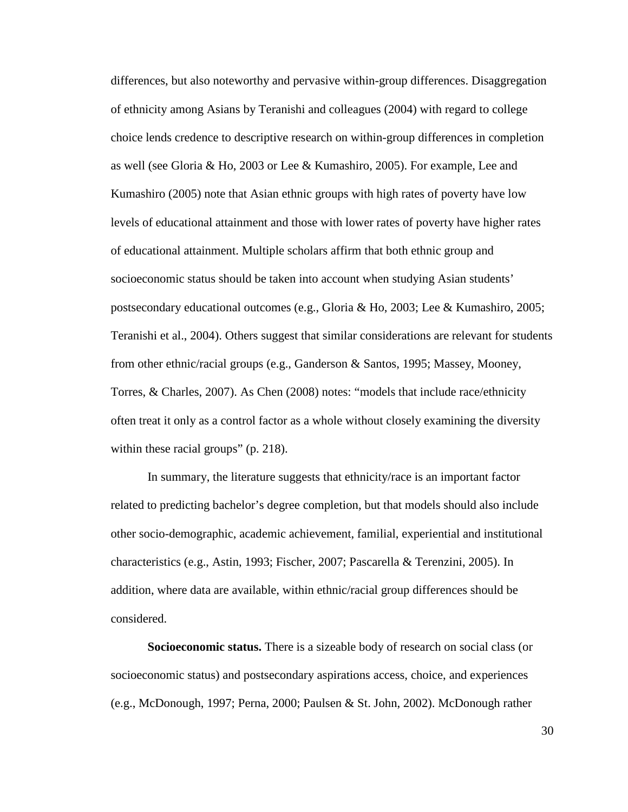differences, but also noteworthy and pervasive within-group differences. Disaggregation of ethnicity among Asians by Teranishi and colleagues (2004) with regard to college choice lends credence to descriptive research on within-group differences in completion as well (see Gloria & Ho, 2003 or Lee & Kumashiro, 2005). For example, Lee and Kumashiro (2005) note that Asian ethnic groups with high rates of poverty have low levels of educational attainment and those with lower rates of poverty have higher rates of educational attainment. Multiple scholars affirm that both ethnic group and socioeconomic status should be taken into account when studying Asian students' postsecondary educational outcomes (e.g., Gloria & Ho, 2003; Lee & Kumashiro, 2005; Teranishi et al., 2004). Others suggest that similar considerations are relevant for students from other ethnic/racial groups (e.g., Ganderson & Santos, 1995; Massey, Mooney, Torres, & Charles, 2007). As Chen (2008) notes: "models that include race/ethnicity often treat it only as a control factor as a whole without closely examining the diversity within these racial groups" (p. 218).

In summary, the literature suggests that ethnicity/race is an important factor related to predicting bachelor's degree completion, but that models should also include other socio-demographic, academic achievement, familial, experiential and institutional characteristics (e.g., Astin, 1993; Fischer, 2007; Pascarella & Terenzini, 2005). In addition, where data are available, within ethnic/racial group differences should be considered.

**Socioeconomic status.** There is a sizeable body of research on social class (or socioeconomic status) and postsecondary aspirations access, choice, and experiences (e.g., McDonough, 1997; Perna, 2000; Paulsen & St. John, 2002). McDonough rather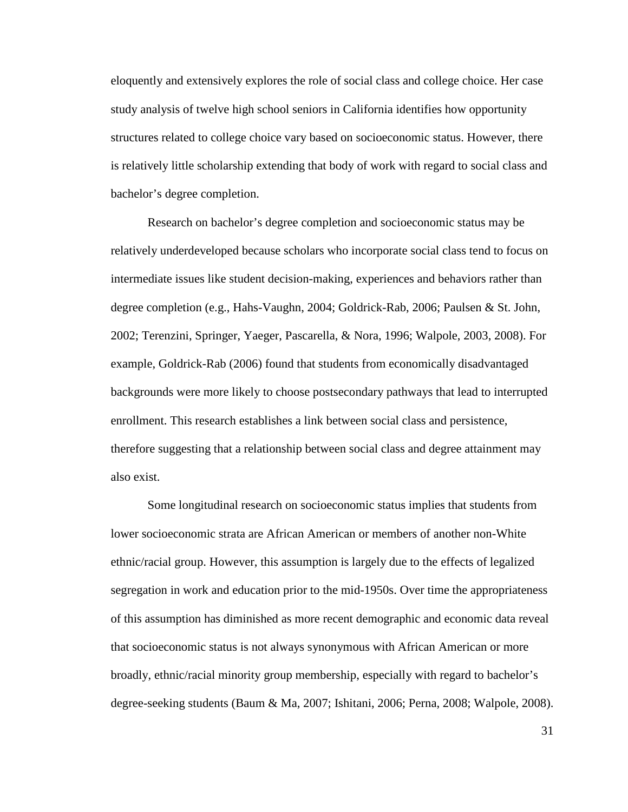eloquently and extensively explores the role of social class and college choice. Her case study analysis of twelve high school seniors in California identifies how opportunity structures related to college choice vary based on socioeconomic status. However, there is relatively little scholarship extending that body of work with regard to social class and bachelor's degree completion.

Research on bachelor's degree completion and socioeconomic status may be relatively underdeveloped because scholars who incorporate social class tend to focus on intermediate issues like student decision-making, experiences and behaviors rather than degree completion (e.g., Hahs-Vaughn, 2004; Goldrick-Rab, 2006; Paulsen & St. John, 2002; Terenzini, Springer, Yaeger, Pascarella, & Nora, 1996; Walpole, 2003, 2008). For example, Goldrick-Rab (2006) found that students from economically disadvantaged backgrounds were more likely to choose postsecondary pathways that lead to interrupted enrollment. This research establishes a link between social class and persistence, therefore suggesting that a relationship between social class and degree attainment may also exist.

Some longitudinal research on socioeconomic status implies that students from lower socioeconomic strata are African American or members of another non-White ethnic/racial group. However, this assumption is largely due to the effects of legalized segregation in work and education prior to the mid-1950s. Over time the appropriateness of this assumption has diminished as more recent demographic and economic data reveal that socioeconomic status is not always synonymous with African American or more broadly, ethnic/racial minority group membership, especially with regard to bachelor's degree-seeking students (Baum & Ma, 2007; Ishitani, 2006; Perna, 2008; Walpole, 2008).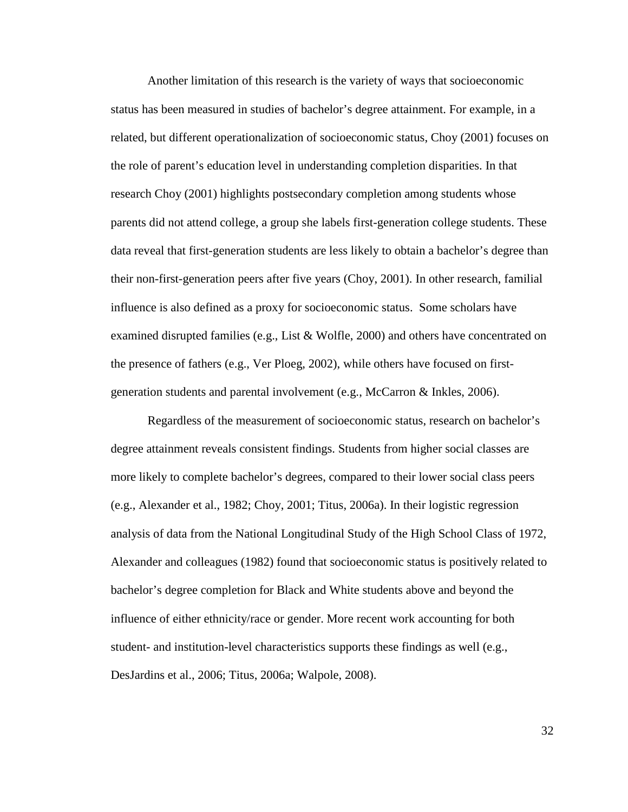Another limitation of this research is the variety of ways that socioeconomic status has been measured in studies of bachelor's degree attainment. For example, in a related, but different operationalization of socioeconomic status, Choy (2001) focuses on the role of parent's education level in understanding completion disparities. In that research Choy (2001) highlights postsecondary completion among students whose parents did not attend college, a group she labels first-generation college students. These data reveal that first-generation students are less likely to obtain a bachelor's degree than their non-first-generation peers after five years (Choy, 2001). In other research, familial influence is also defined as a proxy for socioeconomic status. Some scholars have examined disrupted families (e.g., List & Wolfle, 2000) and others have concentrated on the presence of fathers (e.g., Ver Ploeg, 2002), while others have focused on firstgeneration students and parental involvement (e.g., McCarron & Inkles, 2006).

Regardless of the measurement of socioeconomic status, research on bachelor's degree attainment reveals consistent findings. Students from higher social classes are more likely to complete bachelor's degrees, compared to their lower social class peers (e.g., Alexander et al., 1982; Choy, 2001; Titus, 2006a). In their logistic regression analysis of data from the National Longitudinal Study of the High School Class of 1972, Alexander and colleagues (1982) found that socioeconomic status is positively related to bachelor's degree completion for Black and White students above and beyond the influence of either ethnicity/race or gender. More recent work accounting for both student- and institution-level characteristics supports these findings as well (e.g., DesJardins et al., 2006; Titus, 2006a; Walpole, 2008).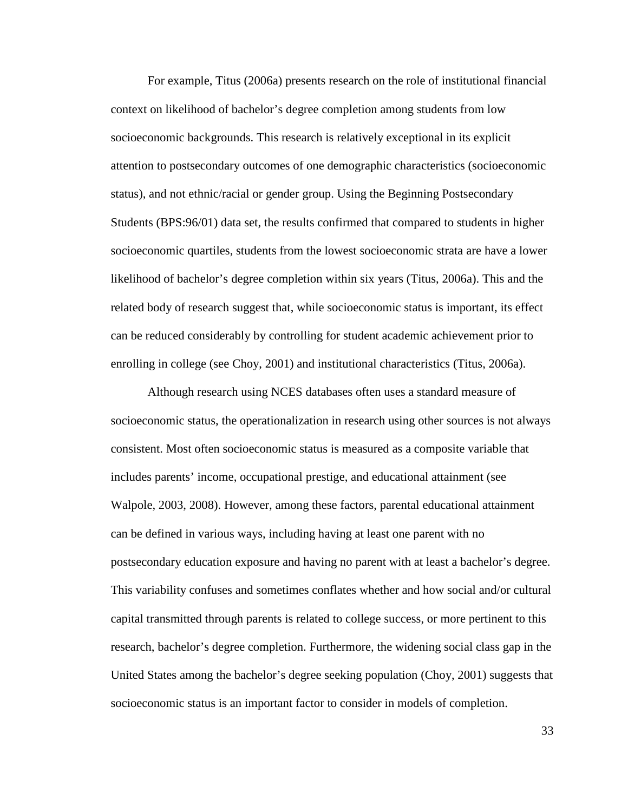For example, Titus (2006a) presents research on the role of institutional financial context on likelihood of bachelor's degree completion among students from low socioeconomic backgrounds. This research is relatively exceptional in its explicit attention to postsecondary outcomes of one demographic characteristics (socioeconomic status), and not ethnic/racial or gender group. Using the Beginning Postsecondary Students (BPS:96/01) data set, the results confirmed that compared to students in higher socioeconomic quartiles, students from the lowest socioeconomic strata are have a lower likelihood of bachelor's degree completion within six years (Titus, 2006a). This and the related body of research suggest that, while socioeconomic status is important, its effect can be reduced considerably by controlling for student academic achievement prior to enrolling in college (see Choy, 2001) and institutional characteristics (Titus, 2006a).

Although research using NCES databases often uses a standard measure of socioeconomic status, the operationalization in research using other sources is not always consistent. Most often socioeconomic status is measured as a composite variable that includes parents' income, occupational prestige, and educational attainment (see Walpole, 2003, 2008). However, among these factors, parental educational attainment can be defined in various ways, including having at least one parent with no postsecondary education exposure and having no parent with at least a bachelor's degree. This variability confuses and sometimes conflates whether and how social and/or cultural capital transmitted through parents is related to college success, or more pertinent to this research, bachelor's degree completion. Furthermore, the widening social class gap in the United States among the bachelor's degree seeking population (Choy, 2001) suggests that socioeconomic status is an important factor to consider in models of completion.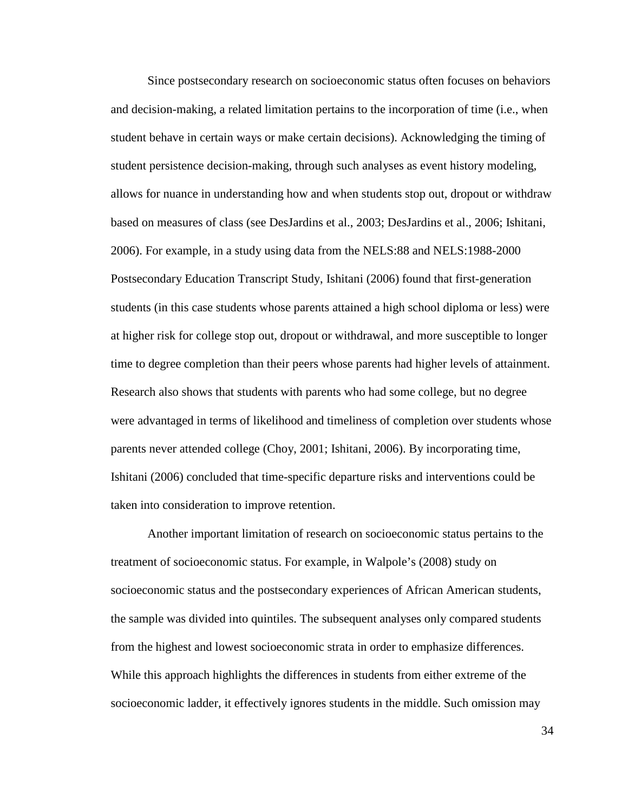Since postsecondary research on socioeconomic status often focuses on behaviors and decision-making, a related limitation pertains to the incorporation of time (i.e., when student behave in certain ways or make certain decisions). Acknowledging the timing of student persistence decision-making, through such analyses as event history modeling, allows for nuance in understanding how and when students stop out, dropout or withdraw based on measures of class (see DesJardins et al., 2003; DesJardins et al., 2006; Ishitani, 2006). For example, in a study using data from the NELS:88 and NELS:1988-2000 Postsecondary Education Transcript Study, Ishitani (2006) found that first-generation students (in this case students whose parents attained a high school diploma or less) were at higher risk for college stop out, dropout or withdrawal, and more susceptible to longer time to degree completion than their peers whose parents had higher levels of attainment. Research also shows that students with parents who had some college, but no degree were advantaged in terms of likelihood and timeliness of completion over students whose parents never attended college (Choy, 2001; Ishitani, 2006). By incorporating time, Ishitani (2006) concluded that time-specific departure risks and interventions could be taken into consideration to improve retention.

 Another important limitation of research on socioeconomic status pertains to the treatment of socioeconomic status. For example, in Walpole's (2008) study on socioeconomic status and the postsecondary experiences of African American students, the sample was divided into quintiles. The subsequent analyses only compared students from the highest and lowest socioeconomic strata in order to emphasize differences. While this approach highlights the differences in students from either extreme of the socioeconomic ladder, it effectively ignores students in the middle. Such omission may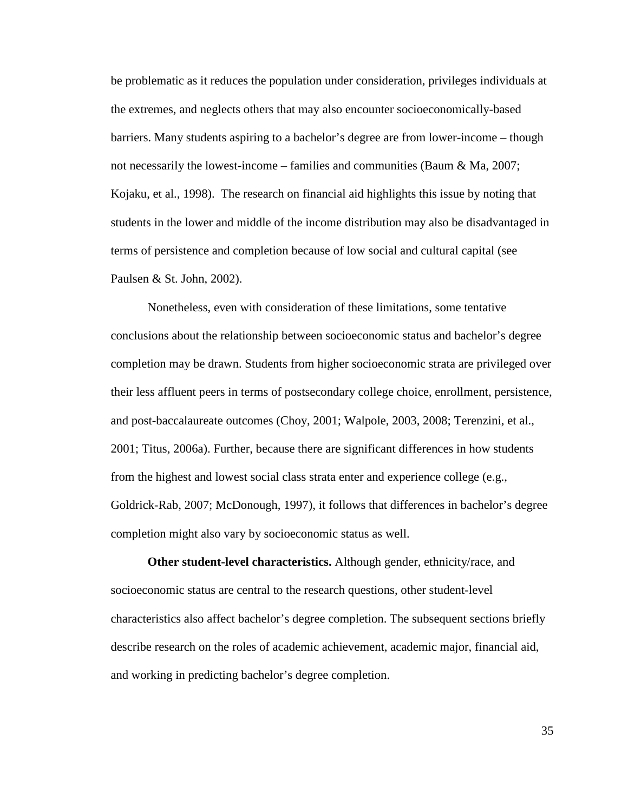be problematic as it reduces the population under consideration, privileges individuals at the extremes, and neglects others that may also encounter socioeconomically-based barriers. Many students aspiring to a bachelor's degree are from lower-income – though not necessarily the lowest-income – families and communities (Baum & Ma, 2007; Kojaku, et al., 1998). The research on financial aid highlights this issue by noting that students in the lower and middle of the income distribution may also be disadvantaged in terms of persistence and completion because of low social and cultural capital (see Paulsen & St. John, 2002).

 Nonetheless, even with consideration of these limitations, some tentative conclusions about the relationship between socioeconomic status and bachelor's degree completion may be drawn. Students from higher socioeconomic strata are privileged over their less affluent peers in terms of postsecondary college choice, enrollment, persistence, and post-baccalaureate outcomes (Choy, 2001; Walpole, 2003, 2008; Terenzini, et al., 2001; Titus, 2006a). Further, because there are significant differences in how students from the highest and lowest social class strata enter and experience college (e.g., Goldrick-Rab, 2007; McDonough, 1997), it follows that differences in bachelor's degree completion might also vary by socioeconomic status as well.

**Other student-level characteristics.** Although gender, ethnicity/race, and socioeconomic status are central to the research questions, other student-level characteristics also affect bachelor's degree completion. The subsequent sections briefly describe research on the roles of academic achievement, academic major, financial aid, and working in predicting bachelor's degree completion.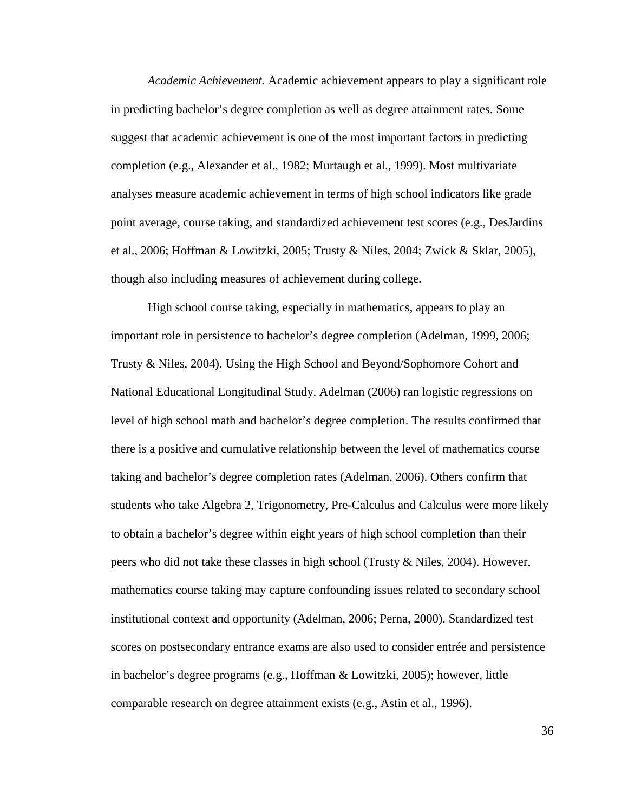*Academic Achievement.* Academic achievement appears to play a significant role in predicting bachelor's degree completion as well as degree attainment rates. Some suggest that academic achievement is one of the most important factors in predicting completion (e.g., Alexander et al., 1982; Murtaugh et al., 1999). Most multivariate analyses measure academic achievement in terms of high school indicators like grade point average, course taking, and standardized achievement test scores (e.g., DesJardins et al., 2006; Hoffman & Lowitzki, 2005; Trusty & Niles, 2004; Zwick & Sklar, 2005), though also including measures of achievement during college.

High school course taking, especially in mathematics, appears to play an important role in persistence to bachelor's degree completion (Adelman, 1999, 2006; Trusty & Niles, 2004). Using the High School and Beyond/Sophomore Cohort and National Educational Longitudinal Study, Adelman (2006) ran logistic regressions on level of high school math and bachelor's degree completion. The results confirmed that there is a positive and cumulative relationship between the level of mathematics course taking and bachelor's degree completion rates (Adelman, 2006). Others confirm that students who take Algebra 2, Trigonometry, Pre-Calculus and Calculus were more likely to obtain a bachelor's degree within eight years of high school completion than their peers who did not take these classes in high school (Trusty & Niles, 2004). However, mathematics course taking may capture confounding issues related to secondary school institutional context and opportunity (Adelman, 2006; Perna, 2000). Standardized test scores on postsecondary entrance exams are also used to consider entrée and persistence in bachelor's degree programs (e.g., Hoffman & Lowitzki, 2005); however, little comparable research on degree attainment exists (e.g., Astin et al., 1996).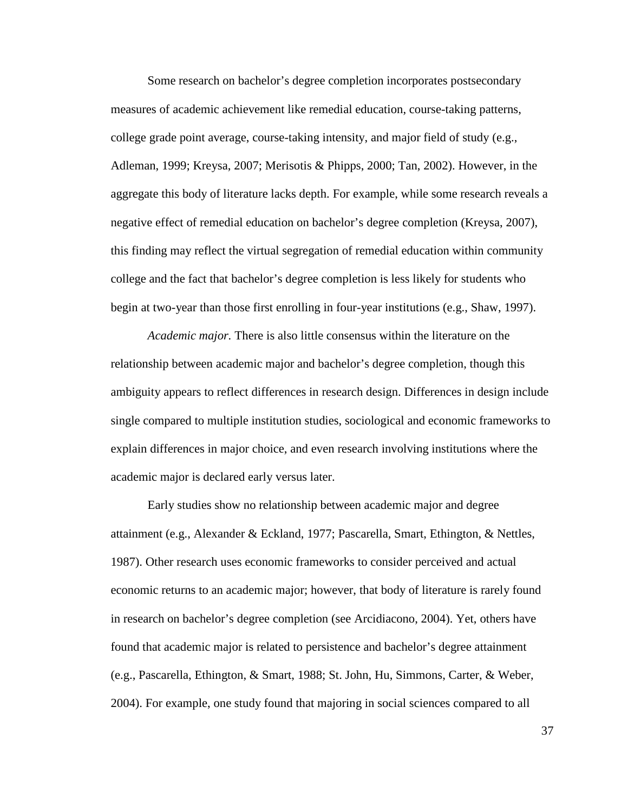Some research on bachelor's degree completion incorporates postsecondary measures of academic achievement like remedial education, course-taking patterns, college grade point average, course-taking intensity, and major field of study (e.g., Adleman, 1999; Kreysa, 2007; Merisotis & Phipps, 2000; Tan, 2002). However, in the aggregate this body of literature lacks depth. For example, while some research reveals a negative effect of remedial education on bachelor's degree completion (Kreysa, 2007), this finding may reflect the virtual segregation of remedial education within community college and the fact that bachelor's degree completion is less likely for students who begin at two-year than those first enrolling in four-year institutions (e.g., Shaw, 1997).

*Academic major.* There is also little consensus within the literature on the relationship between academic major and bachelor's degree completion, though this ambiguity appears to reflect differences in research design. Differences in design include single compared to multiple institution studies, sociological and economic frameworks to explain differences in major choice, and even research involving institutions where the academic major is declared early versus later.

Early studies show no relationship between academic major and degree attainment (e.g., Alexander & Eckland, 1977; Pascarella, Smart, Ethington, & Nettles, 1987). Other research uses economic frameworks to consider perceived and actual economic returns to an academic major; however, that body of literature is rarely found in research on bachelor's degree completion (see Arcidiacono, 2004). Yet, others have found that academic major is related to persistence and bachelor's degree attainment (e.g., Pascarella, Ethington, & Smart, 1988; St. John, Hu, Simmons, Carter, & Weber, 2004). For example, one study found that majoring in social sciences compared to all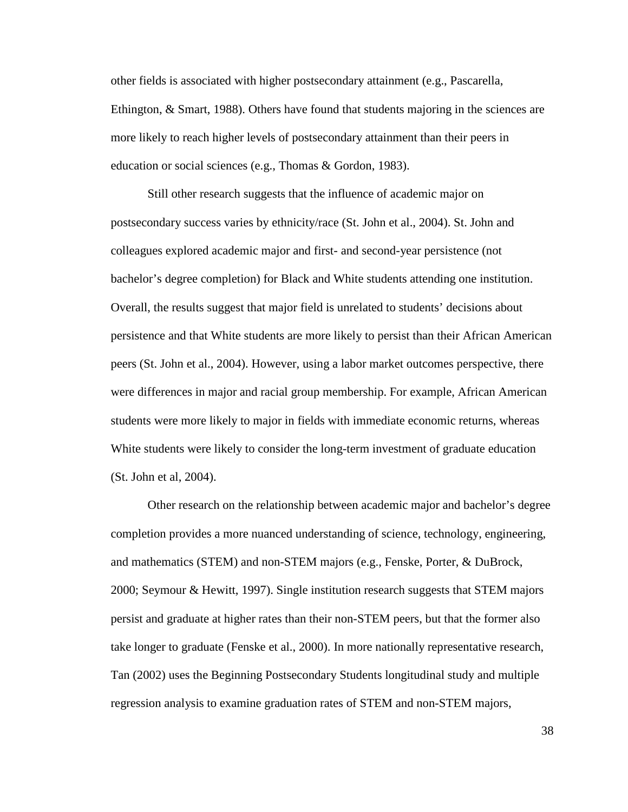other fields is associated with higher postsecondary attainment (e.g., Pascarella, Ethington, & Smart, 1988). Others have found that students majoring in the sciences are more likely to reach higher levels of postsecondary attainment than their peers in education or social sciences (e.g., Thomas & Gordon, 1983).

Still other research suggests that the influence of academic major on postsecondary success varies by ethnicity/race (St. John et al., 2004). St. John and colleagues explored academic major and first- and second-year persistence (not bachelor's degree completion) for Black and White students attending one institution. Overall, the results suggest that major field is unrelated to students' decisions about persistence and that White students are more likely to persist than their African American peers (St. John et al., 2004). However, using a labor market outcomes perspective, there were differences in major and racial group membership. For example, African American students were more likely to major in fields with immediate economic returns, whereas White students were likely to consider the long-term investment of graduate education (St. John et al, 2004).

Other research on the relationship between academic major and bachelor's degree completion provides a more nuanced understanding of science, technology, engineering, and mathematics (STEM) and non-STEM majors (e.g., Fenske, Porter, & DuBrock, 2000; Seymour & Hewitt, 1997). Single institution research suggests that STEM majors persist and graduate at higher rates than their non-STEM peers, but that the former also take longer to graduate (Fenske et al., 2000). In more nationally representative research, Tan (2002) uses the Beginning Postsecondary Students longitudinal study and multiple regression analysis to examine graduation rates of STEM and non-STEM majors,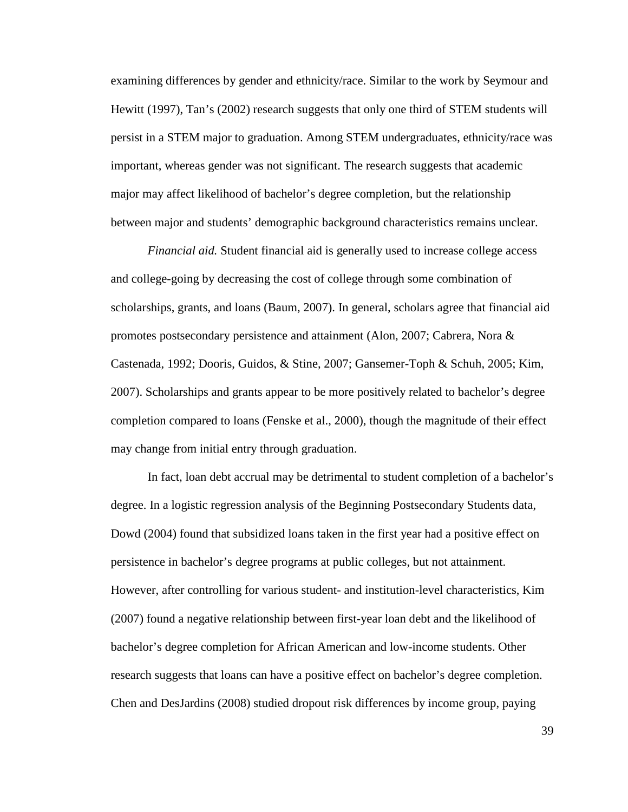examining differences by gender and ethnicity/race. Similar to the work by Seymour and Hewitt (1997), Tan's (2002) research suggests that only one third of STEM students will persist in a STEM major to graduation. Among STEM undergraduates, ethnicity/race was important, whereas gender was not significant. The research suggests that academic major may affect likelihood of bachelor's degree completion, but the relationship between major and students' demographic background characteristics remains unclear.

*Financial aid.* Student financial aid is generally used to increase college access and college-going by decreasing the cost of college through some combination of scholarships, grants, and loans (Baum, 2007). In general, scholars agree that financial aid promotes postsecondary persistence and attainment (Alon, 2007; Cabrera, Nora & Castenada, 1992; Dooris, Guidos, & Stine, 2007; Gansemer-Toph & Schuh, 2005; Kim, 2007). Scholarships and grants appear to be more positively related to bachelor's degree completion compared to loans (Fenske et al., 2000), though the magnitude of their effect may change from initial entry through graduation.

In fact, loan debt accrual may be detrimental to student completion of a bachelor's degree. In a logistic regression analysis of the Beginning Postsecondary Students data, Dowd (2004) found that subsidized loans taken in the first year had a positive effect on persistence in bachelor's degree programs at public colleges, but not attainment. However, after controlling for various student- and institution-level characteristics, Kim (2007) found a negative relationship between first-year loan debt and the likelihood of bachelor's degree completion for African American and low-income students. Other research suggests that loans can have a positive effect on bachelor's degree completion. Chen and DesJardins (2008) studied dropout risk differences by income group, paying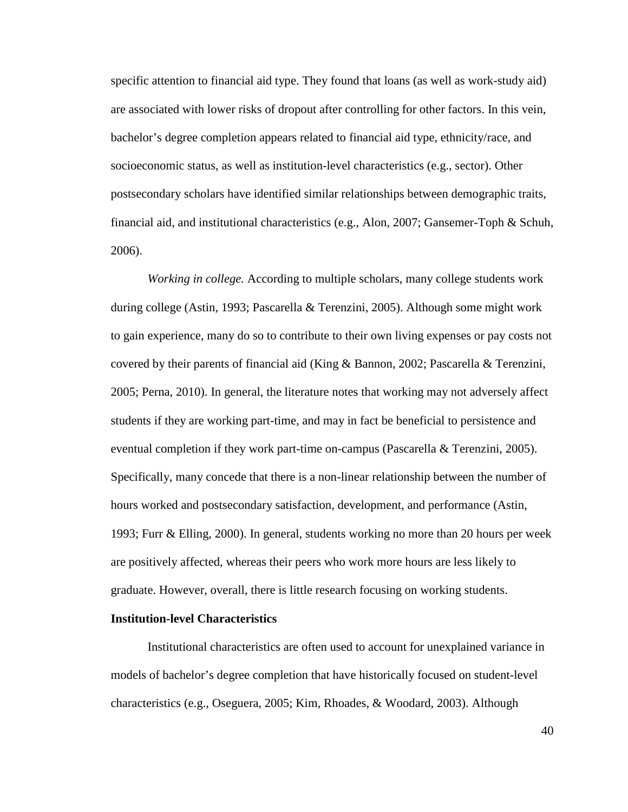specific attention to financial aid type. They found that loans (as well as work-study aid) are associated with lower risks of dropout after controlling for other factors. In this vein, bachelor's degree completion appears related to financial aid type, ethnicity/race, and socioeconomic status, as well as institution-level characteristics (e.g., sector). Other postsecondary scholars have identified similar relationships between demographic traits, financial aid, and institutional characteristics (e.g., Alon, 2007; Gansemer-Toph & Schuh, 2006).

*Working in college.* According to multiple scholars, many college students work during college (Astin, 1993; Pascarella & Terenzini, 2005). Although some might work to gain experience, many do so to contribute to their own living expenses or pay costs not covered by their parents of financial aid (King & Bannon, 2002; Pascarella & Terenzini, 2005; Perna, 2010). In general, the literature notes that working may not adversely affect students if they are working part-time, and may in fact be beneficial to persistence and eventual completion if they work part-time on-campus (Pascarella & Terenzini, 2005). Specifically, many concede that there is a non-linear relationship between the number of hours worked and postsecondary satisfaction, development, and performance (Astin, 1993; Furr & Elling, 2000). In general, students working no more than 20 hours per week are positively affected, whereas their peers who work more hours are less likely to graduate. However, overall, there is little research focusing on working students.

## **Institution-level Characteristics**

 Institutional characteristics are often used to account for unexplained variance in models of bachelor's degree completion that have historically focused on student-level characteristics (e.g., Oseguera, 2005; Kim, Rhoades, & Woodard, 2003). Although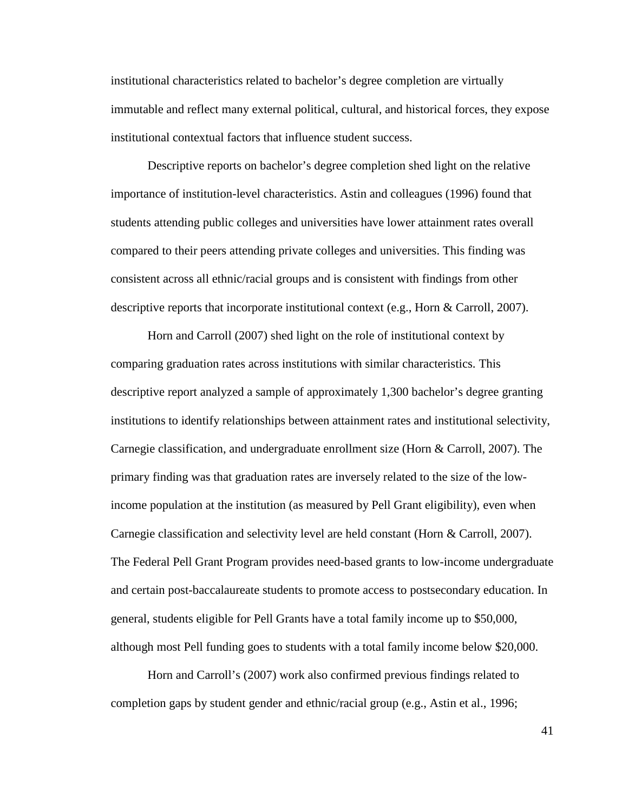institutional characteristics related to bachelor's degree completion are virtually immutable and reflect many external political, cultural, and historical forces, they expose institutional contextual factors that influence student success.

Descriptive reports on bachelor's degree completion shed light on the relative importance of institution-level characteristics. Astin and colleagues (1996) found that students attending public colleges and universities have lower attainment rates overall compared to their peers attending private colleges and universities. This finding was consistent across all ethnic/racial groups and is consistent with findings from other descriptive reports that incorporate institutional context (e.g., Horn & Carroll, 2007).

Horn and Carroll (2007) shed light on the role of institutional context by comparing graduation rates across institutions with similar characteristics. This descriptive report analyzed a sample of approximately 1,300 bachelor's degree granting institutions to identify relationships between attainment rates and institutional selectivity, Carnegie classification, and undergraduate enrollment size (Horn & Carroll, 2007). The primary finding was that graduation rates are inversely related to the size of the lowincome population at the institution (as measured by Pell Grant eligibility), even when Carnegie classification and selectivity level are held constant (Horn & Carroll, 2007). The Federal Pell Grant Program provides need-based grants to low-income undergraduate and certain post-baccalaureate students to promote access to postsecondary education. In general, students eligible for Pell Grants have a total family income up to \$50,000, although most Pell funding goes to students with a total family income below \$20,000.

Horn and Carroll's (2007) work also confirmed previous findings related to completion gaps by student gender and ethnic/racial group (e.g., Astin et al., 1996;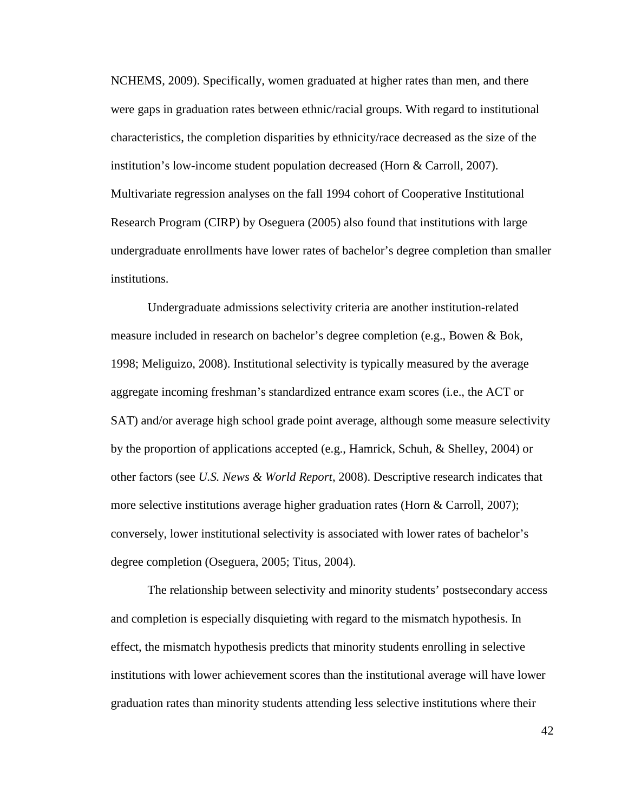NCHEMS, 2009). Specifically, women graduated at higher rates than men, and there were gaps in graduation rates between ethnic/racial groups. With regard to institutional characteristics, the completion disparities by ethnicity/race decreased as the size of the institution's low-income student population decreased (Horn & Carroll, 2007). Multivariate regression analyses on the fall 1994 cohort of Cooperative Institutional Research Program (CIRP) by Oseguera (2005) also found that institutions with large undergraduate enrollments have lower rates of bachelor's degree completion than smaller institutions.

Undergraduate admissions selectivity criteria are another institution-related measure included in research on bachelor's degree completion (e.g., Bowen & Bok, 1998; Meliguizo, 2008). Institutional selectivity is typically measured by the average aggregate incoming freshman's standardized entrance exam scores (i.e., the ACT or SAT) and/or average high school grade point average, although some measure selectivity by the proportion of applications accepted (e.g., Hamrick, Schuh, & Shelley, 2004) or other factors (see *U.S. News & World Report*, 2008). Descriptive research indicates that more selective institutions average higher graduation rates (Horn & Carroll, 2007); conversely, lower institutional selectivity is associated with lower rates of bachelor's degree completion (Oseguera, 2005; Titus, 2004).

The relationship between selectivity and minority students' postsecondary access and completion is especially disquieting with regard to the mismatch hypothesis. In effect, the mismatch hypothesis predicts that minority students enrolling in selective institutions with lower achievement scores than the institutional average will have lower graduation rates than minority students attending less selective institutions where their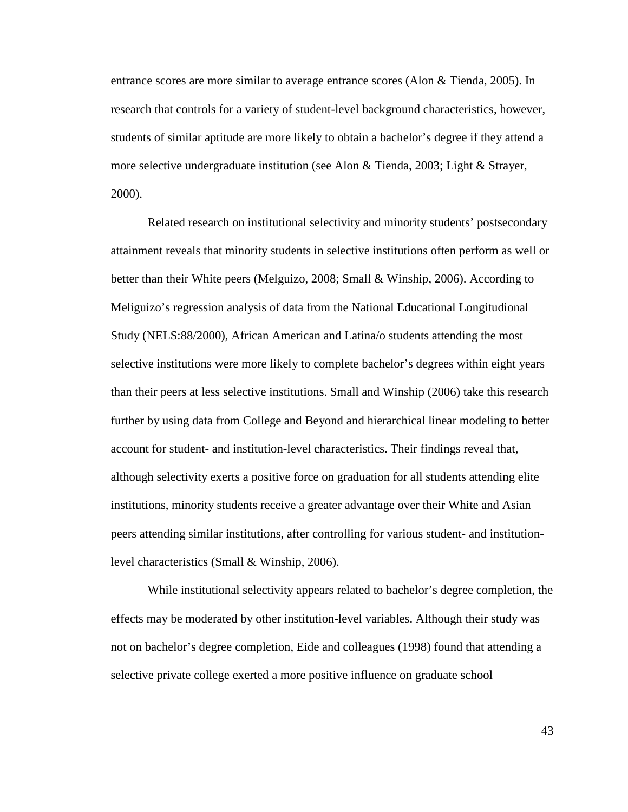entrance scores are more similar to average entrance scores (Alon & Tienda, 2005). In research that controls for a variety of student-level background characteristics, however, students of similar aptitude are more likely to obtain a bachelor's degree if they attend a more selective undergraduate institution (see Alon & Tienda, 2003; Light & Strayer, 2000).

Related research on institutional selectivity and minority students' postsecondary attainment reveals that minority students in selective institutions often perform as well or better than their White peers (Melguizo, 2008; Small & Winship, 2006). According to Meliguizo's regression analysis of data from the National Educational Longitudional Study (NELS:88/2000), African American and Latina/o students attending the most selective institutions were more likely to complete bachelor's degrees within eight years than their peers at less selective institutions. Small and Winship (2006) take this research further by using data from College and Beyond and hierarchical linear modeling to better account for student- and institution-level characteristics. Their findings reveal that, although selectivity exerts a positive force on graduation for all students attending elite institutions, minority students receive a greater advantage over their White and Asian peers attending similar institutions, after controlling for various student- and institutionlevel characteristics (Small & Winship, 2006).

 While institutional selectivity appears related to bachelor's degree completion, the effects may be moderated by other institution-level variables. Although their study was not on bachelor's degree completion, Eide and colleagues (1998) found that attending a selective private college exerted a more positive influence on graduate school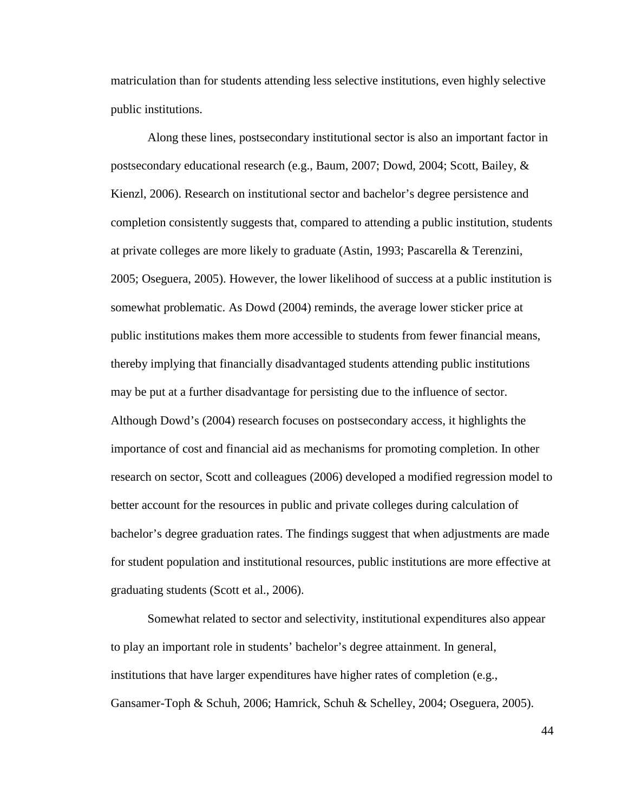matriculation than for students attending less selective institutions, even highly selective public institutions.

 Along these lines, postsecondary institutional sector is also an important factor in postsecondary educational research (e.g., Baum, 2007; Dowd, 2004; Scott, Bailey, & Kienzl, 2006). Research on institutional sector and bachelor's degree persistence and completion consistently suggests that, compared to attending a public institution, students at private colleges are more likely to graduate (Astin, 1993; Pascarella & Terenzini, 2005; Oseguera, 2005). However, the lower likelihood of success at a public institution is somewhat problematic. As Dowd (2004) reminds, the average lower sticker price at public institutions makes them more accessible to students from fewer financial means, thereby implying that financially disadvantaged students attending public institutions may be put at a further disadvantage for persisting due to the influence of sector. Although Dowd's (2004) research focuses on postsecondary access, it highlights the importance of cost and financial aid as mechanisms for promoting completion. In other research on sector, Scott and colleagues (2006) developed a modified regression model to better account for the resources in public and private colleges during calculation of bachelor's degree graduation rates. The findings suggest that when adjustments are made for student population and institutional resources, public institutions are more effective at graduating students (Scott et al., 2006).

Somewhat related to sector and selectivity, institutional expenditures also appear to play an important role in students' bachelor's degree attainment. In general, institutions that have larger expenditures have higher rates of completion (e.g., Gansamer-Toph & Schuh, 2006; Hamrick, Schuh & Schelley, 2004; Oseguera, 2005).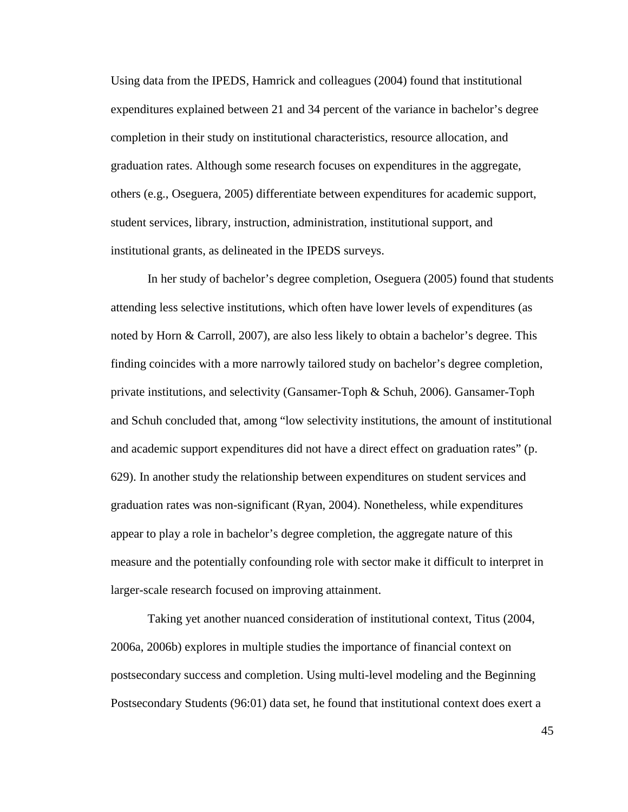Using data from the IPEDS, Hamrick and colleagues (2004) found that institutional expenditures explained between 21 and 34 percent of the variance in bachelor's degree completion in their study on institutional characteristics, resource allocation, and graduation rates. Although some research focuses on expenditures in the aggregate, others (e.g., Oseguera, 2005) differentiate between expenditures for academic support, student services, library, instruction, administration, institutional support, and institutional grants, as delineated in the IPEDS surveys.

In her study of bachelor's degree completion, Oseguera (2005) found that students attending less selective institutions, which often have lower levels of expenditures (as noted by Horn & Carroll, 2007), are also less likely to obtain a bachelor's degree. This finding coincides with a more narrowly tailored study on bachelor's degree completion, private institutions, and selectivity (Gansamer-Toph & Schuh, 2006). Gansamer-Toph and Schuh concluded that, among "low selectivity institutions, the amount of institutional and academic support expenditures did not have a direct effect on graduation rates" (p. 629). In another study the relationship between expenditures on student services and graduation rates was non-significant (Ryan, 2004). Nonetheless, while expenditures appear to play a role in bachelor's degree completion, the aggregate nature of this measure and the potentially confounding role with sector make it difficult to interpret in larger-scale research focused on improving attainment.

Taking yet another nuanced consideration of institutional context, Titus (2004, 2006a, 2006b) explores in multiple studies the importance of financial context on postsecondary success and completion. Using multi-level modeling and the Beginning Postsecondary Students (96:01) data set, he found that institutional context does exert a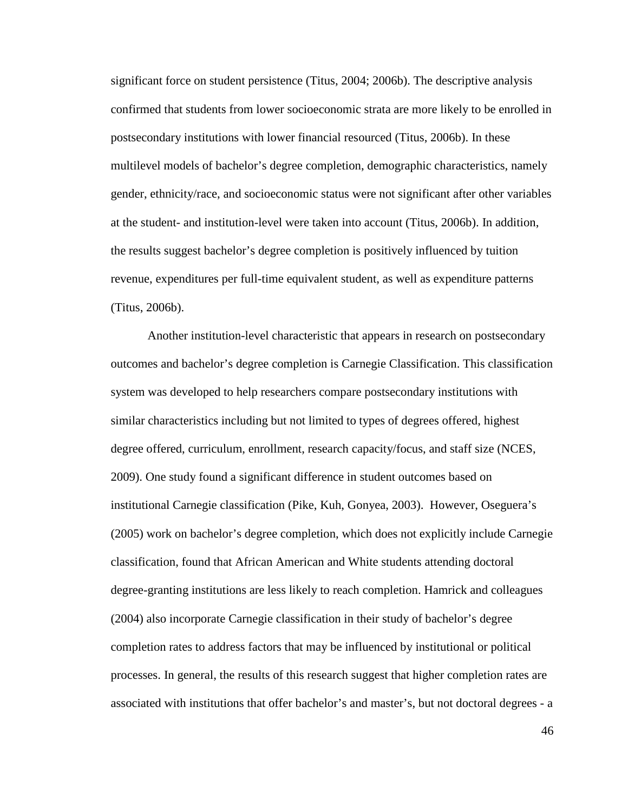significant force on student persistence (Titus, 2004; 2006b). The descriptive analysis confirmed that students from lower socioeconomic strata are more likely to be enrolled in postsecondary institutions with lower financial resourced (Titus, 2006b). In these multilevel models of bachelor's degree completion, demographic characteristics, namely gender, ethnicity/race, and socioeconomic status were not significant after other variables at the student- and institution-level were taken into account (Titus, 2006b). In addition, the results suggest bachelor's degree completion is positively influenced by tuition revenue, expenditures per full-time equivalent student, as well as expenditure patterns (Titus, 2006b).

Another institution-level characteristic that appears in research on postsecondary outcomes and bachelor's degree completion is Carnegie Classification. This classification system was developed to help researchers compare postsecondary institutions with similar characteristics including but not limited to types of degrees offered, highest degree offered, curriculum, enrollment, research capacity/focus, and staff size (NCES, 2009). One study found a significant difference in student outcomes based on institutional Carnegie classification (Pike, Kuh, Gonyea, 2003). However, Oseguera's (2005) work on bachelor's degree completion, which does not explicitly include Carnegie classification, found that African American and White students attending doctoral degree-granting institutions are less likely to reach completion. Hamrick and colleagues (2004) also incorporate Carnegie classification in their study of bachelor's degree completion rates to address factors that may be influenced by institutional or political processes. In general, the results of this research suggest that higher completion rates are associated with institutions that offer bachelor's and master's, but not doctoral degrees - a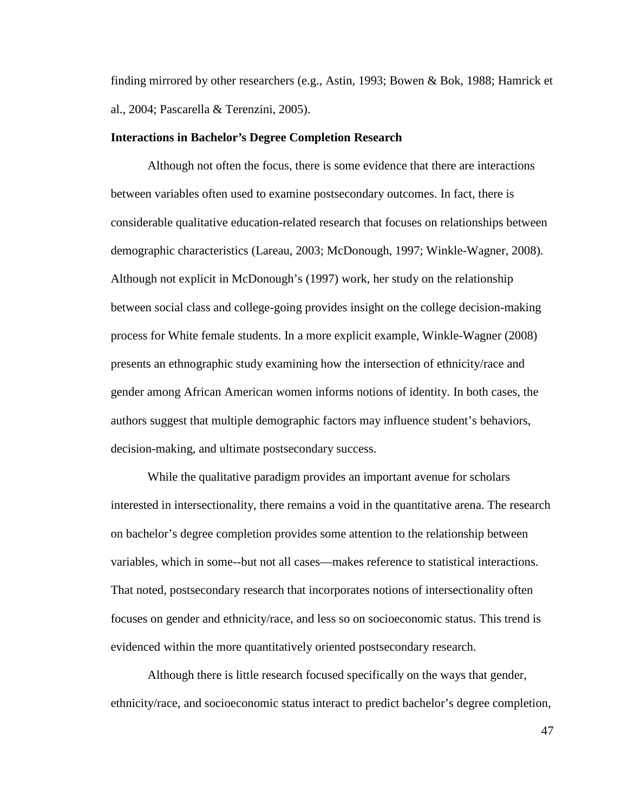finding mirrored by other researchers (e.g., Astin, 1993; Bowen & Bok, 1988; Hamrick et al., 2004; Pascarella & Terenzini, 2005).

#### **Interactions in Bachelor's Degree Completion Research**

Although not often the focus, there is some evidence that there are interactions between variables often used to examine postsecondary outcomes. In fact, there is considerable qualitative education-related research that focuses on relationships between demographic characteristics (Lareau, 2003; McDonough, 1997; Winkle-Wagner, 2008). Although not explicit in McDonough's (1997) work, her study on the relationship between social class and college-going provides insight on the college decision-making process for White female students. In a more explicit example, Winkle-Wagner (2008) presents an ethnographic study examining how the intersection of ethnicity/race and gender among African American women informs notions of identity. In both cases, the authors suggest that multiple demographic factors may influence student's behaviors, decision-making, and ultimate postsecondary success.

While the qualitative paradigm provides an important avenue for scholars interested in intersectionality, there remains a void in the quantitative arena. The research on bachelor's degree completion provides some attention to the relationship between variables, which in some--but not all cases—makes reference to statistical interactions. That noted, postsecondary research that incorporates notions of intersectionality often focuses on gender and ethnicity/race, and less so on socioeconomic status. This trend is evidenced within the more quantitatively oriented postsecondary research.

Although there is little research focused specifically on the ways that gender, ethnicity/race, and socioeconomic status interact to predict bachelor's degree completion,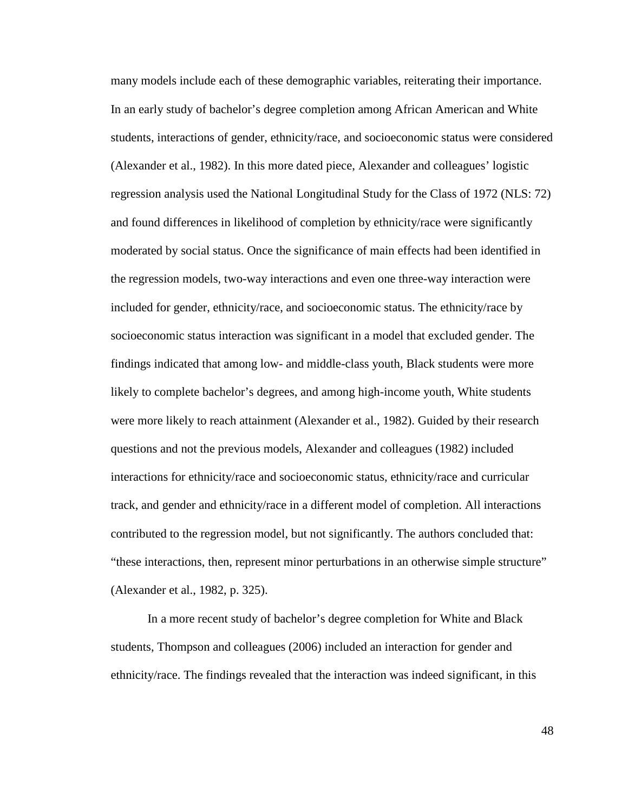many models include each of these demographic variables, reiterating their importance. In an early study of bachelor's degree completion among African American and White students, interactions of gender, ethnicity/race, and socioeconomic status were considered (Alexander et al., 1982). In this more dated piece, Alexander and colleagues' logistic regression analysis used the National Longitudinal Study for the Class of 1972 (NLS: 72) and found differences in likelihood of completion by ethnicity/race were significantly moderated by social status. Once the significance of main effects had been identified in the regression models, two-way interactions and even one three-way interaction were included for gender, ethnicity/race, and socioeconomic status. The ethnicity/race by socioeconomic status interaction was significant in a model that excluded gender. The findings indicated that among low- and middle-class youth, Black students were more likely to complete bachelor's degrees, and among high-income youth, White students were more likely to reach attainment (Alexander et al., 1982). Guided by their research questions and not the previous models, Alexander and colleagues (1982) included interactions for ethnicity/race and socioeconomic status, ethnicity/race and curricular track, and gender and ethnicity/race in a different model of completion. All interactions contributed to the regression model, but not significantly. The authors concluded that: "these interactions, then, represent minor perturbations in an otherwise simple structure" (Alexander et al., 1982, p. 325).

In a more recent study of bachelor's degree completion for White and Black students, Thompson and colleagues (2006) included an interaction for gender and ethnicity/race. The findings revealed that the interaction was indeed significant, in this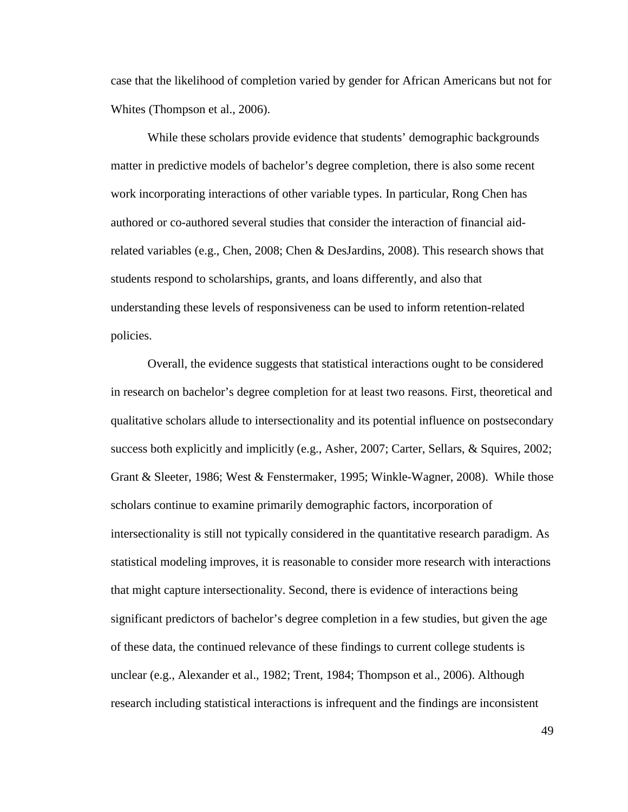case that the likelihood of completion varied by gender for African Americans but not for Whites (Thompson et al., 2006).

While these scholars provide evidence that students' demographic backgrounds matter in predictive models of bachelor's degree completion, there is also some recent work incorporating interactions of other variable types. In particular, Rong Chen has authored or co-authored several studies that consider the interaction of financial aidrelated variables (e.g., Chen, 2008; Chen & DesJardins, 2008). This research shows that students respond to scholarships, grants, and loans differently, and also that understanding these levels of responsiveness can be used to inform retention-related policies.

Overall, the evidence suggests that statistical interactions ought to be considered in research on bachelor's degree completion for at least two reasons. First, theoretical and qualitative scholars allude to intersectionality and its potential influence on postsecondary success both explicitly and implicitly (e.g., Asher, 2007; Carter, Sellars, & Squires, 2002; Grant & Sleeter, 1986; West & Fenstermaker, 1995; Winkle-Wagner, 2008). While those scholars continue to examine primarily demographic factors, incorporation of intersectionality is still not typically considered in the quantitative research paradigm. As statistical modeling improves, it is reasonable to consider more research with interactions that might capture intersectionality. Second, there is evidence of interactions being significant predictors of bachelor's degree completion in a few studies, but given the age of these data, the continued relevance of these findings to current college students is unclear (e.g., Alexander et al., 1982; Trent, 1984; Thompson et al., 2006). Although research including statistical interactions is infrequent and the findings are inconsistent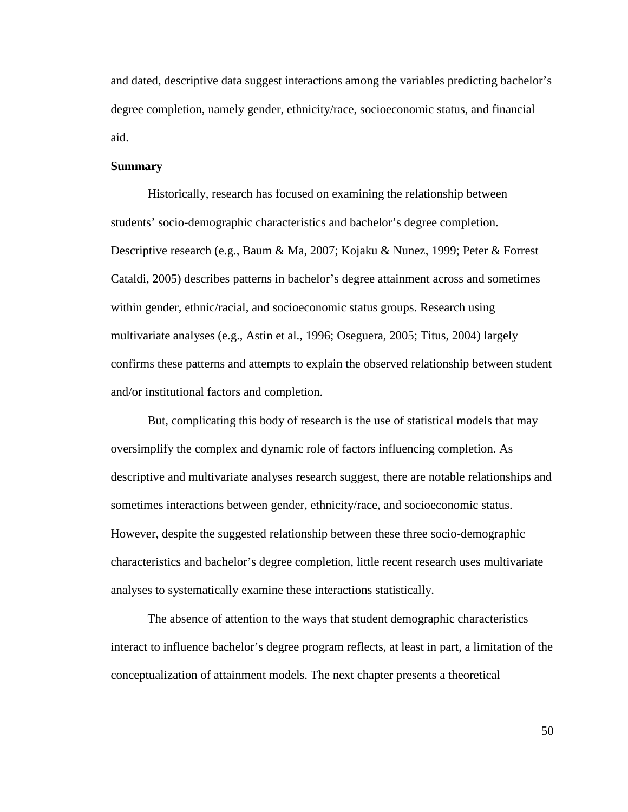and dated, descriptive data suggest interactions among the variables predicting bachelor's degree completion, namely gender, ethnicity/race, socioeconomic status, and financial aid.

# **Summary**

Historically, research has focused on examining the relationship between students' socio-demographic characteristics and bachelor's degree completion. Descriptive research (e.g., Baum & Ma, 2007; Kojaku & Nunez, 1999; Peter & Forrest Cataldi, 2005) describes patterns in bachelor's degree attainment across and sometimes within gender, ethnic/racial, and socioeconomic status groups. Research using multivariate analyses (e.g., Astin et al., 1996; Oseguera, 2005; Titus, 2004) largely confirms these patterns and attempts to explain the observed relationship between student and/or institutional factors and completion.

But, complicating this body of research is the use of statistical models that may oversimplify the complex and dynamic role of factors influencing completion. As descriptive and multivariate analyses research suggest, there are notable relationships and sometimes interactions between gender, ethnicity/race, and socioeconomic status. However, despite the suggested relationship between these three socio-demographic characteristics and bachelor's degree completion, little recent research uses multivariate analyses to systematically examine these interactions statistically.

The absence of attention to the ways that student demographic characteristics interact to influence bachelor's degree program reflects, at least in part, a limitation of the conceptualization of attainment models. The next chapter presents a theoretical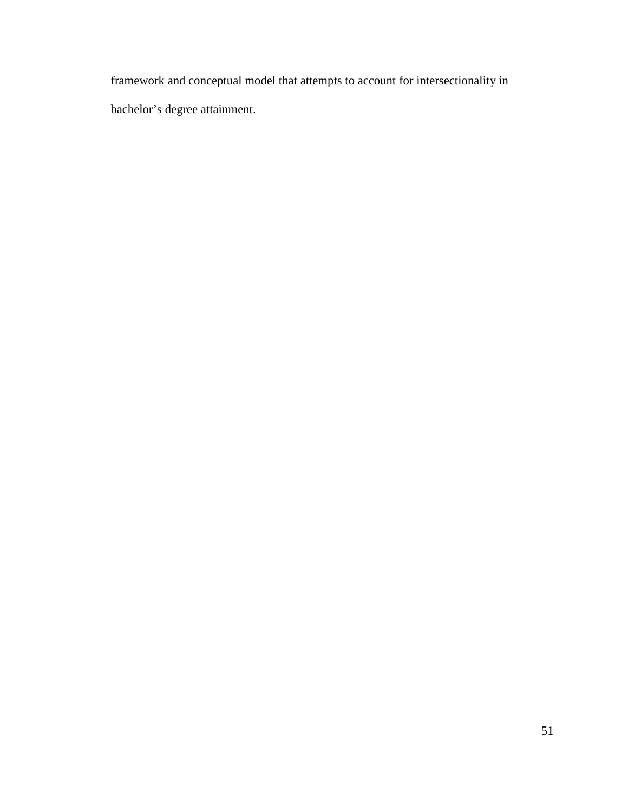framework and conceptual model that attempts to account for intersectionality in bachelor's degree attainment.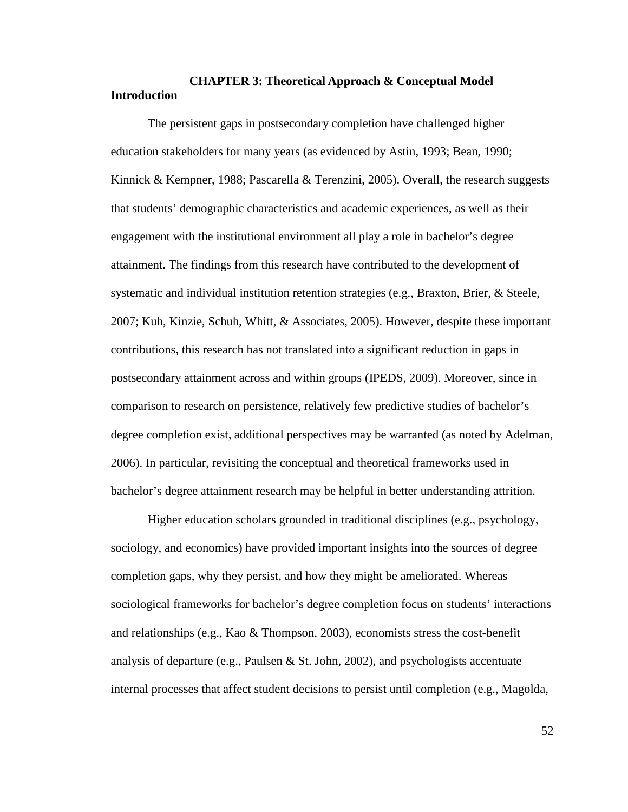# **CHAPTER 3: Theoretical Approach & Conceptual Model Introduction**

 The persistent gaps in postsecondary completion have challenged higher education stakeholders for many years (as evidenced by Astin, 1993; Bean, 1990; Kinnick & Kempner, 1988; Pascarella & Terenzini, 2005). Overall, the research suggests that students' demographic characteristics and academic experiences, as well as their engagement with the institutional environment all play a role in bachelor's degree attainment. The findings from this research have contributed to the development of systematic and individual institution retention strategies (e.g., Braxton, Brier, & Steele, 2007; Kuh, Kinzie, Schuh, Whitt, & Associates, 2005). However, despite these important contributions, this research has not translated into a significant reduction in gaps in postsecondary attainment across and within groups (IPEDS, 2009). Moreover, since in comparison to research on persistence, relatively few predictive studies of bachelor's degree completion exist, additional perspectives may be warranted (as noted by Adelman, 2006). In particular, revisiting the conceptual and theoretical frameworks used in bachelor's degree attainment research may be helpful in better understanding attrition.

Higher education scholars grounded in traditional disciplines (e.g., psychology, sociology, and economics) have provided important insights into the sources of degree completion gaps, why they persist, and how they might be ameliorated. Whereas sociological frameworks for bachelor's degree completion focus on students' interactions and relationships (e.g., Kao & Thompson, 2003), economists stress the cost-benefit analysis of departure (e.g., Paulsen & St. John, 2002), and psychologists accentuate internal processes that affect student decisions to persist until completion (e.g., Magolda,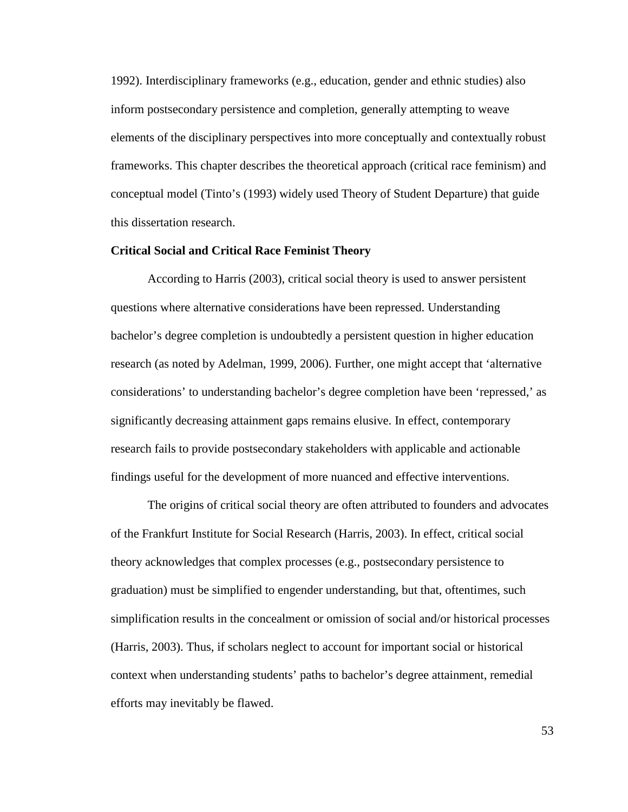1992). Interdisciplinary frameworks (e.g., education, gender and ethnic studies) also inform postsecondary persistence and completion, generally attempting to weave elements of the disciplinary perspectives into more conceptually and contextually robust frameworks. This chapter describes the theoretical approach (critical race feminism) and conceptual model (Tinto's (1993) widely used Theory of Student Departure) that guide this dissertation research.

## **Critical Social and Critical Race Feminist Theory**

According to Harris (2003), critical social theory is used to answer persistent questions where alternative considerations have been repressed. Understanding bachelor's degree completion is undoubtedly a persistent question in higher education research (as noted by Adelman, 1999, 2006). Further, one might accept that 'alternative considerations' to understanding bachelor's degree completion have been 'repressed,' as significantly decreasing attainment gaps remains elusive. In effect, contemporary research fails to provide postsecondary stakeholders with applicable and actionable findings useful for the development of more nuanced and effective interventions.

 The origins of critical social theory are often attributed to founders and advocates of the Frankfurt Institute for Social Research (Harris, 2003). In effect, critical social theory acknowledges that complex processes (e.g., postsecondary persistence to graduation) must be simplified to engender understanding, but that, oftentimes, such simplification results in the concealment or omission of social and/or historical processes (Harris, 2003). Thus, if scholars neglect to account for important social or historical context when understanding students' paths to bachelor's degree attainment, remedial efforts may inevitably be flawed.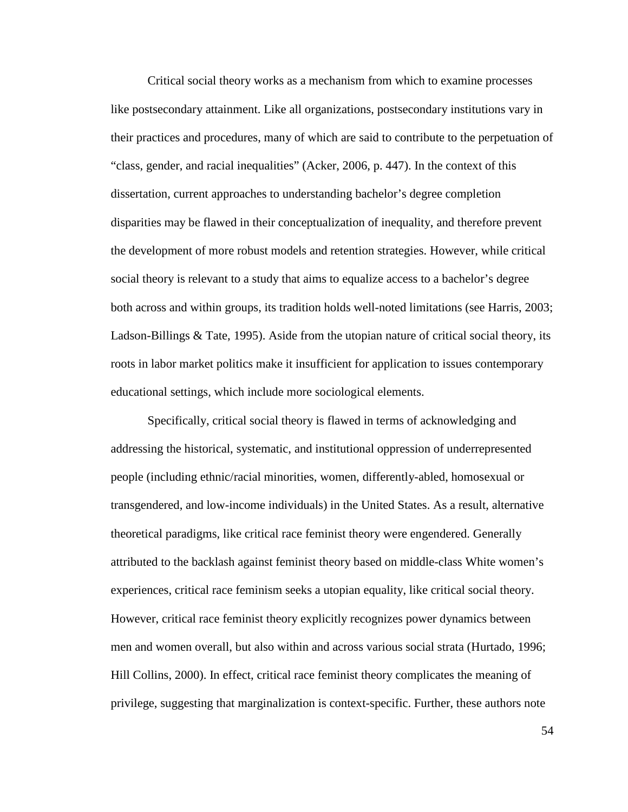Critical social theory works as a mechanism from which to examine processes like postsecondary attainment. Like all organizations, postsecondary institutions vary in their practices and procedures, many of which are said to contribute to the perpetuation of "class, gender, and racial inequalities" (Acker, 2006, p. 447). In the context of this dissertation, current approaches to understanding bachelor's degree completion disparities may be flawed in their conceptualization of inequality, and therefore prevent the development of more robust models and retention strategies. However, while critical social theory is relevant to a study that aims to equalize access to a bachelor's degree both across and within groups, its tradition holds well-noted limitations (see Harris, 2003; Ladson-Billings & Tate, 1995). Aside from the utopian nature of critical social theory, its roots in labor market politics make it insufficient for application to issues contemporary educational settings, which include more sociological elements.

Specifically, critical social theory is flawed in terms of acknowledging and addressing the historical, systematic, and institutional oppression of underrepresented people (including ethnic/racial minorities, women, differently-abled, homosexual or transgendered, and low-income individuals) in the United States. As a result, alternative theoretical paradigms, like critical race feminist theory were engendered. Generally attributed to the backlash against feminist theory based on middle-class White women's experiences, critical race feminism seeks a utopian equality, like critical social theory. However, critical race feminist theory explicitly recognizes power dynamics between men and women overall, but also within and across various social strata (Hurtado, 1996; Hill Collins, 2000). In effect, critical race feminist theory complicates the meaning of privilege, suggesting that marginalization is context-specific. Further, these authors note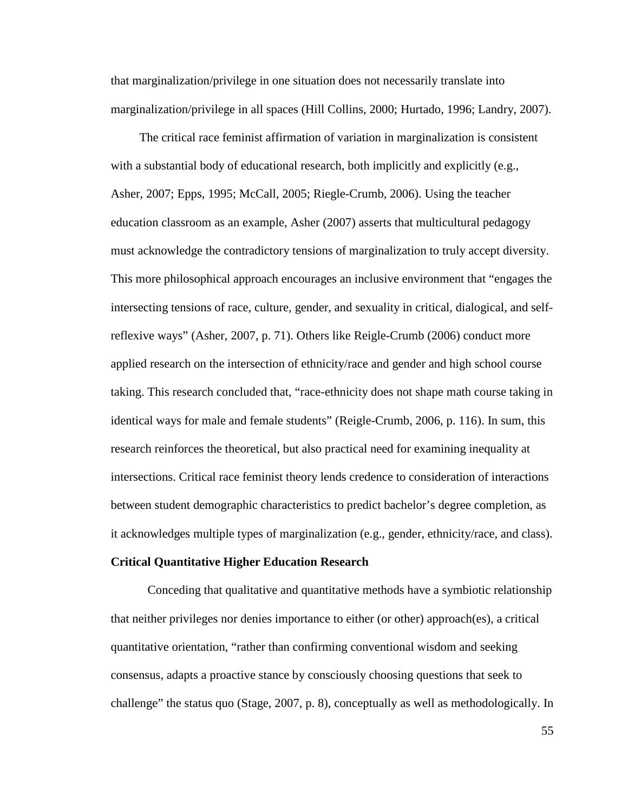that marginalization/privilege in one situation does not necessarily translate into marginalization/privilege in all spaces (Hill Collins, 2000; Hurtado, 1996; Landry, 2007).

 The critical race feminist affirmation of variation in marginalization is consistent with a substantial body of educational research, both implicitly and explicitly (e.g., Asher, 2007; Epps, 1995; McCall, 2005; Riegle-Crumb, 2006). Using the teacher education classroom as an example, Asher (2007) asserts that multicultural pedagogy must acknowledge the contradictory tensions of marginalization to truly accept diversity. This more philosophical approach encourages an inclusive environment that "engages the intersecting tensions of race, culture, gender, and sexuality in critical, dialogical, and selfreflexive ways" (Asher, 2007, p. 71). Others like Reigle-Crumb (2006) conduct more applied research on the intersection of ethnicity/race and gender and high school course taking. This research concluded that, "race-ethnicity does not shape math course taking in identical ways for male and female students" (Reigle-Crumb, 2006, p. 116). In sum, this research reinforces the theoretical, but also practical need for examining inequality at intersections. Critical race feminist theory lends credence to consideration of interactions between student demographic characteristics to predict bachelor's degree completion, as it acknowledges multiple types of marginalization (e.g., gender, ethnicity/race, and class).

#### **Critical Quantitative Higher Education Research**

 Conceding that qualitative and quantitative methods have a symbiotic relationship that neither privileges nor denies importance to either (or other) approach(es), a critical quantitative orientation, "rather than confirming conventional wisdom and seeking consensus, adapts a proactive stance by consciously choosing questions that seek to challenge" the status quo (Stage, 2007, p. 8), conceptually as well as methodologically. In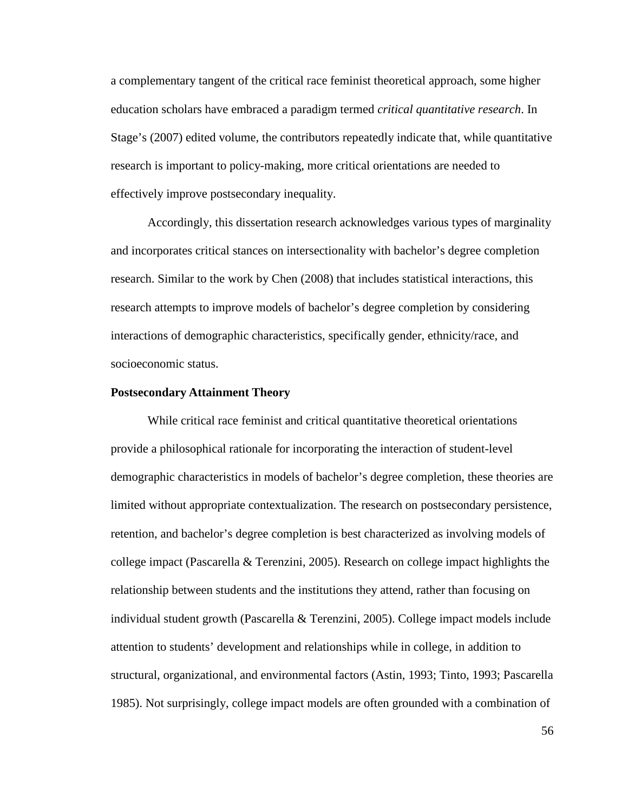a complementary tangent of the critical race feminist theoretical approach, some higher education scholars have embraced a paradigm termed *critical quantitative research*. In Stage's (2007) edited volume, the contributors repeatedly indicate that, while quantitative research is important to policy-making, more critical orientations are needed to effectively improve postsecondary inequality.

Accordingly, this dissertation research acknowledges various types of marginality and incorporates critical stances on intersectionality with bachelor's degree completion research. Similar to the work by Chen (2008) that includes statistical interactions, this research attempts to improve models of bachelor's degree completion by considering interactions of demographic characteristics, specifically gender, ethnicity/race, and socioeconomic status.

#### **Postsecondary Attainment Theory**

 While critical race feminist and critical quantitative theoretical orientations provide a philosophical rationale for incorporating the interaction of student-level demographic characteristics in models of bachelor's degree completion, these theories are limited without appropriate contextualization. The research on postsecondary persistence, retention, and bachelor's degree completion is best characterized as involving models of college impact (Pascarella & Terenzini, 2005). Research on college impact highlights the relationship between students and the institutions they attend, rather than focusing on individual student growth (Pascarella & Terenzini, 2005). College impact models include attention to students' development and relationships while in college, in addition to structural, organizational, and environmental factors (Astin, 1993; Tinto, 1993; Pascarella 1985). Not surprisingly, college impact models are often grounded with a combination of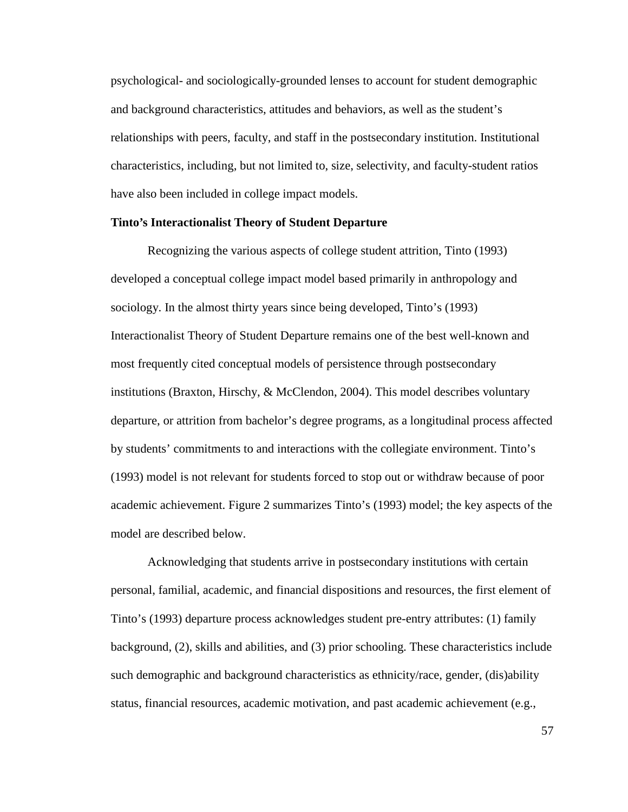psychological- and sociologically-grounded lenses to account for student demographic and background characteristics, attitudes and behaviors, as well as the student's relationships with peers, faculty, and staff in the postsecondary institution. Institutional characteristics, including, but not limited to, size, selectivity, and faculty-student ratios have also been included in college impact models.

# **Tinto's Interactionalist Theory of Student Departure**

 Recognizing the various aspects of college student attrition, Tinto (1993) developed a conceptual college impact model based primarily in anthropology and sociology. In the almost thirty years since being developed, Tinto's (1993) Interactionalist Theory of Student Departure remains one of the best well-known and most frequently cited conceptual models of persistence through postsecondary institutions (Braxton, Hirschy, & McClendon, 2004). This model describes voluntary departure, or attrition from bachelor's degree programs, as a longitudinal process affected by students' commitments to and interactions with the collegiate environment. Tinto's (1993) model is not relevant for students forced to stop out or withdraw because of poor academic achievement. Figure 2 summarizes Tinto's (1993) model; the key aspects of the model are described below.

Acknowledging that students arrive in postsecondary institutions with certain personal, familial, academic, and financial dispositions and resources, the first element of Tinto's (1993) departure process acknowledges student pre-entry attributes: (1) family background, (2), skills and abilities, and (3) prior schooling. These characteristics include such demographic and background characteristics as ethnicity/race, gender, (dis)ability status, financial resources, academic motivation, and past academic achievement (e.g.,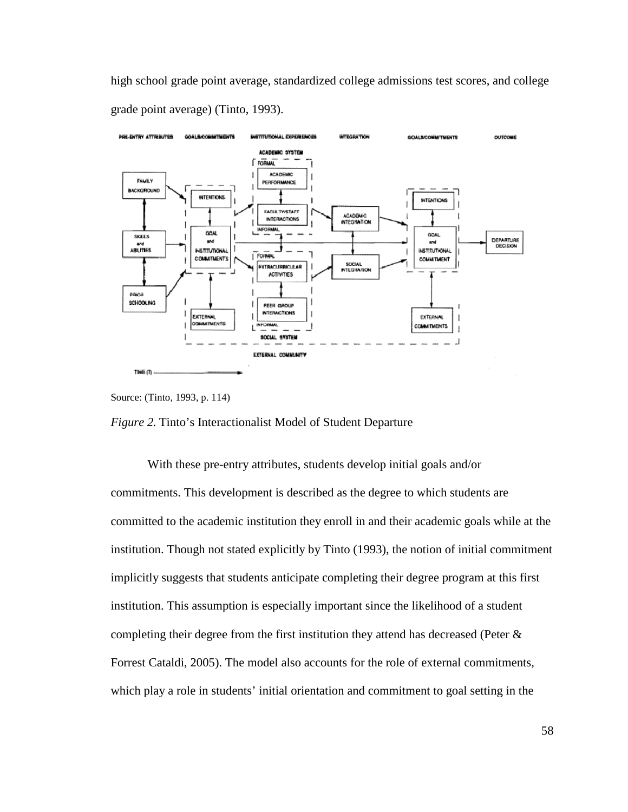high school grade point average, standardized college admissions test scores, and college grade point average) (Tinto, 1993).



Source: (Tinto, 1993, p. 114)



With these pre-entry attributes, students develop initial goals and/or commitments. This development is described as the degree to which students are committed to the academic institution they enroll in and their academic goals while at the institution. Though not stated explicitly by Tinto (1993), the notion of initial commitment implicitly suggests that students anticipate completing their degree program at this first institution. This assumption is especially important since the likelihood of a student completing their degree from the first institution they attend has decreased (Peter & Forrest Cataldi, 2005). The model also accounts for the role of external commitments, which play a role in students' initial orientation and commitment to goal setting in the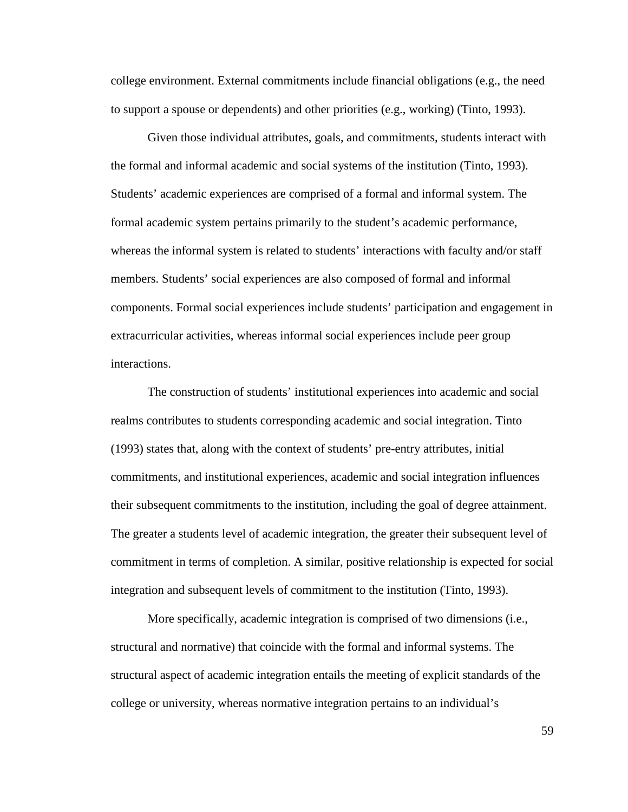college environment. External commitments include financial obligations (e.g., the need to support a spouse or dependents) and other priorities (e.g., working) (Tinto, 1993).

Given those individual attributes, goals, and commitments, students interact with the formal and informal academic and social systems of the institution (Tinto, 1993). Students' academic experiences are comprised of a formal and informal system. The formal academic system pertains primarily to the student's academic performance, whereas the informal system is related to students' interactions with faculty and/or staff members. Students' social experiences are also composed of formal and informal components. Formal social experiences include students' participation and engagement in extracurricular activities, whereas informal social experiences include peer group interactions.

The construction of students' institutional experiences into academic and social realms contributes to students corresponding academic and social integration. Tinto (1993) states that, along with the context of students' pre-entry attributes, initial commitments, and institutional experiences, academic and social integration influences their subsequent commitments to the institution, including the goal of degree attainment. The greater a students level of academic integration, the greater their subsequent level of commitment in terms of completion. A similar, positive relationship is expected for social integration and subsequent levels of commitment to the institution (Tinto, 1993).

More specifically, academic integration is comprised of two dimensions (i.e., structural and normative) that coincide with the formal and informal systems. The structural aspect of academic integration entails the meeting of explicit standards of the college or university, whereas normative integration pertains to an individual's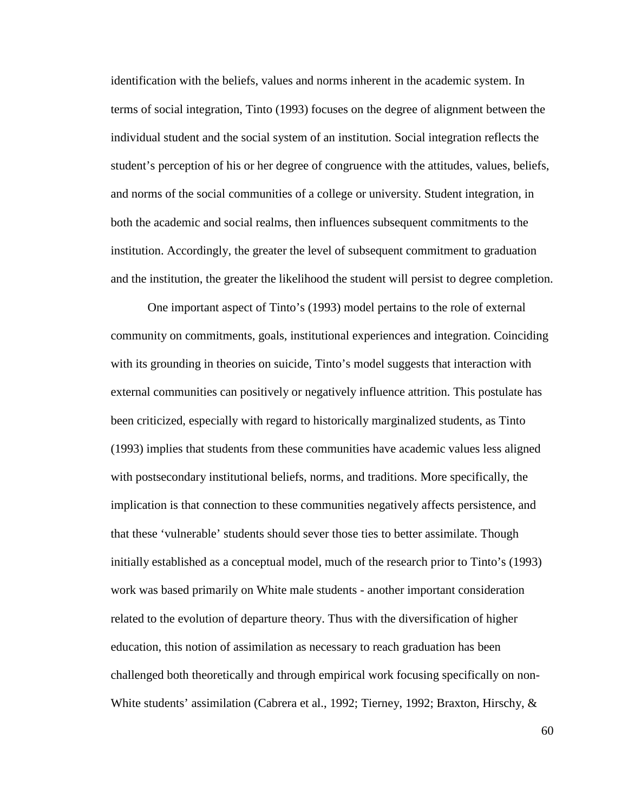identification with the beliefs, values and norms inherent in the academic system. In terms of social integration, Tinto (1993) focuses on the degree of alignment between the individual student and the social system of an institution. Social integration reflects the student's perception of his or her degree of congruence with the attitudes, values, beliefs, and norms of the social communities of a college or university. Student integration, in both the academic and social realms, then influences subsequent commitments to the institution. Accordingly, the greater the level of subsequent commitment to graduation and the institution, the greater the likelihood the student will persist to degree completion.

One important aspect of Tinto's (1993) model pertains to the role of external community on commitments, goals, institutional experiences and integration. Coinciding with its grounding in theories on suicide, Tinto's model suggests that interaction with external communities can positively or negatively influence attrition. This postulate has been criticized, especially with regard to historically marginalized students, as Tinto (1993) implies that students from these communities have academic values less aligned with postsecondary institutional beliefs, norms, and traditions. More specifically, the implication is that connection to these communities negatively affects persistence, and that these 'vulnerable' students should sever those ties to better assimilate. Though initially established as a conceptual model, much of the research prior to Tinto's (1993) work was based primarily on White male students - another important consideration related to the evolution of departure theory. Thus with the diversification of higher education, this notion of assimilation as necessary to reach graduation has been challenged both theoretically and through empirical work focusing specifically on non-White students' assimilation (Cabrera et al., 1992; Tierney, 1992; Braxton, Hirschy, &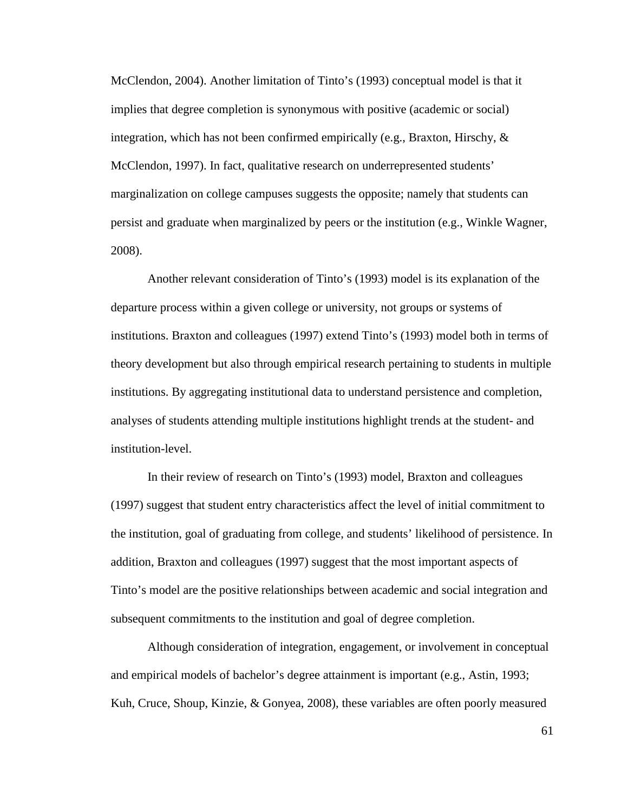McClendon, 2004). Another limitation of Tinto's (1993) conceptual model is that it implies that degree completion is synonymous with positive (academic or social) integration, which has not been confirmed empirically (e.g., Braxton, Hirschy,  $\&$ McClendon, 1997). In fact, qualitative research on underrepresented students' marginalization on college campuses suggests the opposite; namely that students can persist and graduate when marginalized by peers or the institution (e.g., Winkle Wagner, 2008).

Another relevant consideration of Tinto's (1993) model is its explanation of the departure process within a given college or university, not groups or systems of institutions. Braxton and colleagues (1997) extend Tinto's (1993) model both in terms of theory development but also through empirical research pertaining to students in multiple institutions. By aggregating institutional data to understand persistence and completion, analyses of students attending multiple institutions highlight trends at the student- and institution-level.

In their review of research on Tinto's (1993) model, Braxton and colleagues (1997) suggest that student entry characteristics affect the level of initial commitment to the institution, goal of graduating from college, and students' likelihood of persistence. In addition, Braxton and colleagues (1997) suggest that the most important aspects of Tinto's model are the positive relationships between academic and social integration and subsequent commitments to the institution and goal of degree completion.

Although consideration of integration, engagement, or involvement in conceptual and empirical models of bachelor's degree attainment is important (e.g., Astin, 1993; Kuh, Cruce, Shoup, Kinzie, & Gonyea, 2008), these variables are often poorly measured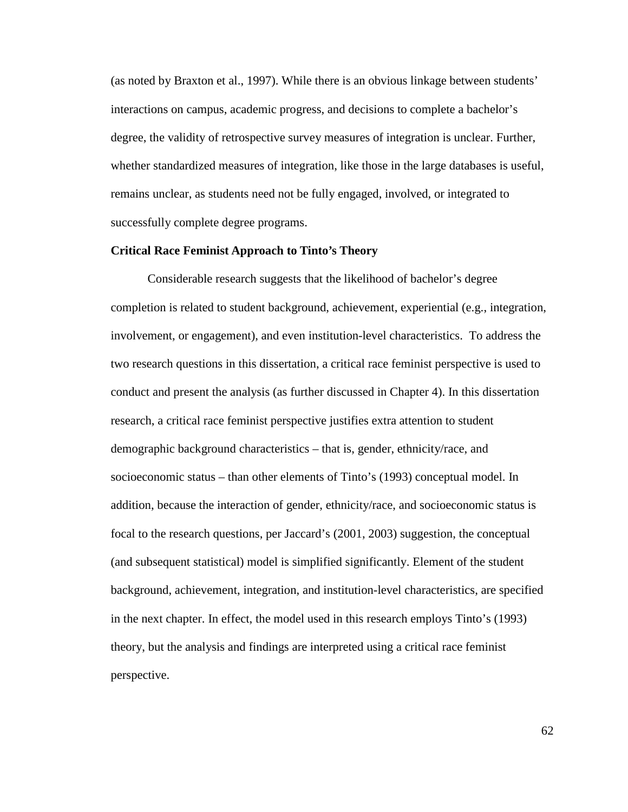(as noted by Braxton et al., 1997). While there is an obvious linkage between students' interactions on campus, academic progress, and decisions to complete a bachelor's degree, the validity of retrospective survey measures of integration is unclear. Further, whether standardized measures of integration, like those in the large databases is useful, remains unclear, as students need not be fully engaged, involved, or integrated to successfully complete degree programs.

## **Critical Race Feminist Approach to Tinto's Theory**

Considerable research suggests that the likelihood of bachelor's degree completion is related to student background, achievement, experiential (e.g., integration, involvement, or engagement), and even institution-level characteristics. To address the two research questions in this dissertation, a critical race feminist perspective is used to conduct and present the analysis (as further discussed in Chapter 4). In this dissertation research, a critical race feminist perspective justifies extra attention to student demographic background characteristics – that is, gender, ethnicity/race, and socioeconomic status – than other elements of Tinto's (1993) conceptual model. In addition, because the interaction of gender, ethnicity/race, and socioeconomic status is focal to the research questions, per Jaccard's (2001, 2003) suggestion, the conceptual (and subsequent statistical) model is simplified significantly. Element of the student background, achievement, integration, and institution-level characteristics, are specified in the next chapter. In effect, the model used in this research employs Tinto's (1993) theory, but the analysis and findings are interpreted using a critical race feminist perspective.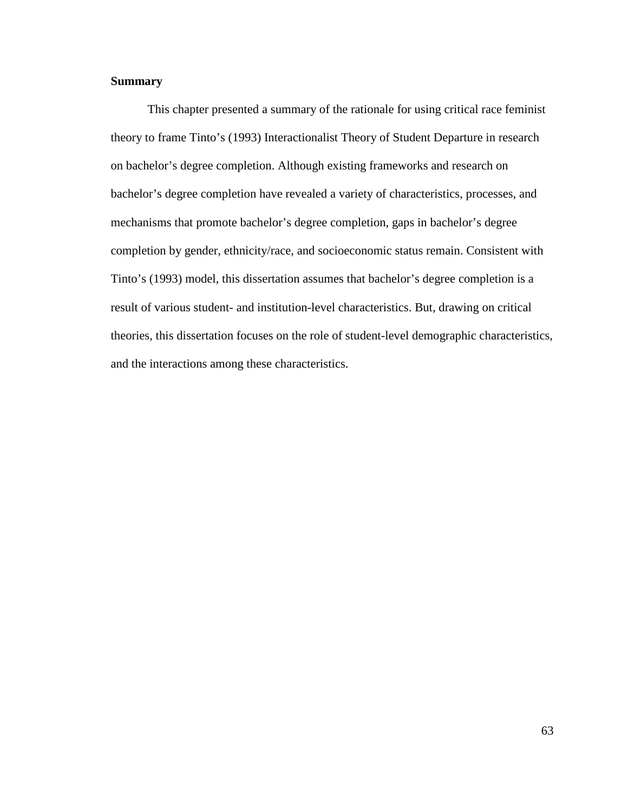# **Summary**

 This chapter presented a summary of the rationale for using critical race feminist theory to frame Tinto's (1993) Interactionalist Theory of Student Departure in research on bachelor's degree completion. Although existing frameworks and research on bachelor's degree completion have revealed a variety of characteristics, processes, and mechanisms that promote bachelor's degree completion, gaps in bachelor's degree completion by gender, ethnicity/race, and socioeconomic status remain. Consistent with Tinto's (1993) model, this dissertation assumes that bachelor's degree completion is a result of various student- and institution-level characteristics. But, drawing on critical theories, this dissertation focuses on the role of student-level demographic characteristics, and the interactions among these characteristics.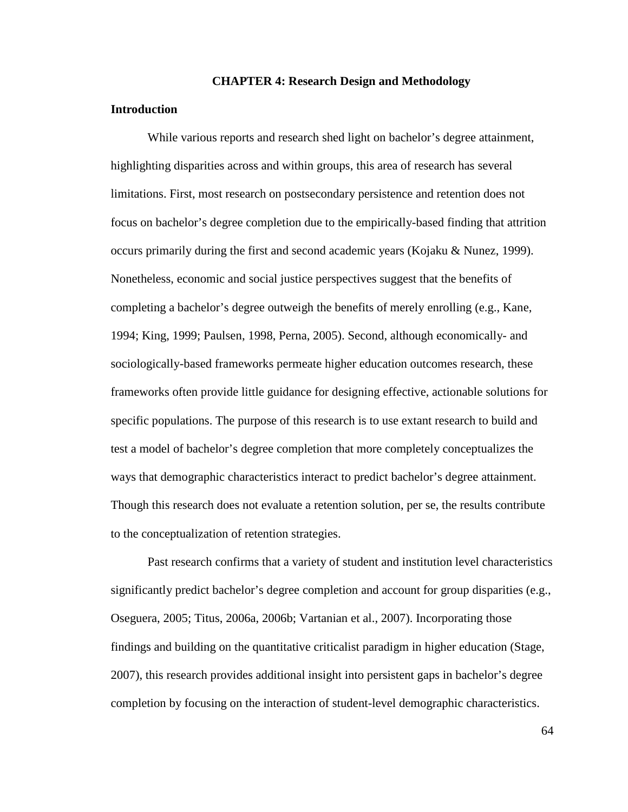#### **CHAPTER 4: Research Design and Methodology**

### **Introduction**

 While various reports and research shed light on bachelor's degree attainment, highlighting disparities across and within groups, this area of research has several limitations. First, most research on postsecondary persistence and retention does not focus on bachelor's degree completion due to the empirically-based finding that attrition occurs primarily during the first and second academic years (Kojaku & Nunez, 1999). Nonetheless, economic and social justice perspectives suggest that the benefits of completing a bachelor's degree outweigh the benefits of merely enrolling (e.g., Kane, 1994; King, 1999; Paulsen, 1998, Perna, 2005). Second, although economically- and sociologically-based frameworks permeate higher education outcomes research, these frameworks often provide little guidance for designing effective, actionable solutions for specific populations. The purpose of this research is to use extant research to build and test a model of bachelor's degree completion that more completely conceptualizes the ways that demographic characteristics interact to predict bachelor's degree attainment. Though this research does not evaluate a retention solution, per se, the results contribute to the conceptualization of retention strategies.

Past research confirms that a variety of student and institution level characteristics significantly predict bachelor's degree completion and account for group disparities (e.g., Oseguera, 2005; Titus, 2006a, 2006b; Vartanian et al., 2007). Incorporating those findings and building on the quantitative criticalist paradigm in higher education (Stage, 2007), this research provides additional insight into persistent gaps in bachelor's degree completion by focusing on the interaction of student-level demographic characteristics.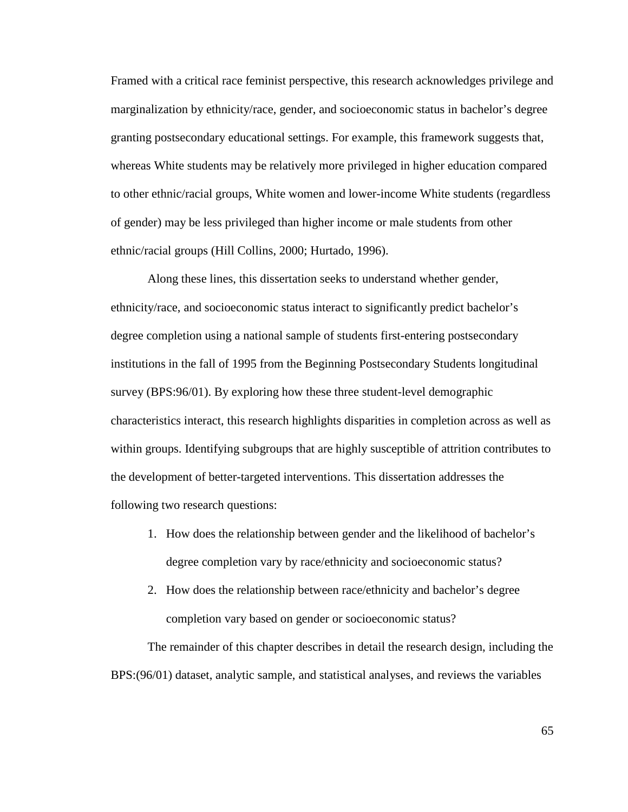Framed with a critical race feminist perspective, this research acknowledges privilege and marginalization by ethnicity/race, gender, and socioeconomic status in bachelor's degree granting postsecondary educational settings. For example, this framework suggests that, whereas White students may be relatively more privileged in higher education compared to other ethnic/racial groups, White women and lower-income White students (regardless of gender) may be less privileged than higher income or male students from other ethnic/racial groups (Hill Collins, 2000; Hurtado, 1996).

Along these lines, this dissertation seeks to understand whether gender, ethnicity/race, and socioeconomic status interact to significantly predict bachelor's degree completion using a national sample of students first-entering postsecondary institutions in the fall of 1995 from the Beginning Postsecondary Students longitudinal survey (BPS:96/01). By exploring how these three student-level demographic characteristics interact, this research highlights disparities in completion across as well as within groups. Identifying subgroups that are highly susceptible of attrition contributes to the development of better-targeted interventions. This dissertation addresses the following two research questions:

- 1. How does the relationship between gender and the likelihood of bachelor's degree completion vary by race/ethnicity and socioeconomic status?
- 2. How does the relationship between race/ethnicity and bachelor's degree completion vary based on gender or socioeconomic status?

 The remainder of this chapter describes in detail the research design, including the BPS:(96/01) dataset, analytic sample, and statistical analyses, and reviews the variables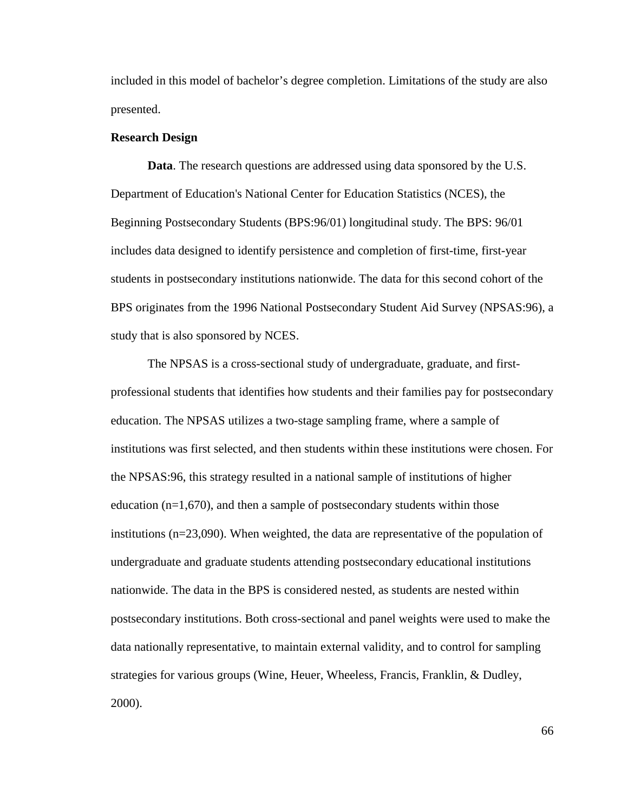included in this model of bachelor's degree completion. Limitations of the study are also presented.

## **Research Design**

**Data**. The research questions are addressed using data sponsored by the U.S. Department of Education's National Center for Education Statistics (NCES), the Beginning Postsecondary Students (BPS:96/01) longitudinal study. The BPS: 96/01 includes data designed to identify persistence and completion of first-time, first-year students in postsecondary institutions nationwide. The data for this second cohort of the BPS originates from the 1996 National Postsecondary Student Aid Survey (NPSAS:96), a study that is also sponsored by NCES.

The NPSAS is a cross-sectional study of undergraduate, graduate, and firstprofessional students that identifies how students and their families pay for postsecondary education. The NPSAS utilizes a two-stage sampling frame, where a sample of institutions was first selected, and then students within these institutions were chosen. For the NPSAS:96, this strategy resulted in a national sample of institutions of higher education  $(n=1,670)$ , and then a sample of postsecondary students within those institutions (n=23,090). When weighted, the data are representative of the population of undergraduate and graduate students attending postsecondary educational institutions nationwide. The data in the BPS is considered nested, as students are nested within postsecondary institutions. Both cross-sectional and panel weights were used to make the data nationally representative, to maintain external validity, and to control for sampling strategies for various groups (Wine, Heuer, Wheeless, Francis, Franklin, & Dudley, 2000).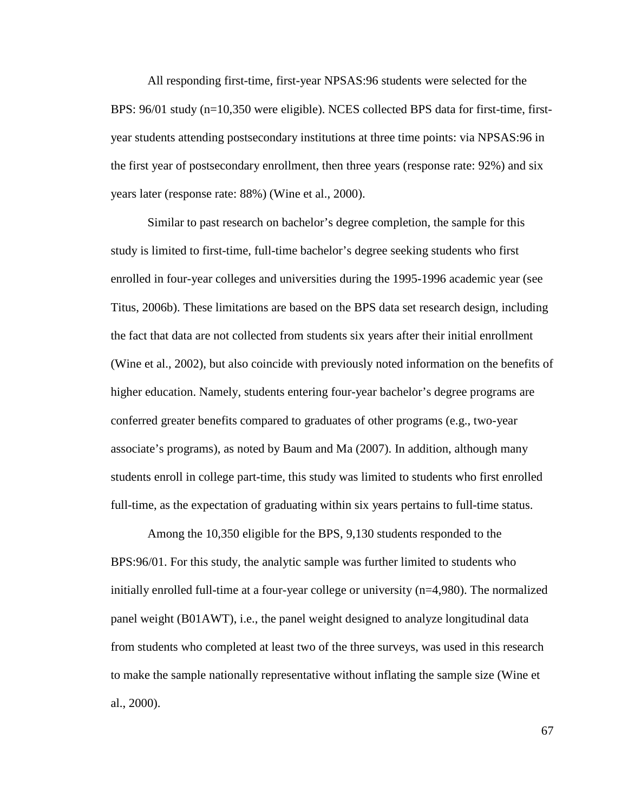All responding first-time, first-year NPSAS:96 students were selected for the BPS: 96/01 study (n=10,350 were eligible). NCES collected BPS data for first-time, firstyear students attending postsecondary institutions at three time points: via NPSAS:96 in the first year of postsecondary enrollment, then three years (response rate: 92%) and six years later (response rate: 88%) (Wine et al., 2000).

Similar to past research on bachelor's degree completion, the sample for this study is limited to first-time, full-time bachelor's degree seeking students who first enrolled in four-year colleges and universities during the 1995-1996 academic year (see Titus, 2006b). These limitations are based on the BPS data set research design, including the fact that data are not collected from students six years after their initial enrollment (Wine et al., 2002), but also coincide with previously noted information on the benefits of higher education. Namely, students entering four-year bachelor's degree programs are conferred greater benefits compared to graduates of other programs (e.g., two-year associate's programs), as noted by Baum and Ma (2007). In addition, although many students enroll in college part-time, this study was limited to students who first enrolled full-time, as the expectation of graduating within six years pertains to full-time status.

Among the 10,350 eligible for the BPS, 9,130 students responded to the BPS:96/01. For this study, the analytic sample was further limited to students who initially enrolled full-time at a four-year college or university (n=4,980). The normalized panel weight (B01AWT), i.e., the panel weight designed to analyze longitudinal data from students who completed at least two of the three surveys, was used in this research to make the sample nationally representative without inflating the sample size (Wine et al., 2000).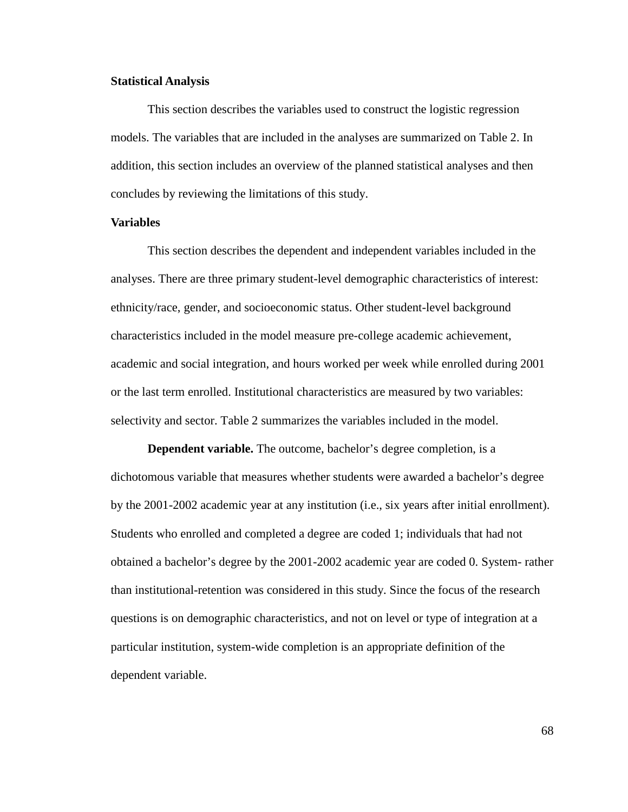#### **Statistical Analysis**

This section describes the variables used to construct the logistic regression models. The variables that are included in the analyses are summarized on Table 2. In addition, this section includes an overview of the planned statistical analyses and then concludes by reviewing the limitations of this study.

#### **Variables**

This section describes the dependent and independent variables included in the analyses. There are three primary student-level demographic characteristics of interest: ethnicity/race, gender, and socioeconomic status. Other student-level background characteristics included in the model measure pre-college academic achievement, academic and social integration, and hours worked per week while enrolled during 2001 or the last term enrolled. Institutional characteristics are measured by two variables: selectivity and sector. Table 2 summarizes the variables included in the model.

**Dependent variable.** The outcome, bachelor's degree completion, is a dichotomous variable that measures whether students were awarded a bachelor's degree by the 2001-2002 academic year at any institution (i.e., six years after initial enrollment). Students who enrolled and completed a degree are coded 1; individuals that had not obtained a bachelor's degree by the 2001-2002 academic year are coded 0. System- rather than institutional-retention was considered in this study. Since the focus of the research questions is on demographic characteristics, and not on level or type of integration at a particular institution, system-wide completion is an appropriate definition of the dependent variable.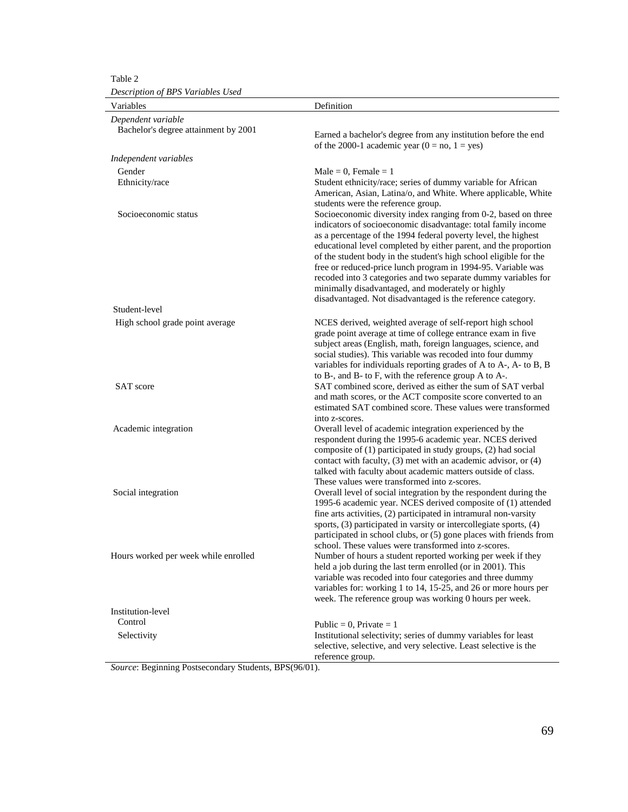Table 2

*Description of BPS Variables Used* 

| Description of Dr S variables Usea                         |                                                                                                                                                                                                                                                                                                                                                                                                                                                                                                                                                                                                  |
|------------------------------------------------------------|--------------------------------------------------------------------------------------------------------------------------------------------------------------------------------------------------------------------------------------------------------------------------------------------------------------------------------------------------------------------------------------------------------------------------------------------------------------------------------------------------------------------------------------------------------------------------------------------------|
| Variables                                                  | Definition                                                                                                                                                                                                                                                                                                                                                                                                                                                                                                                                                                                       |
| Dependent variable<br>Bachelor's degree attainment by 2001 | Earned a bachelor's degree from any institution before the end<br>of the 2000-1 academic year ( $0 = no$ , $1 = yes$ )                                                                                                                                                                                                                                                                                                                                                                                                                                                                           |
| Independent variables                                      |                                                                                                                                                                                                                                                                                                                                                                                                                                                                                                                                                                                                  |
| Gender                                                     | $Male = 0$ , Female = 1                                                                                                                                                                                                                                                                                                                                                                                                                                                                                                                                                                          |
| Ethnicity/race                                             | Student ethnicity/race; series of dummy variable for African<br>American, Asian, Latina/o, and White. Where applicable, White<br>students were the reference group.                                                                                                                                                                                                                                                                                                                                                                                                                              |
| Socioeconomic status                                       | Socioeconomic diversity index ranging from 0-2, based on three<br>indicators of socioeconomic disadvantage: total family income<br>as a percentage of the 1994 federal poverty level, the highest<br>educational level completed by either parent, and the proportion<br>of the student body in the student's high school eligible for the<br>free or reduced-price lunch program in 1994-95. Variable was<br>recoded into 3 categories and two separate dummy variables for<br>minimally disadvantaged, and moderately or highly<br>disadvantaged. Not disadvantaged is the reference category. |
| Student-level                                              |                                                                                                                                                                                                                                                                                                                                                                                                                                                                                                                                                                                                  |
| High school grade point average                            | NCES derived, weighted average of self-report high school<br>grade point average at time of college entrance exam in five<br>subject areas (English, math, foreign languages, science, and<br>social studies). This variable was recoded into four dummy<br>variables for individuals reporting grades of A to A-, A- to B, B                                                                                                                                                                                                                                                                    |
| <b>SAT</b> score                                           | to B-, and B- to F, with the reference group A to A-.<br>SAT combined score, derived as either the sum of SAT verbal<br>and math scores, or the ACT composite score converted to an<br>estimated SAT combined score. These values were transformed                                                                                                                                                                                                                                                                                                                                               |
| Academic integration                                       | into z-scores.<br>Overall level of academic integration experienced by the<br>respondent during the 1995-6 academic year. NCES derived<br>composite of (1) participated in study groups, (2) had social<br>contact with faculty, $(3)$ met with an academic advisor, or $(4)$<br>talked with faculty about academic matters outside of class.<br>These values were transformed into z-scores.                                                                                                                                                                                                    |
| Social integration                                         | Overall level of social integration by the respondent during the<br>1995-6 academic year. NCES derived composite of (1) attended<br>fine arts activities, (2) participated in intramural non-varsity<br>sports, (3) participated in varsity or intercollegiate sports, (4)<br>participated in school clubs, or (5) gone places with friends from<br>school. These values were transformed into z-scores.                                                                                                                                                                                         |
| Hours worked per week while enrolled                       | Number of hours a student reported working per week if they<br>held a job during the last term enrolled (or in 2001). This<br>variable was recoded into four categories and three dummy<br>variables for: working 1 to 14, 15-25, and 26 or more hours per<br>week. The reference group was working 0 hours per week.                                                                                                                                                                                                                                                                            |
| Institution-level                                          |                                                                                                                                                                                                                                                                                                                                                                                                                                                                                                                                                                                                  |
| Control                                                    | Public = 0, Private = $1$                                                                                                                                                                                                                                                                                                                                                                                                                                                                                                                                                                        |
| Selectivity                                                | Institutional selectivity; series of dummy variables for least<br>selective, selective, and very selective. Least selective is the<br>reference group.                                                                                                                                                                                                                                                                                                                                                                                                                                           |

*Source*: Beginning Postsecondary Students, BPS(96/01).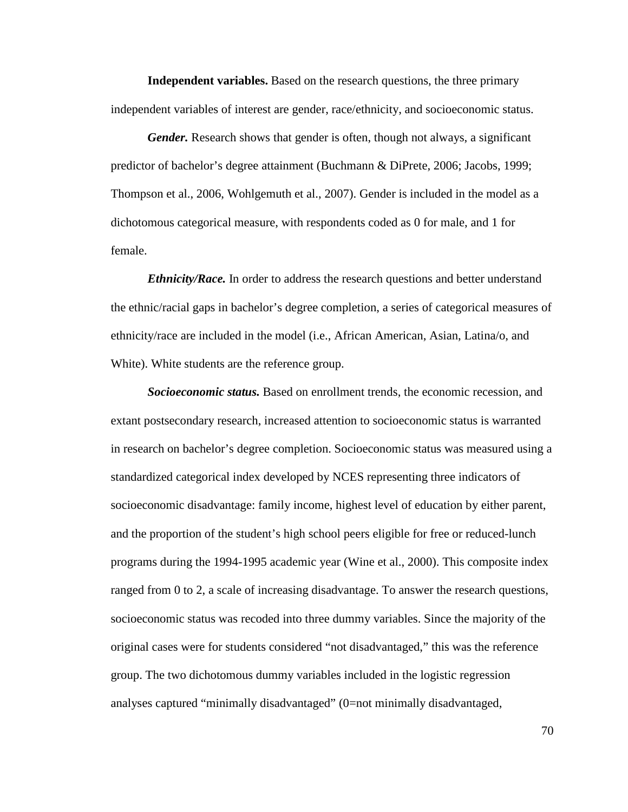**Independent variables.** Based on the research questions, the three primary independent variables of interest are gender, race/ethnicity, and socioeconomic status.

*Gender.* Research shows that gender is often, though not always, a significant predictor of bachelor's degree attainment (Buchmann & DiPrete, 2006; Jacobs, 1999; Thompson et al., 2006, Wohlgemuth et al., 2007). Gender is included in the model as a dichotomous categorical measure, with respondents coded as 0 for male, and 1 for female.

*Ethnicity/Race.* In order to address the research questions and better understand the ethnic/racial gaps in bachelor's degree completion, a series of categorical measures of ethnicity/race are included in the model (i.e., African American, Asian, Latina/o, and White). White students are the reference group.

*Socioeconomic status.* Based on enrollment trends, the economic recession, and extant postsecondary research, increased attention to socioeconomic status is warranted in research on bachelor's degree completion. Socioeconomic status was measured using a standardized categorical index developed by NCES representing three indicators of socioeconomic disadvantage: family income, highest level of education by either parent, and the proportion of the student's high school peers eligible for free or reduced-lunch programs during the 1994-1995 academic year (Wine et al., 2000). This composite index ranged from 0 to 2, a scale of increasing disadvantage. To answer the research questions, socioeconomic status was recoded into three dummy variables. Since the majority of the original cases were for students considered "not disadvantaged," this was the reference group. The two dichotomous dummy variables included in the logistic regression analyses captured "minimally disadvantaged" (0=not minimally disadvantaged,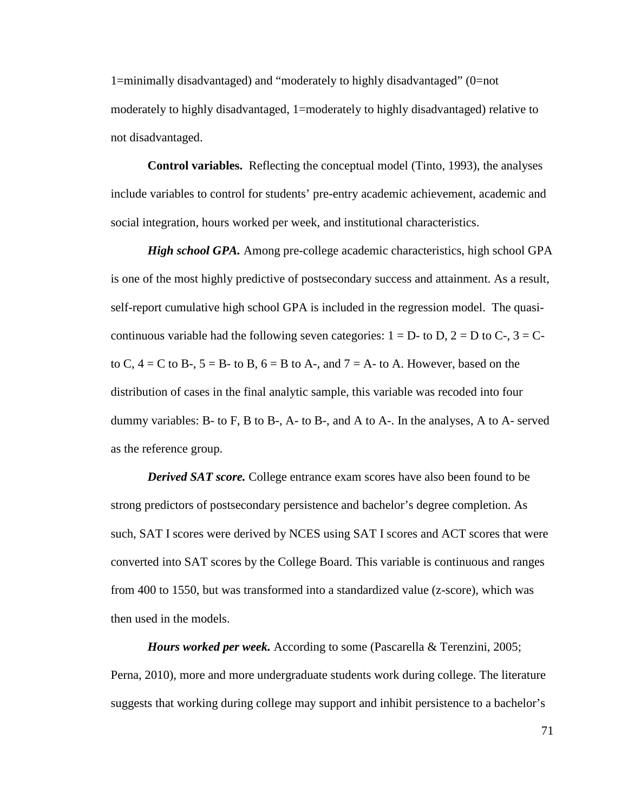1=minimally disadvantaged) and "moderately to highly disadvantaged" (0=not moderately to highly disadvantaged, 1=moderately to highly disadvantaged) relative to not disadvantaged.

**Control variables.** Reflecting the conceptual model (Tinto, 1993), the analyses include variables to control for students' pre-entry academic achievement, academic and social integration, hours worked per week, and institutional characteristics.

*High school GPA.* Among pre-college academic characteristics, high school GPA is one of the most highly predictive of postsecondary success and attainment. As a result, self-report cumulative high school GPA is included in the regression model. The quasicontinuous variable had the following seven categories:  $1 = D$ - to D,  $2 = D$  to C-,  $3 = C$ to C,  $4 = C$  to B-,  $5 = B$ - to B,  $6 = B$  to A-, and  $7 = A$ - to A. However, based on the distribution of cases in the final analytic sample, this variable was recoded into four dummy variables: B- to F, B to B-, A- to B-, and A to A-. In the analyses, A to A- served as the reference group.

*Derived SAT score.* College entrance exam scores have also been found to be strong predictors of postsecondary persistence and bachelor's degree completion. As such, SAT I scores were derived by NCES using SAT I scores and ACT scores that were converted into SAT scores by the College Board. This variable is continuous and ranges from 400 to 1550, but was transformed into a standardized value (z-score), which was then used in the models.

*Hours worked per week.* According to some (Pascarella & Terenzini, 2005; Perna, 2010), more and more undergraduate students work during college. The literature suggests that working during college may support and inhibit persistence to a bachelor's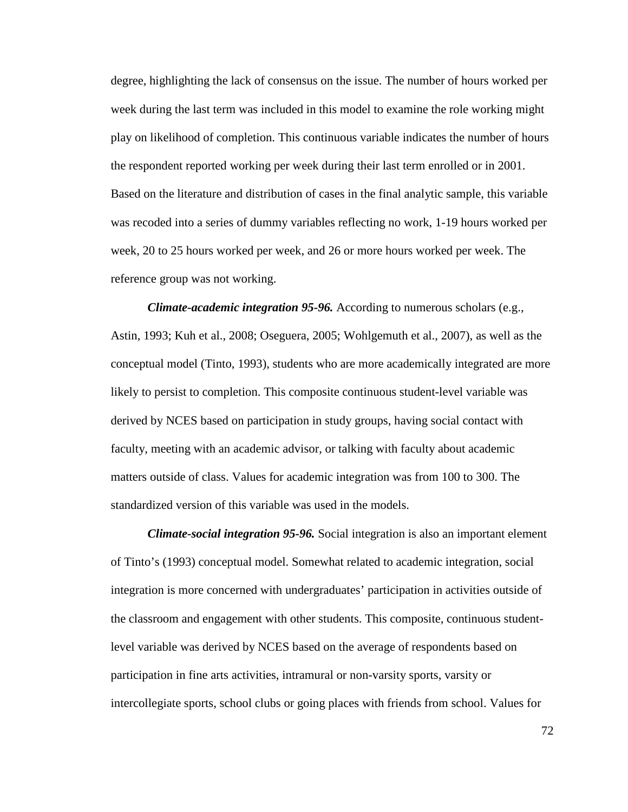degree, highlighting the lack of consensus on the issue. The number of hours worked per week during the last term was included in this model to examine the role working might play on likelihood of completion. This continuous variable indicates the number of hours the respondent reported working per week during their last term enrolled or in 2001. Based on the literature and distribution of cases in the final analytic sample, this variable was recoded into a series of dummy variables reflecting no work, 1-19 hours worked per week, 20 to 25 hours worked per week, and 26 or more hours worked per week. The reference group was not working.

*Climate-academic integration 95-96.* According to numerous scholars (e.g., Astin, 1993; Kuh et al., 2008; Oseguera, 2005; Wohlgemuth et al., 2007), as well as the conceptual model (Tinto, 1993), students who are more academically integrated are more likely to persist to completion. This composite continuous student-level variable was derived by NCES based on participation in study groups, having social contact with faculty, meeting with an academic advisor, or talking with faculty about academic matters outside of class. Values for academic integration was from 100 to 300. The standardized version of this variable was used in the models.

*Climate-social integration 95-96.* Social integration is also an important element of Tinto's (1993) conceptual model. Somewhat related to academic integration, social integration is more concerned with undergraduates' participation in activities outside of the classroom and engagement with other students. This composite, continuous studentlevel variable was derived by NCES based on the average of respondents based on participation in fine arts activities, intramural or non-varsity sports, varsity or intercollegiate sports, school clubs or going places with friends from school. Values for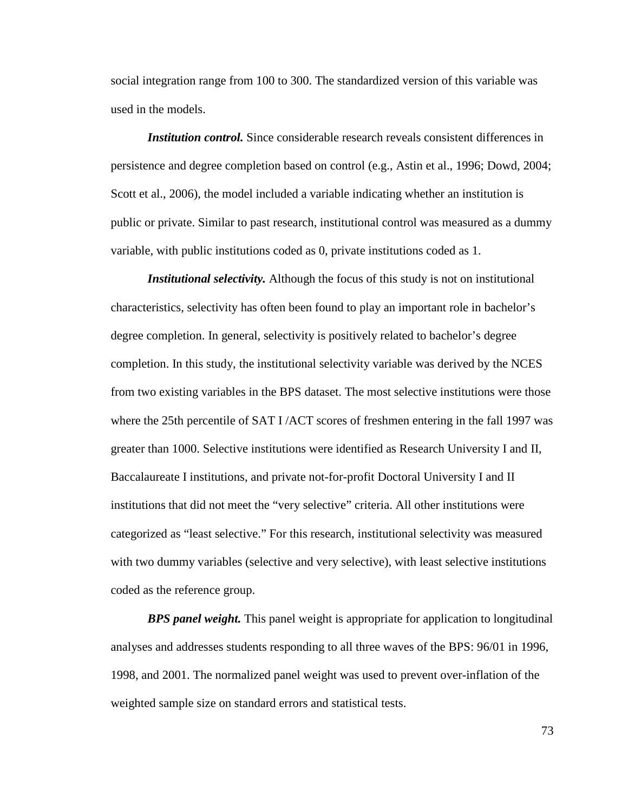social integration range from 100 to 300. The standardized version of this variable was used in the models.

*Institution control.* Since considerable research reveals consistent differences in persistence and degree completion based on control (e.g., Astin et al., 1996; Dowd, 2004; Scott et al., 2006), the model included a variable indicating whether an institution is public or private. Similar to past research, institutional control was measured as a dummy variable, with public institutions coded as 0, private institutions coded as 1.

*Institutional selectivity.* Although the focus of this study is not on institutional characteristics, selectivity has often been found to play an important role in bachelor's degree completion. In general, selectivity is positively related to bachelor's degree completion. In this study, the institutional selectivity variable was derived by the NCES from two existing variables in the BPS dataset. The most selective institutions were those where the 25th percentile of SAT I/ACT scores of freshmen entering in the fall 1997 was greater than 1000. Selective institutions were identified as Research University I and II, Baccalaureate I institutions, and private not-for-profit Doctoral University I and II institutions that did not meet the "very selective" criteria. All other institutions were categorized as "least selective." For this research, institutional selectivity was measured with two dummy variables (selective and very selective), with least selective institutions coded as the reference group.

*BPS panel weight.* This panel weight is appropriate for application to longitudinal analyses and addresses students responding to all three waves of the BPS: 96/01 in 1996, 1998, and 2001. The normalized panel weight was used to prevent over-inflation of the weighted sample size on standard errors and statistical tests.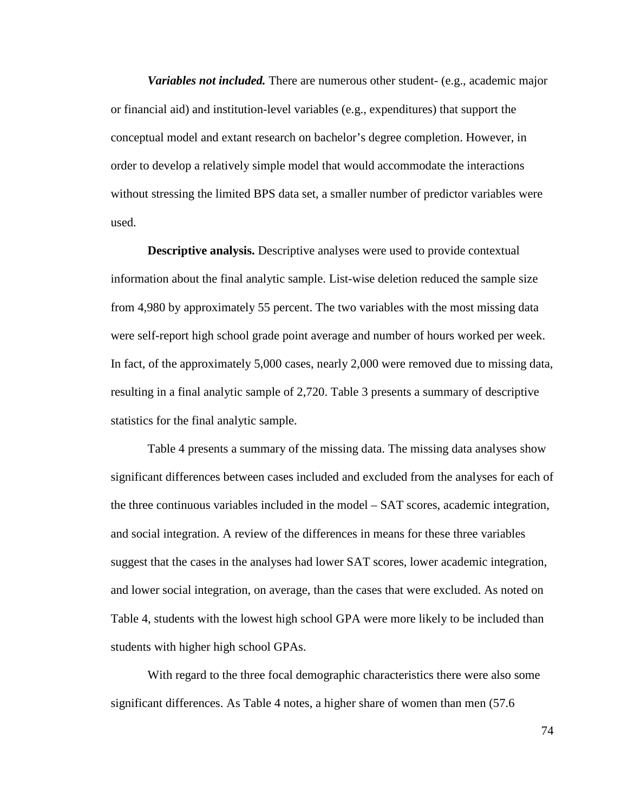*Variables not included.* There are numerous other student- (e.g., academic major or financial aid) and institution-level variables (e.g., expenditures) that support the conceptual model and extant research on bachelor's degree completion. However, in order to develop a relatively simple model that would accommodate the interactions without stressing the limited BPS data set, a smaller number of predictor variables were used.

**Descriptive analysis.** Descriptive analyses were used to provide contextual information about the final analytic sample. List-wise deletion reduced the sample size from 4,980 by approximately 55 percent. The two variables with the most missing data were self-report high school grade point average and number of hours worked per week. In fact, of the approximately 5,000 cases, nearly 2,000 were removed due to missing data, resulting in a final analytic sample of 2,720. Table 3 presents a summary of descriptive statistics for the final analytic sample.

Table 4 presents a summary of the missing data. The missing data analyses show significant differences between cases included and excluded from the analyses for each of the three continuous variables included in the model – SAT scores, academic integration, and social integration. A review of the differences in means for these three variables suggest that the cases in the analyses had lower SAT scores, lower academic integration, and lower social integration, on average, than the cases that were excluded. As noted on Table 4, students with the lowest high school GPA were more likely to be included than students with higher high school GPAs.

With regard to the three focal demographic characteristics there were also some significant differences. As Table 4 notes, a higher share of women than men (57.6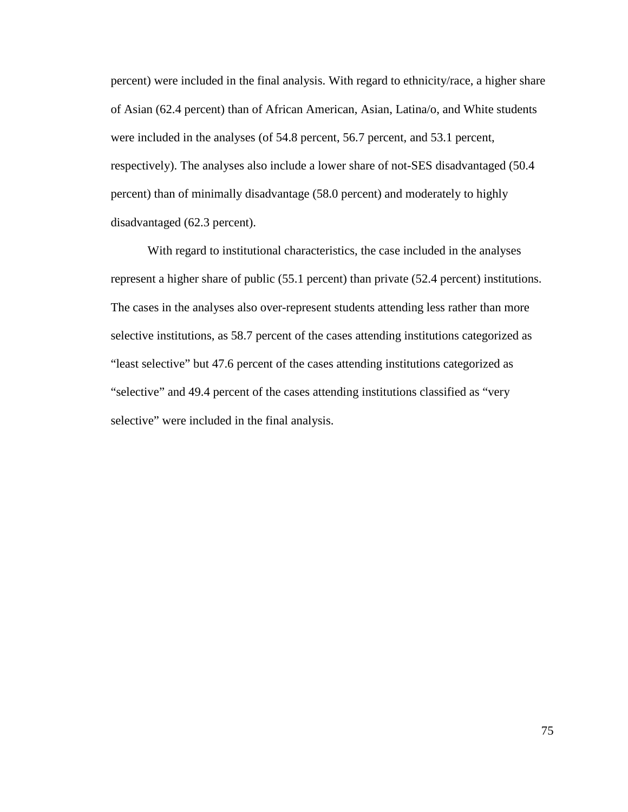percent) were included in the final analysis. With regard to ethnicity/race, a higher share of Asian (62.4 percent) than of African American, Asian, Latina/o, and White students were included in the analyses (of 54.8 percent, 56.7 percent, and 53.1 percent, respectively). The analyses also include a lower share of not-SES disadvantaged (50.4 percent) than of minimally disadvantage (58.0 percent) and moderately to highly disadvantaged (62.3 percent).

With regard to institutional characteristics, the case included in the analyses represent a higher share of public (55.1 percent) than private (52.4 percent) institutions. The cases in the analyses also over-represent students attending less rather than more selective institutions, as 58.7 percent of the cases attending institutions categorized as "least selective" but 47.6 percent of the cases attending institutions categorized as "selective" and 49.4 percent of the cases attending institutions classified as "very selective" were included in the final analysis.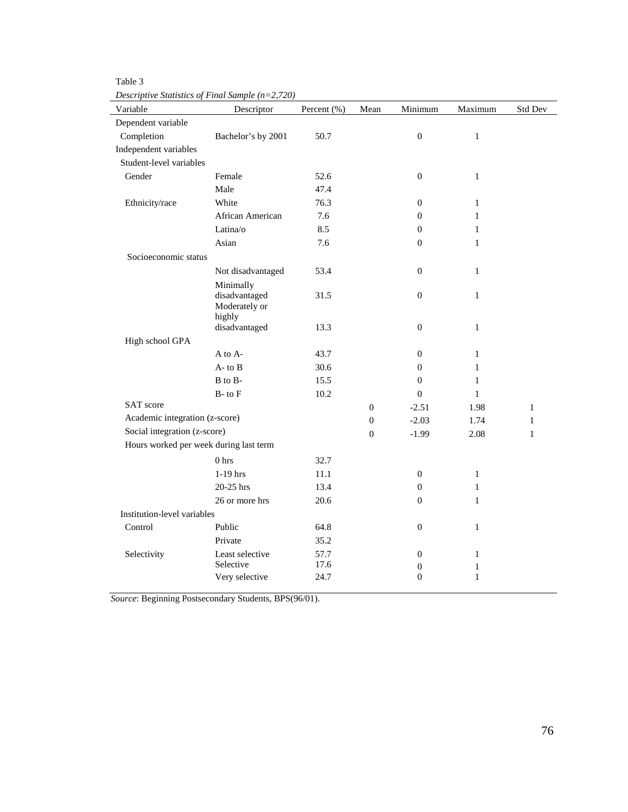| ۱<br>11<br>٧ |
|--------------|
|--------------|

*Descriptive Statistics of Final Sample (n=2,720)* 

| Variable                               | Descriptor                                  | Percent (%) | Mean             | Minimum          | Maximum      | Std Dev      |
|----------------------------------------|---------------------------------------------|-------------|------------------|------------------|--------------|--------------|
| Dependent variable                     |                                             |             |                  |                  |              |              |
| Completion                             | Bachelor's by 2001                          | 50.7        |                  | $\boldsymbol{0}$ | $\mathbf{1}$ |              |
| Independent variables                  |                                             |             |                  |                  |              |              |
| Student-level variables                |                                             |             |                  |                  |              |              |
| Gender                                 | Female                                      | 52.6        |                  | $\boldsymbol{0}$ | $\mathbf{1}$ |              |
|                                        | Male                                        | 47.4        |                  |                  |              |              |
| Ethnicity/race                         | White                                       | 76.3        |                  | $\mathbf{0}$     | $\mathbf{1}$ |              |
|                                        | African American                            | 7.6         |                  | $\theta$         | $\mathbf{1}$ |              |
|                                        | Latina/o                                    | 8.5         |                  | $\boldsymbol{0}$ | $\mathbf{1}$ |              |
|                                        | Asian                                       | 7.6         |                  | $\boldsymbol{0}$ | $\mathbf{1}$ |              |
| Socioeconomic status                   |                                             |             |                  |                  |              |              |
|                                        | Not disadvantaged                           | 53.4        |                  | $\boldsymbol{0}$ | $\mathbf{1}$ |              |
|                                        | Minimally<br>disadvantaged<br>Moderately or | 31.5        |                  | $\boldsymbol{0}$ | $\mathbf{1}$ |              |
|                                        | highly<br>disadvantaged                     | 13.3        |                  | $\boldsymbol{0}$ | $\mathbf{1}$ |              |
| High school GPA                        |                                             |             |                  |                  |              |              |
|                                        | A to A-                                     | 43.7        |                  | $\boldsymbol{0}$ | $\mathbf{1}$ |              |
|                                        | $A$ - to $B$                                | 30.6        |                  | $\boldsymbol{0}$ | $\mathbf{1}$ |              |
|                                        | $\, {\bf B}$ to $\, {\bf B}$ -              | 15.5        |                  | $\boldsymbol{0}$ | $\mathbf{1}$ |              |
|                                        | $B$ - to $F$                                | 10.2        |                  | $\boldsymbol{0}$ | $\mathbf{1}$ |              |
| SAT score                              |                                             |             | $\theta$         | $-2.51$          | 1.98         | $\mathbf{1}$ |
| Academic integration (z-score)         |                                             |             | $\boldsymbol{0}$ | $-2.03$          | 1.74         | $\mathbf{1}$ |
| Social integration (z-score)           |                                             |             | $\boldsymbol{0}$ | $-1.99$          | 2.08         | $\mathbf{1}$ |
| Hours worked per week during last term |                                             |             |                  |                  |              |              |
|                                        | 0 <sub>hrs</sub>                            | 32.7        |                  |                  |              |              |
|                                        | 1-19 hrs                                    | 11.1        |                  | $\boldsymbol{0}$ | $\mathbf{1}$ |              |
|                                        | 20-25 hrs                                   | 13.4        |                  | $\boldsymbol{0}$ | $\mathbf{1}$ |              |
|                                        | 26 or more hrs                              | 20.6        |                  | $\mathbf{0}$     | $\mathbf{1}$ |              |
| Institution-level variables            |                                             |             |                  |                  |              |              |
| Control                                | Public                                      | 64.8        |                  | $\theta$         | $\mathbf{1}$ |              |
|                                        | Private                                     | 35.2        |                  |                  |              |              |
| Selectivity                            | Least selective                             | 57.7        |                  | $\theta$         | $\mathbf{1}$ |              |
|                                        | Selective                                   | 17.6        |                  | $\boldsymbol{0}$ | $\mathbf{1}$ |              |
|                                        | Very selective                              | 24.7        |                  | $\boldsymbol{0}$ | $\mathbf{1}$ |              |

*Source*: Beginning Postsecondary Students, BPS(96/01).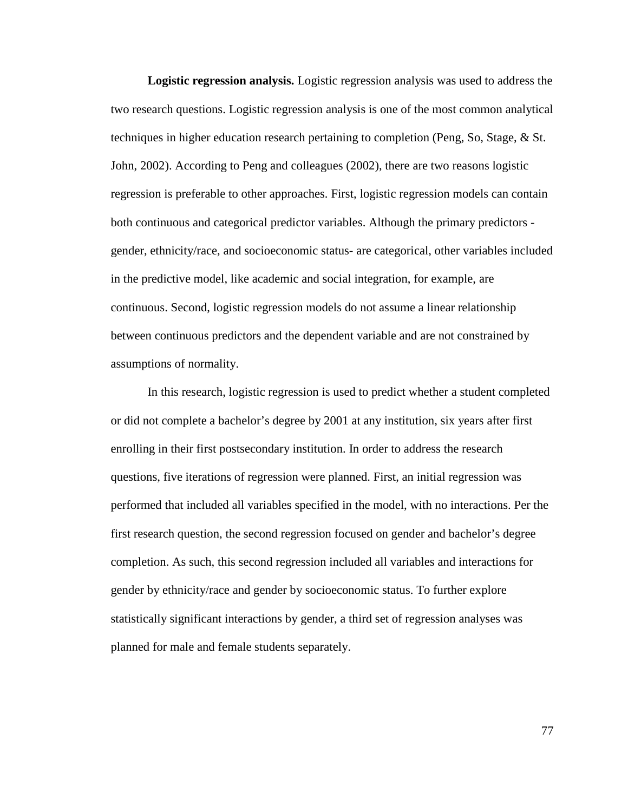**Logistic regression analysis.** Logistic regression analysis was used to address the two research questions. Logistic regression analysis is one of the most common analytical techniques in higher education research pertaining to completion (Peng, So, Stage, & St. John, 2002). According to Peng and colleagues (2002), there are two reasons logistic regression is preferable to other approaches. First, logistic regression models can contain both continuous and categorical predictor variables. Although the primary predictors gender, ethnicity/race, and socioeconomic status- are categorical, other variables included in the predictive model, like academic and social integration, for example, are continuous. Second, logistic regression models do not assume a linear relationship between continuous predictors and the dependent variable and are not constrained by assumptions of normality.

In this research, logistic regression is used to predict whether a student completed or did not complete a bachelor's degree by 2001 at any institution, six years after first enrolling in their first postsecondary institution. In order to address the research questions, five iterations of regression were planned. First, an initial regression was performed that included all variables specified in the model, with no interactions. Per the first research question, the second regression focused on gender and bachelor's degree completion. As such, this second regression included all variables and interactions for gender by ethnicity/race and gender by socioeconomic status. To further explore statistically significant interactions by gender, a third set of regression analyses was planned for male and female students separately.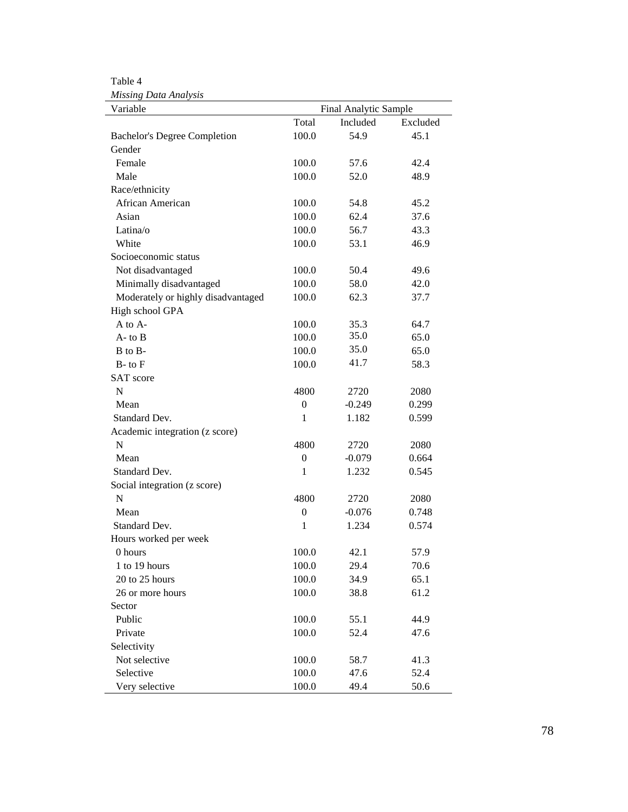Table 4

| Variable                            |                  | Final Analytic Sample |          |
|-------------------------------------|------------------|-----------------------|----------|
|                                     | Total            | Included              | Excluded |
| <b>Bachelor's Degree Completion</b> | 100.0            | 54.9                  | 45.1     |
| Gender                              |                  |                       |          |
| Female                              | 100.0            | 57.6                  | 42.4     |
| Male                                | 100.0            | 52.0                  | 48.9     |
| Race/ethnicity                      |                  |                       |          |
| African American                    | 100.0            | 54.8                  | 45.2     |
| Asian                               | 100.0            | 62.4                  | 37.6     |
| Latina/o                            | 100.0            | 56.7                  | 43.3     |
| White                               | 100.0            | 53.1                  | 46.9     |
| Socioeconomic status                |                  |                       |          |
| Not disadvantaged                   | 100.0            | 50.4                  | 49.6     |
| Minimally disadvantaged             | 100.0            | 58.0                  | 42.0     |
| Moderately or highly disadvantaged  | 100.0            | 62.3                  | 37.7     |
| High school GPA                     |                  |                       |          |
| A to A-                             | 100.0            | 35.3                  | 64.7     |
| $A$ - to $B$                        | 100.0            | 35.0                  | 65.0     |
| B to B-                             | 100.0            | 35.0                  | 65.0     |
| $B$ - to $F$                        | 100.0            | 41.7                  | 58.3     |
| <b>SAT</b> score                    |                  |                       |          |
| $\mathbf N$                         | 4800             | 2720                  | 2080     |
| Mean                                | $\mathbf{0}$     | $-0.249$              | 0.299    |
| Standard Dev.                       | $\mathbf{1}$     | 1.182                 | 0.599    |
| Academic integration (z score)      |                  |                       |          |
| N                                   | 4800             | 2720                  | 2080     |
| Mean                                | $\mathbf{0}$     | $-0.079$              | 0.664    |
| Standard Dev.                       | 1                | 1.232                 | 0.545    |
| Social integration (z score)        |                  |                       |          |
| $\mathbf N$                         | 4800             | 2720                  | 2080     |
| Mean                                | $\boldsymbol{0}$ | $-0.076$              | 0.748    |
| Standard Dev.                       | $\mathbf{1}$     | 1.234                 | 0.574    |
| Hours worked per week               |                  |                       |          |
| 0 hours                             | 100.0            | 42.1                  | 57.9     |
| 1 to 19 hours                       | 100.0            | 29.4                  | 70.6     |
| 20 to 25 hours                      | 100.0            | 34.9                  | 65.1     |
| 26 or more hours                    | 100.0            | 38.8                  | 61.2     |
| Sector                              |                  |                       |          |
| Public                              | 100.0            | 55.1                  | 44.9     |
| Private                             | 100.0            | 52.4                  | 47.6     |
| Selectivity                         |                  |                       |          |
| Not selective                       | 100.0            | 58.7                  | 41.3     |
| Selective                           | 100.0            | 47.6                  | 52.4     |
| Very selective                      | 100.0            | 49.4                  | 50.6     |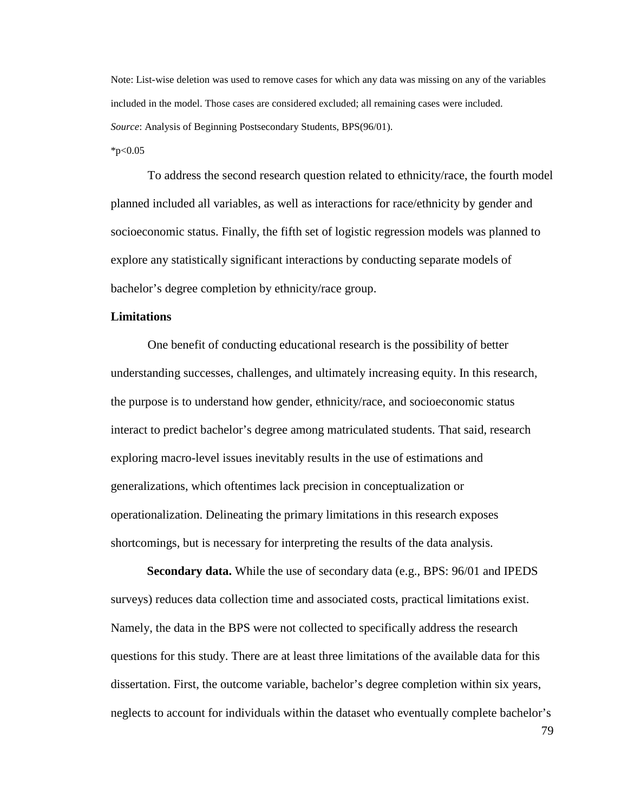Note: List-wise deletion was used to remove cases for which any data was missing on any of the variables included in the model. Those cases are considered excluded; all remaining cases were included. *Source*: Analysis of Beginning Postsecondary Students, BPS(96/01).

 $*p<0.05$ 

To address the second research question related to ethnicity/race, the fourth model planned included all variables, as well as interactions for race/ethnicity by gender and socioeconomic status. Finally, the fifth set of logistic regression models was planned to explore any statistically significant interactions by conducting separate models of bachelor's degree completion by ethnicity/race group.

### **Limitations**

 One benefit of conducting educational research is the possibility of better understanding successes, challenges, and ultimately increasing equity. In this research, the purpose is to understand how gender, ethnicity/race, and socioeconomic status interact to predict bachelor's degree among matriculated students. That said, research exploring macro-level issues inevitably results in the use of estimations and generalizations, which oftentimes lack precision in conceptualization or operationalization. Delineating the primary limitations in this research exposes shortcomings, but is necessary for interpreting the results of the data analysis.

**Secondary data.** While the use of secondary data (e.g., BPS: 96/01 and IPEDS surveys) reduces data collection time and associated costs, practical limitations exist. Namely, the data in the BPS were not collected to specifically address the research questions for this study. There are at least three limitations of the available data for this dissertation. First, the outcome variable, bachelor's degree completion within six years, neglects to account for individuals within the dataset who eventually complete bachelor's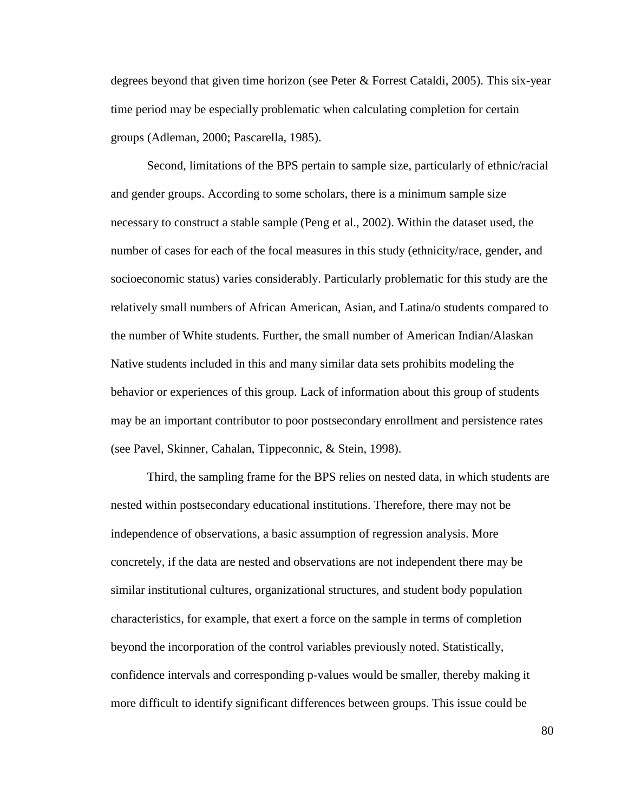degrees beyond that given time horizon (see Peter & Forrest Cataldi, 2005). This six-year time period may be especially problematic when calculating completion for certain groups (Adleman, 2000; Pascarella, 1985).

Second, limitations of the BPS pertain to sample size, particularly of ethnic/racial and gender groups. According to some scholars, there is a minimum sample size necessary to construct a stable sample (Peng et al., 2002). Within the dataset used, the number of cases for each of the focal measures in this study (ethnicity/race, gender, and socioeconomic status) varies considerably. Particularly problematic for this study are the relatively small numbers of African American, Asian, and Latina/o students compared to the number of White students. Further, the small number of American Indian/Alaskan Native students included in this and many similar data sets prohibits modeling the behavior or experiences of this group. Lack of information about this group of students may be an important contributor to poor postsecondary enrollment and persistence rates (see Pavel, Skinner, Cahalan, Tippeconnic, & Stein, 1998).

Third, the sampling frame for the BPS relies on nested data, in which students are nested within postsecondary educational institutions. Therefore, there may not be independence of observations, a basic assumption of regression analysis. More concretely, if the data are nested and observations are not independent there may be similar institutional cultures, organizational structures, and student body population characteristics, for example, that exert a force on the sample in terms of completion beyond the incorporation of the control variables previously noted. Statistically, confidence intervals and corresponding p-values would be smaller, thereby making it more difficult to identify significant differences between groups. This issue could be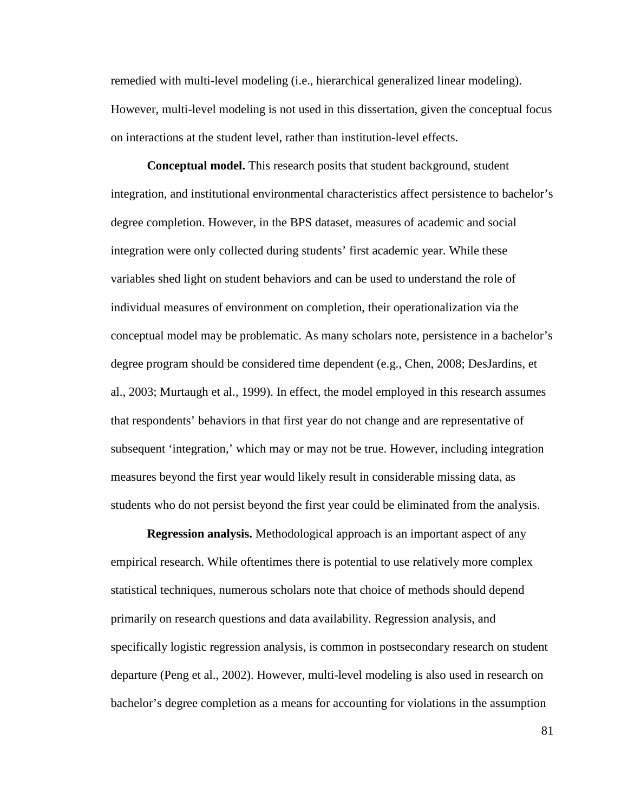remedied with multi-level modeling (i.e., hierarchical generalized linear modeling). However, multi-level modeling is not used in this dissertation, given the conceptual focus on interactions at the student level, rather than institution-level effects.

**Conceptual model.** This research posits that student background, student integration, and institutional environmental characteristics affect persistence to bachelor's degree completion. However, in the BPS dataset, measures of academic and social integration were only collected during students' first academic year. While these variables shed light on student behaviors and can be used to understand the role of individual measures of environment on completion, their operationalization via the conceptual model may be problematic. As many scholars note, persistence in a bachelor's degree program should be considered time dependent (e.g., Chen, 2008; DesJardins, et al., 2003; Murtaugh et al., 1999). In effect, the model employed in this research assumes that respondents' behaviors in that first year do not change and are representative of subsequent 'integration,' which may or may not be true. However, including integration measures beyond the first year would likely result in considerable missing data, as students who do not persist beyond the first year could be eliminated from the analysis.

**Regression analysis.** Methodological approach is an important aspect of any empirical research. While oftentimes there is potential to use relatively more complex statistical techniques, numerous scholars note that choice of methods should depend primarily on research questions and data availability. Regression analysis, and specifically logistic regression analysis, is common in postsecondary research on student departure (Peng et al., 2002). However, multi-level modeling is also used in research on bachelor's degree completion as a means for accounting for violations in the assumption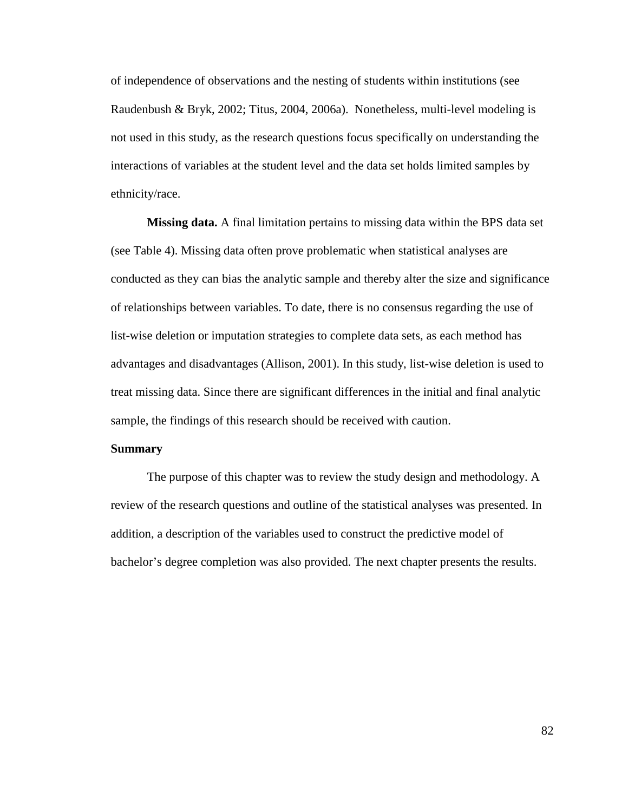of independence of observations and the nesting of students within institutions (see Raudenbush & Bryk, 2002; Titus, 2004, 2006a). Nonetheless, multi-level modeling is not used in this study, as the research questions focus specifically on understanding the interactions of variables at the student level and the data set holds limited samples by ethnicity/race.

**Missing data.** A final limitation pertains to missing data within the BPS data set (see Table 4). Missing data often prove problematic when statistical analyses are conducted as they can bias the analytic sample and thereby alter the size and significance of relationships between variables. To date, there is no consensus regarding the use of list-wise deletion or imputation strategies to complete data sets, as each method has advantages and disadvantages (Allison, 2001). In this study, list-wise deletion is used to treat missing data. Since there are significant differences in the initial and final analytic sample, the findings of this research should be received with caution.

## **Summary**

The purpose of this chapter was to review the study design and methodology. A review of the research questions and outline of the statistical analyses was presented. In addition, a description of the variables used to construct the predictive model of bachelor's degree completion was also provided. The next chapter presents the results.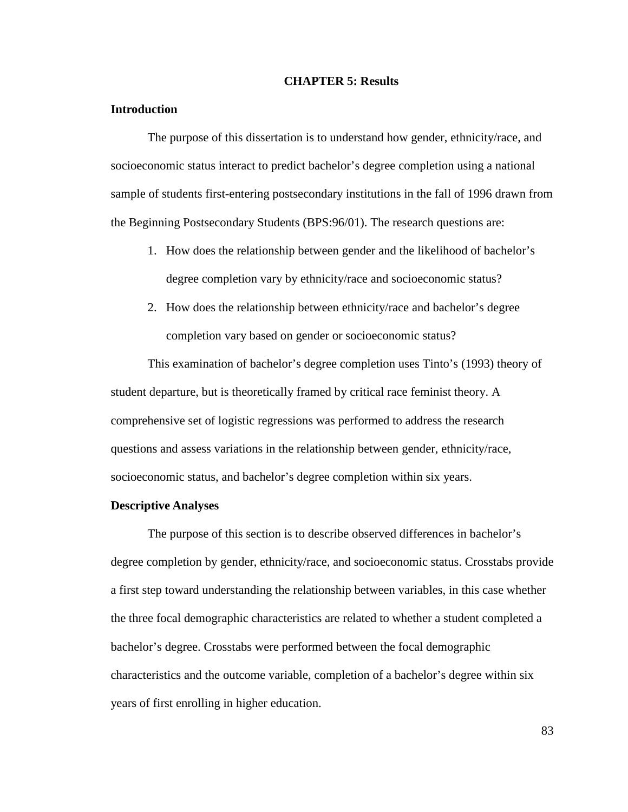#### **CHAPTER 5: Results**

### **Introduction**

The purpose of this dissertation is to understand how gender, ethnicity/race, and socioeconomic status interact to predict bachelor's degree completion using a national sample of students first-entering postsecondary institutions in the fall of 1996 drawn from the Beginning Postsecondary Students (BPS:96/01). The research questions are:

- 1. How does the relationship between gender and the likelihood of bachelor's degree completion vary by ethnicity/race and socioeconomic status?
- 2. How does the relationship between ethnicity/race and bachelor's degree completion vary based on gender or socioeconomic status?

 This examination of bachelor's degree completion uses Tinto's (1993) theory of student departure, but is theoretically framed by critical race feminist theory. A comprehensive set of logistic regressions was performed to address the research questions and assess variations in the relationship between gender, ethnicity/race, socioeconomic status, and bachelor's degree completion within six years.

#### **Descriptive Analyses**

The purpose of this section is to describe observed differences in bachelor's degree completion by gender, ethnicity/race, and socioeconomic status. Crosstabs provide a first step toward understanding the relationship between variables, in this case whether the three focal demographic characteristics are related to whether a student completed a bachelor's degree. Crosstabs were performed between the focal demographic characteristics and the outcome variable, completion of a bachelor's degree within six years of first enrolling in higher education.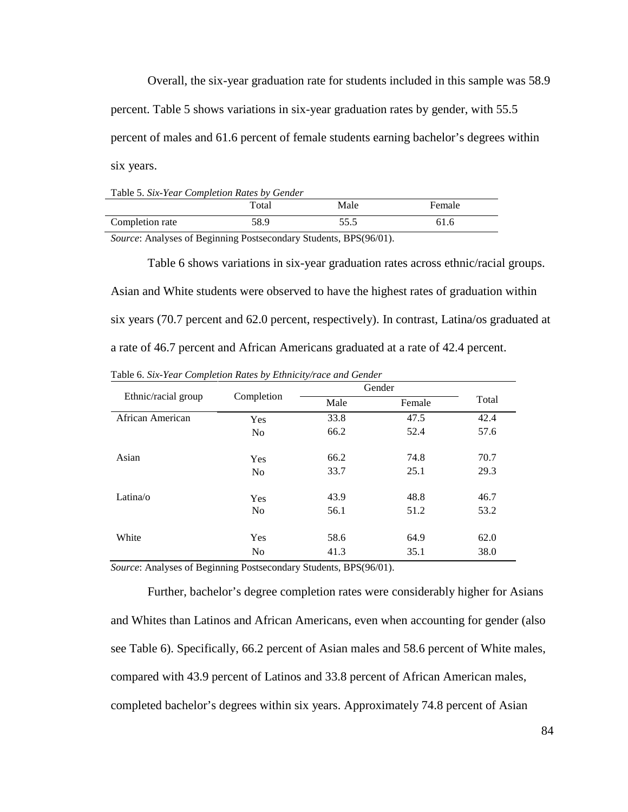Overall, the six-year graduation rate for students included in this sample was 58.9 percent. Table 5 shows variations in six-year graduation rates by gender, with 55.5 percent of males and 61.6 percent of female students earning bachelor's degrees within six years.

Table 5. *Six-Year Completion Rates by Gender*

|                 | $_{\rm Total}$ | Male | Female |
|-----------------|----------------|------|--------|
| Completion rate | 58.9           | 55.5 | 61.6   |

*Source*: Analyses of Beginning Postsecondary Students, BPS(96/01).

Table 6 shows variations in six-year graduation rates across ethnic/racial groups. Asian and White students were observed to have the highest rates of graduation within six years (70.7 percent and 62.0 percent, respectively). In contrast, Latina/os graduated at a rate of 46.7 percent and African Americans graduated at a rate of 42.4 percent.

|                     |                | Gender |        |       |
|---------------------|----------------|--------|--------|-------|
| Ethnic/racial group | Completion     | Male   | Female | Total |
| African American    | Yes            | 33.8   | 47.5   | 42.4  |
|                     | N <sub>o</sub> | 66.2   | 52.4   | 57.6  |
|                     |                |        |        |       |
| Asian               | Yes            | 66.2   | 74.8   | 70.7  |
|                     | N <sub>o</sub> | 33.7   | 25.1   | 29.3  |
| Latina/o            | Yes            | 43.9   | 48.8   | 46.7  |
|                     | N <sub>o</sub> | 56.1   | 51.2   | 53.2  |
|                     |                |        |        |       |
| White               | Yes            | 58.6   | 64.9   | 62.0  |
|                     | N <sub>o</sub> | 41.3   | 35.1   | 38.0  |

Table 6. *Six-Year Completion Rates by Ethnicity/race and Gender*

*Source*: Analyses of Beginning Postsecondary Students, BPS(96/01).

Further, bachelor's degree completion rates were considerably higher for Asians and Whites than Latinos and African Americans, even when accounting for gender (also see Table 6). Specifically, 66.2 percent of Asian males and 58.6 percent of White males, compared with 43.9 percent of Latinos and 33.8 percent of African American males, completed bachelor's degrees within six years. Approximately 74.8 percent of Asian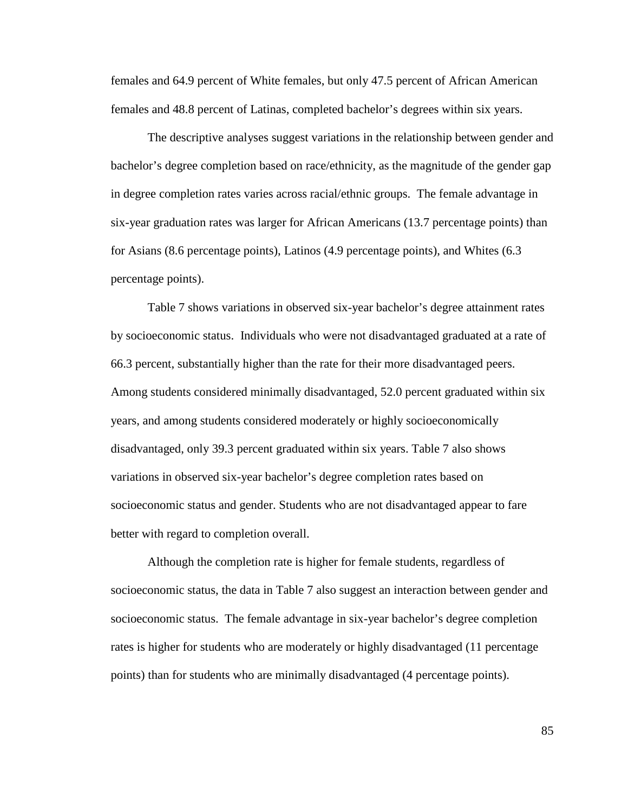females and 64.9 percent of White females, but only 47.5 percent of African American females and 48.8 percent of Latinas, completed bachelor's degrees within six years.

The descriptive analyses suggest variations in the relationship between gender and bachelor's degree completion based on race/ethnicity, as the magnitude of the gender gap in degree completion rates varies across racial/ethnic groups. The female advantage in six-year graduation rates was larger for African Americans (13.7 percentage points) than for Asians (8.6 percentage points), Latinos (4.9 percentage points), and Whites (6.3 percentage points).

Table 7 shows variations in observed six-year bachelor's degree attainment rates by socioeconomic status. Individuals who were not disadvantaged graduated at a rate of 66.3 percent, substantially higher than the rate for their more disadvantaged peers. Among students considered minimally disadvantaged, 52.0 percent graduated within six years, and among students considered moderately or highly socioeconomically disadvantaged, only 39.3 percent graduated within six years. Table 7 also shows variations in observed six-year bachelor's degree completion rates based on socioeconomic status and gender. Students who are not disadvantaged appear to fare better with regard to completion overall.

Although the completion rate is higher for female students, regardless of socioeconomic status, the data in Table 7 also suggest an interaction between gender and socioeconomic status. The female advantage in six-year bachelor's degree completion rates is higher for students who are moderately or highly disadvantaged (11 percentage points) than for students who are minimally disadvantaged (4 percentage points).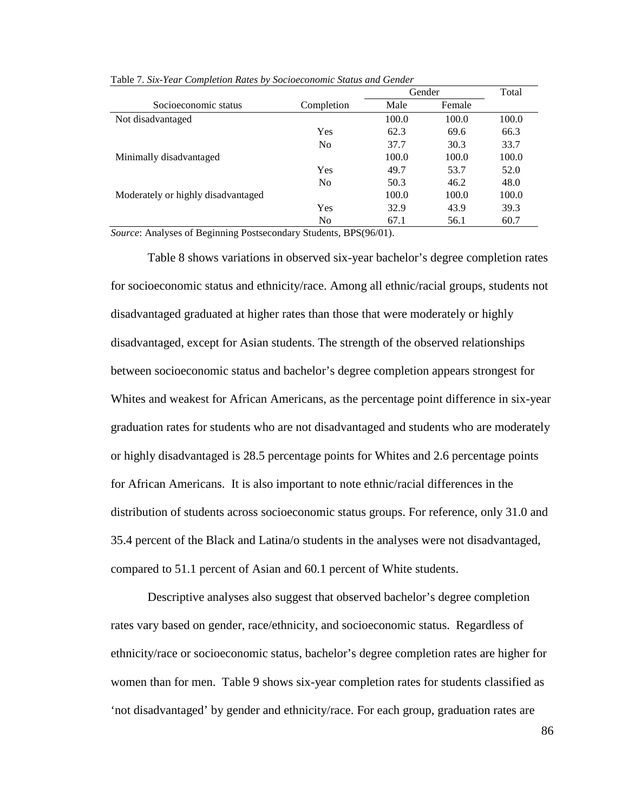|                                    |                | Gender |        | Total |
|------------------------------------|----------------|--------|--------|-------|
| Socioeconomic status               | Completion     | Male   | Female |       |
| Not disadvantaged                  |                | 100.0  | 100.0  | 100.0 |
|                                    | Yes            | 62.3   | 69.6   | 66.3  |
|                                    | N <sub>0</sub> | 37.7   | 30.3   | 33.7  |
| Minimally disadvantaged            |                | 100.0  | 100.0  | 100.0 |
|                                    | Yes            | 49.7   | 53.7   | 52.0  |
|                                    | N <sub>0</sub> | 50.3   | 46.2   | 48.0  |
| Moderately or highly disadvantaged |                | 100.0  | 100.0  | 100.0 |
|                                    | Yes            | 32.9   | 43.9   | 39.3  |
|                                    | N <sub>0</sub> | 67.1   | 56.1   | 60.7  |

Table 7. *Six-Year Completion Rates by Socioeconomic Status and Gender*

*Source*: Analyses of Beginning Postsecondary Students, BPS(96/01).

 Table 8 shows variations in observed six-year bachelor's degree completion rates for socioeconomic status and ethnicity/race. Among all ethnic/racial groups, students not disadvantaged graduated at higher rates than those that were moderately or highly disadvantaged, except for Asian students. The strength of the observed relationships between socioeconomic status and bachelor's degree completion appears strongest for Whites and weakest for African Americans, as the percentage point difference in six-year graduation rates for students who are not disadvantaged and students who are moderately or highly disadvantaged is 28.5 percentage points for Whites and 2.6 percentage points for African Americans. It is also important to note ethnic/racial differences in the distribution of students across socioeconomic status groups. For reference, only 31.0 and 35.4 percent of the Black and Latina/o students in the analyses were not disadvantaged, compared to 51.1 percent of Asian and 60.1 percent of White students.

Descriptive analyses also suggest that observed bachelor's degree completion rates vary based on gender, race/ethnicity, and socioeconomic status. Regardless of ethnicity/race or socioeconomic status, bachelor's degree completion rates are higher for women than for men. Table 9 shows six-year completion rates for students classified as 'not disadvantaged' by gender and ethnicity/race. For each group, graduation rates are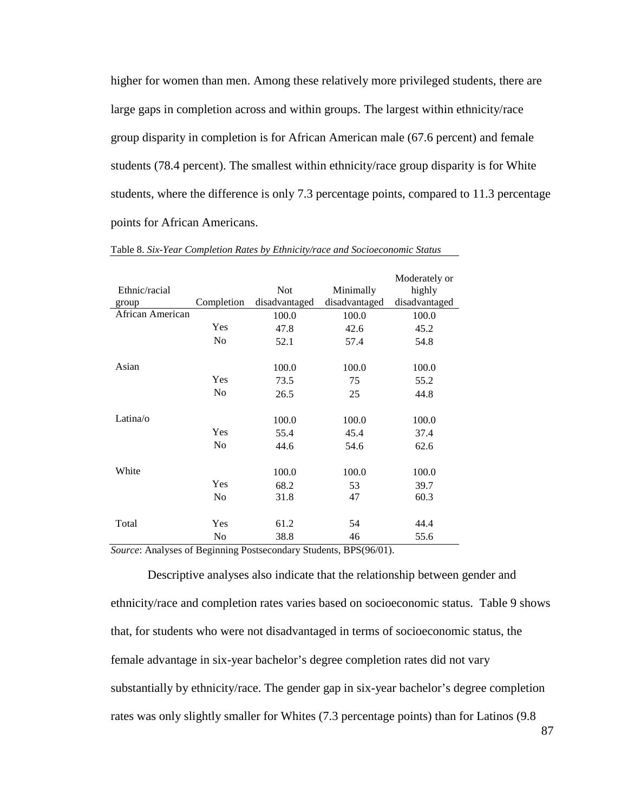higher for women than men. Among these relatively more privileged students, there are large gaps in completion across and within groups. The largest within ethnicity/race group disparity in completion is for African American male (67.6 percent) and female students (78.4 percent). The smallest within ethnicity/race group disparity is for White students, where the difference is only 7.3 percentage points, compared to 11.3 percentage points for African Americans.

|                  |                |               |               | Moderately or |
|------------------|----------------|---------------|---------------|---------------|
| Ethnic/racial    |                | <b>Not</b>    | Minimally     | highly        |
| group            | Completion     | disadvantaged | disadvantaged | disadvantaged |
| African American |                | 100.0         | 100.0         | 100.0         |
|                  | Yes            | 47.8          | 42.6          | 45.2          |
|                  | N <sub>0</sub> | 52.1          | 57.4          | 54.8          |
| Asian            |                | 100.0         | 100.0         | 100.0         |
|                  | Yes            | 73.5          | 75            | 55.2          |
|                  | N <sub>0</sub> | 26.5          | 25            | 44.8          |
| Latina/ $\alpha$ |                | 100.0         | 100.0         | 100.0         |
|                  | Yes            | 55.4          | 45.4          | 37.4          |
|                  | N <sub>0</sub> | 44.6          | 54.6          | 62.6          |
| White            |                | 100.0         | 100.0         | 100.0         |
|                  | Yes            | 68.2          | 53            | 39.7          |
|                  | N <sub>0</sub> | 31.8          | 47            | 60.3          |
| Total            | Yes            | 61.2          | 54            | 44.4          |
|                  | N <sub>0</sub> | 38.8          | 46            | 55.6          |

Table 8. *Six-Year Completion Rates by Ethnicity/race and Socioeconomic Status*

*Source*: Analyses of Beginning Postsecondary Students, BPS(96/01).

Descriptive analyses also indicate that the relationship between gender and ethnicity/race and completion rates varies based on socioeconomic status. Table 9 shows that, for students who were not disadvantaged in terms of socioeconomic status, the female advantage in six-year bachelor's degree completion rates did not vary substantially by ethnicity/race. The gender gap in six-year bachelor's degree completion rates was only slightly smaller for Whites (7.3 percentage points) than for Latinos (9.8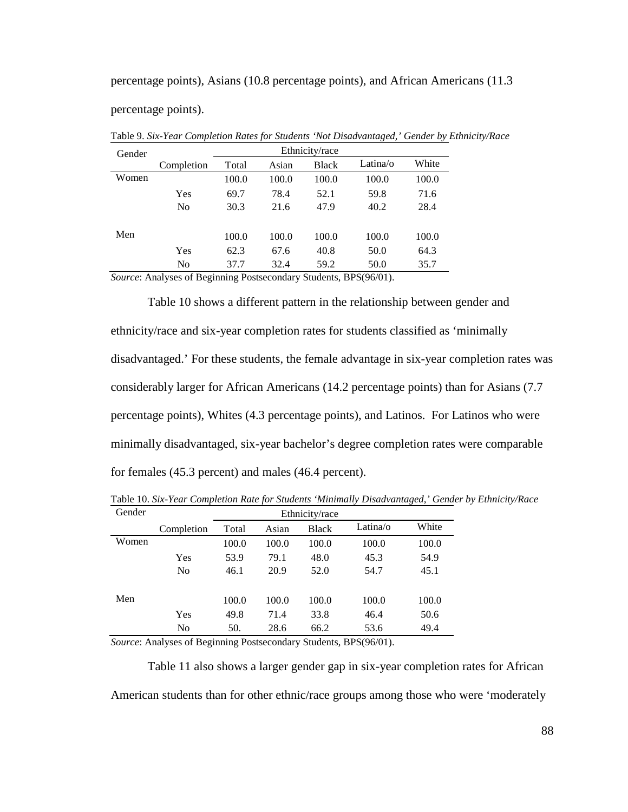percentage points), Asians (10.8 percentage points), and African Americans (11.3

percentage points).

|                | Ethnicity/race |       |              |          |       |  |
|----------------|----------------|-------|--------------|----------|-------|--|
| Completion     | Total          | Asian | <b>Black</b> | Latina/o | White |  |
|                | 100.0          | 100.0 | 100.0        | 100.0    | 100.0 |  |
| Yes            | 69.7           | 78.4  | 52.1         | 59.8     | 71.6  |  |
| No             | 30.3           | 21.6  | 47.9         | 40.2     | 28.4  |  |
|                | 100.0          | 100.0 | 100.0        | 100.0    | 100.0 |  |
| Yes            | 62.3           | 67.6  | 40.8         | 50.0     | 64.3  |  |
| N <sub>0</sub> | 37.7           | 32.4  | 59.2         | 50.0     | 35.7  |  |
|                |                |       |              |          |       |  |

Table 9. *Six-Year Completion Rates for Students 'Not Disadvantaged,' Gender by Ethnicity/Race* 

*Source*: Analyses of Beginning Postsecondary Students, BPS(96/01).

Table 10 shows a different pattern in the relationship between gender and ethnicity/race and six-year completion rates for students classified as 'minimally disadvantaged.' For these students, the female advantage in six-year completion rates was considerably larger for African Americans (14.2 percentage points) than for Asians (7.7 percentage points), Whites (4.3 percentage points), and Latinos. For Latinos who were minimally disadvantaged, six-year bachelor's degree completion rates were comparable for females (45.3 percent) and males (46.4 percent).

| Gender |            | Ethnicity/race |       |              |          |       |  |
|--------|------------|----------------|-------|--------------|----------|-------|--|
|        | Completion | Total          | Asian | <b>Black</b> | Latina/o | White |  |
| Women  |            | 100.0          | 100.0 | 100.0        | 100.0    | 100.0 |  |
|        | Yes        | 53.9           | 79.1  | 48.0         | 45.3     | 54.9  |  |
|        | No         | 46.1           | 20.9  | 52.0         | 54.7     | 45.1  |  |
|        |            |                |       |              |          |       |  |
| Men    |            | 100.0          | 100.0 | 100.0        | 100.0    | 100.0 |  |
|        | Yes        | 49.8           | 71.4  | 33.8         | 46.4     | 50.6  |  |
|        | No         | 50.            | 28.6  | 66.2         | 53.6     | 49.4  |  |

Table 10. *Six-Year Completion Rate for Students 'Minimally Disadvantaged,' Gender by Ethnicity/Race* 

*Source*: Analyses of Beginning Postsecondary Students, BPS(96/01).

Table 11 also shows a larger gender gap in six-year completion rates for African American students than for other ethnic/race groups among those who were 'moderately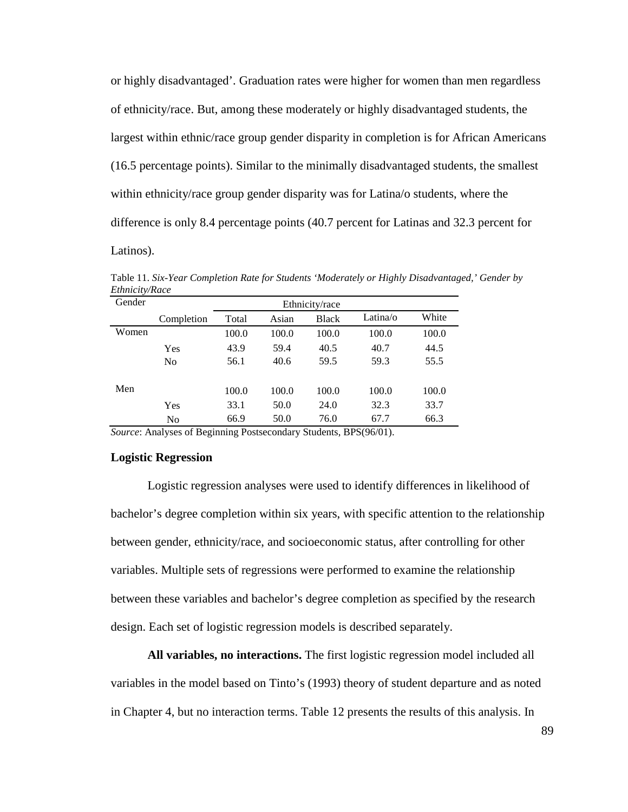or highly disadvantaged'. Graduation rates were higher for women than men regardless of ethnicity/race. But, among these moderately or highly disadvantaged students, the largest within ethnic/race group gender disparity in completion is for African Americans (16.5 percentage points). Similar to the minimally disadvantaged students, the smallest within ethnicity/race group gender disparity was for Latina/o students, where the difference is only 8.4 percentage points (40.7 percent for Latinas and 32.3 percent for Latinos).

| Gender |                | Ethnicity/race |       |              |          |       |  |
|--------|----------------|----------------|-------|--------------|----------|-------|--|
|        | Completion     | Total          | Asian | <b>Black</b> | Latina/o | White |  |
| Women  |                | 100.0          | 100.0 | 100.0        | 100.0    | 100.0 |  |
|        | Yes            | 43.9           | 59.4  | 40.5         | 40.7     | 44.5  |  |
|        | N <sub>0</sub> | 56.1           | 40.6  | 59.5         | 59.3     | 55.5  |  |
| Men    |                | 100.0          | 100.0 | 100.0        | 100.0    | 100.0 |  |
|        | Yes            | 33.1           | 50.0  | 24.0         | 32.3     | 33.7  |  |
|        | N <sub>o</sub> | 66.9           | 50.0  | 76.0         | 67.7     | 66.3  |  |

Table 11. *Six-Year Completion Rate for Students 'Moderately or Highly Disadvantaged,' Gender by Ethnicity/Race* 

*Source*: Analyses of Beginning Postsecondary Students, BPS(96/01).

### **Logistic Regression**

Logistic regression analyses were used to identify differences in likelihood of bachelor's degree completion within six years, with specific attention to the relationship between gender, ethnicity/race, and socioeconomic status, after controlling for other variables. Multiple sets of regressions were performed to examine the relationship between these variables and bachelor's degree completion as specified by the research design. Each set of logistic regression models is described separately.

**All variables, no interactions.** The first logistic regression model included all variables in the model based on Tinto's (1993) theory of student departure and as noted in Chapter 4, but no interaction terms. Table 12 presents the results of this analysis. In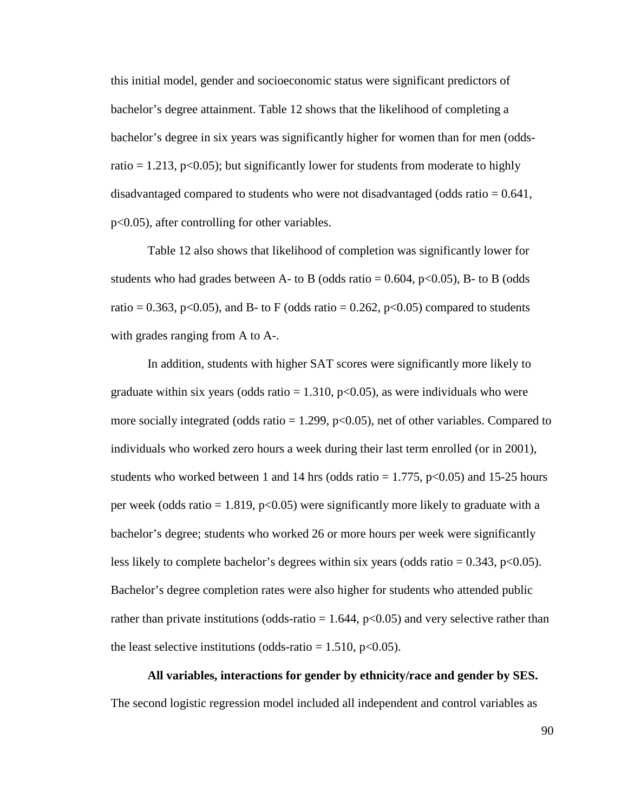this initial model, gender and socioeconomic status were significant predictors of bachelor's degree attainment. Table 12 shows that the likelihood of completing a bachelor's degree in six years was significantly higher for women than for men (oddsratio  $= 1.213$ , p $\le 0.05$ ; but significantly lower for students from moderate to highly disadvantaged compared to students who were not disadvantaged (odds ratio  $= 0.641$ , p<0.05), after controlling for other variables.

Table 12 also shows that likelihood of completion was significantly lower for students who had grades between A- to B (odds ratio =  $0.604$ , p<0.05), B- to B (odds ratio = 0.363, p<0.05), and B- to F (odds ratio = 0.262, p<0.05) compared to students with grades ranging from A to A-.

In addition, students with higher SAT scores were significantly more likely to graduate within six years (odds ratio  $= 1.310$ , p $< 0.05$ ), as were individuals who were more socially integrated (odds ratio  $= 1.299$ , p $< 0.05$ ), net of other variables. Compared to individuals who worked zero hours a week during their last term enrolled (or in 2001), students who worked between 1 and 14 hrs (odds ratio  $= 1.775$ , p<0.05) and 15-25 hours per week (odds ratio = 1.819,  $p<0.05$ ) were significantly more likely to graduate with a bachelor's degree; students who worked 26 or more hours per week were significantly less likely to complete bachelor's degrees within six years (odds ratio =  $0.343$ , p<0.05). Bachelor's degree completion rates were also higher for students who attended public rather than private institutions (odds-ratio  $= 1.644$ , p<0.05) and very selective rather than the least selective institutions (odds-ratio =  $1.510$ , p<0.05).

**All variables, interactions for gender by ethnicity/race and gender by SES.** The second logistic regression model included all independent and control variables as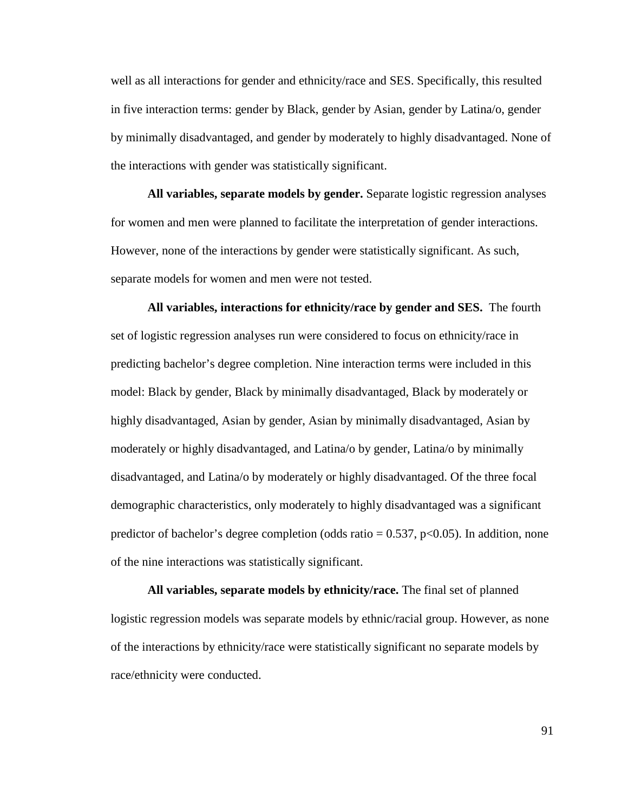well as all interactions for gender and ethnicity/race and SES. Specifically, this resulted in five interaction terms: gender by Black, gender by Asian, gender by Latina/o, gender by minimally disadvantaged, and gender by moderately to highly disadvantaged. None of the interactions with gender was statistically significant.

**All variables, separate models by gender.** Separate logistic regression analyses for women and men were planned to facilitate the interpretation of gender interactions. However, none of the interactions by gender were statistically significant. As such, separate models for women and men were not tested.

**All variables, interactions for ethnicity/race by gender and SES.** The fourth set of logistic regression analyses run were considered to focus on ethnicity/race in predicting bachelor's degree completion. Nine interaction terms were included in this model: Black by gender, Black by minimally disadvantaged, Black by moderately or highly disadvantaged, Asian by gender, Asian by minimally disadvantaged, Asian by moderately or highly disadvantaged, and Latina/o by gender, Latina/o by minimally disadvantaged, and Latina/o by moderately or highly disadvantaged. Of the three focal demographic characteristics, only moderately to highly disadvantaged was a significant predictor of bachelor's degree completion (odds ratio  $= 0.537$ , p $<0.05$ ). In addition, none of the nine interactions was statistically significant.

**All variables, separate models by ethnicity/race.** The final set of planned logistic regression models was separate models by ethnic/racial group. However, as none of the interactions by ethnicity/race were statistically significant no separate models by race/ethnicity were conducted.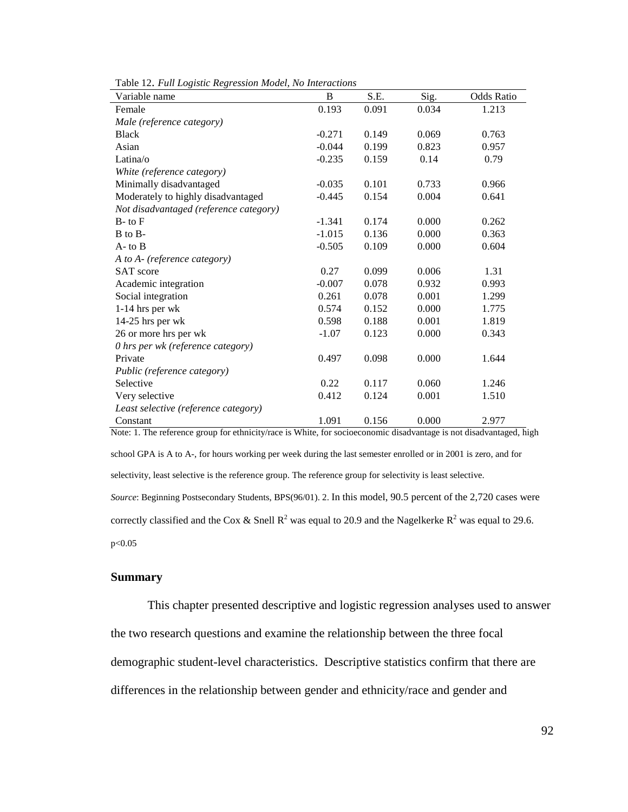| Variable name                          | B        | S.E.  | Sig.  | <b>Odds Ratio</b> |
|----------------------------------------|----------|-------|-------|-------------------|
| Female                                 | 0.193    | 0.091 | 0.034 | 1.213             |
| Male (reference category)              |          |       |       |                   |
| <b>Black</b>                           | $-0.271$ | 0.149 | 0.069 | 0.763             |
| Asian                                  | $-0.044$ | 0.199 | 0.823 | 0.957             |
| Latina/o                               | $-0.235$ | 0.159 | 0.14  | 0.79              |
| White (reference category)             |          |       |       |                   |
| Minimally disadvantaged                | $-0.035$ | 0.101 | 0.733 | 0.966             |
| Moderately to highly disadvantaged     | $-0.445$ | 0.154 | 0.004 | 0.641             |
| Not disadvantaged (reference category) |          |       |       |                   |
| $B$ - to $F$                           | $-1.341$ | 0.174 | 0.000 | 0.262             |
| B to B-                                | $-1.015$ | 0.136 | 0.000 | 0.363             |
| $A$ - to $B$                           | $-0.505$ | 0.109 | 0.000 | 0.604             |
| A to A- (reference category)           |          |       |       |                   |
| <b>SAT</b> score                       | 0.27     | 0.099 | 0.006 | 1.31              |
| Academic integration                   | $-0.007$ | 0.078 | 0.932 | 0.993             |
| Social integration                     | 0.261    | 0.078 | 0.001 | 1.299             |
| $1-14$ hrs per wk                      | 0.574    | 0.152 | 0.000 | 1.775             |
| 14-25 hrs per wk                       | 0.598    | 0.188 | 0.001 | 1.819             |
| 26 or more hrs per wk                  | $-1.07$  | 0.123 | 0.000 | 0.343             |
| 0 hrs per wk (reference category)      |          |       |       |                   |
| Private                                | 0.497    | 0.098 | 0.000 | 1.644             |
| Public (reference category)            |          |       |       |                   |
| Selective                              | 0.22     | 0.117 | 0.060 | 1.246             |
| Very selective                         | 0.412    | 0.124 | 0.001 | 1.510             |
| Least selective (reference category)   |          |       |       |                   |
| Constant                               | 1.091    | 0.156 | 0.000 | 2.977             |

Table 12. *Full Logistic Regression Model, No Interactions* 

Note: 1. The reference group for ethnicity/race is White, for socioeconomic disadvantage is not disadvantaged, high school GPA is A to A-, for hours working per week during the last semester enrolled or in 2001 is zero, and for selectivity, least selective is the reference group. The reference group for selectivity is least selective. *Source*: Beginning Postsecondary Students, BPS(96/01). 2. In this model, 90.5 percent of the 2,720 cases were correctly classified and the Cox & Snell R<sup>2</sup> was equal to 20.9 and the Nagelkerke R<sup>2</sup> was equal to 29.6. p<0.05

#### **Summary**

This chapter presented descriptive and logistic regression analyses used to answer the two research questions and examine the relationship between the three focal demographic student-level characteristics. Descriptive statistics confirm that there are differences in the relationship between gender and ethnicity/race and gender and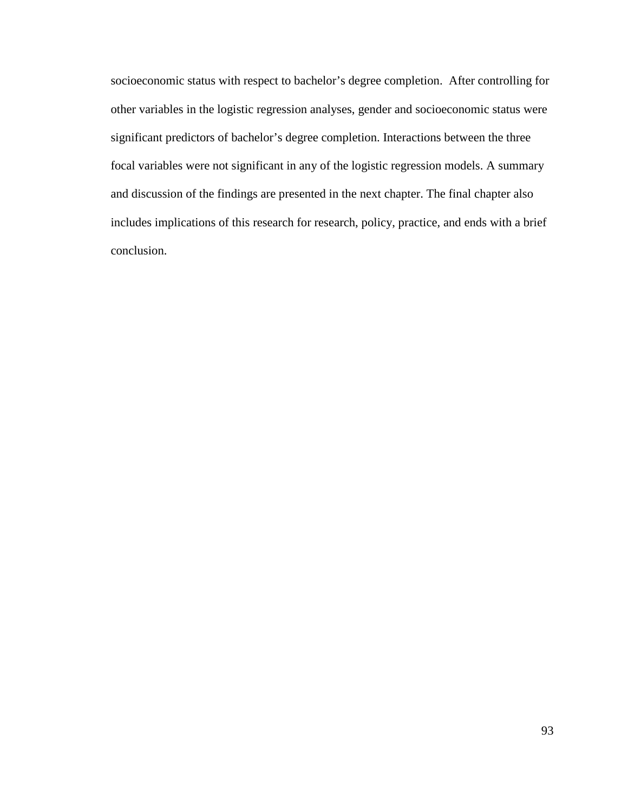socioeconomic status with respect to bachelor's degree completion. After controlling for other variables in the logistic regression analyses, gender and socioeconomic status were significant predictors of bachelor's degree completion. Interactions between the three focal variables were not significant in any of the logistic regression models. A summary and discussion of the findings are presented in the next chapter. The final chapter also includes implications of this research for research, policy, practice, and ends with a brief conclusion.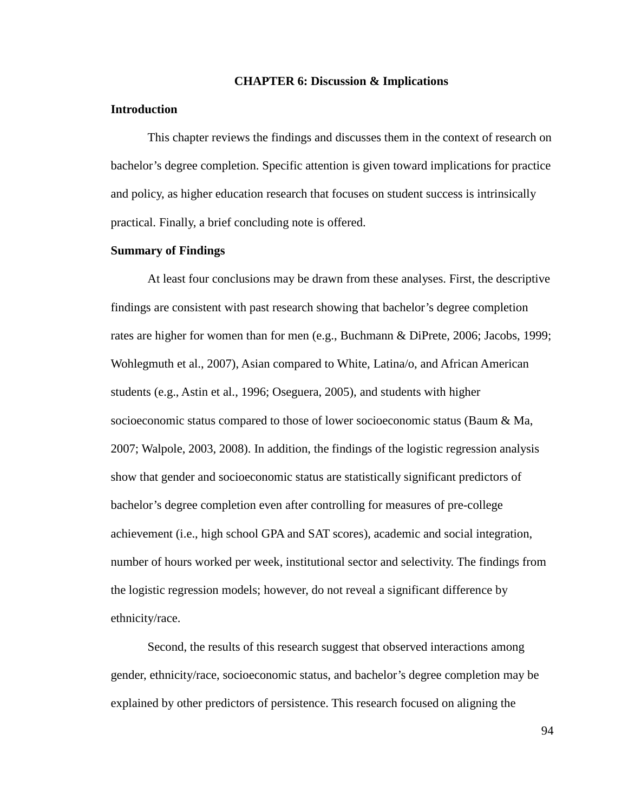#### **CHAPTER 6: Discussion & Implications**

## **Introduction**

This chapter reviews the findings and discusses them in the context of research on bachelor's degree completion. Specific attention is given toward implications for practice and policy, as higher education research that focuses on student success is intrinsically practical. Finally, a brief concluding note is offered.

### **Summary of Findings**

At least four conclusions may be drawn from these analyses. First, the descriptive findings are consistent with past research showing that bachelor's degree completion rates are higher for women than for men (e.g., Buchmann & DiPrete, 2006; Jacobs, 1999; Wohlegmuth et al., 2007), Asian compared to White, Latina/o, and African American students (e.g., Astin et al., 1996; Oseguera, 2005), and students with higher socioeconomic status compared to those of lower socioeconomic status (Baum & Ma, 2007; Walpole, 2003, 2008). In addition, the findings of the logistic regression analysis show that gender and socioeconomic status are statistically significant predictors of bachelor's degree completion even after controlling for measures of pre-college achievement (i.e., high school GPA and SAT scores), academic and social integration, number of hours worked per week, institutional sector and selectivity. The findings from the logistic regression models; however, do not reveal a significant difference by ethnicity/race.

Second, the results of this research suggest that observed interactions among gender, ethnicity/race, socioeconomic status, and bachelor's degree completion may be explained by other predictors of persistence. This research focused on aligning the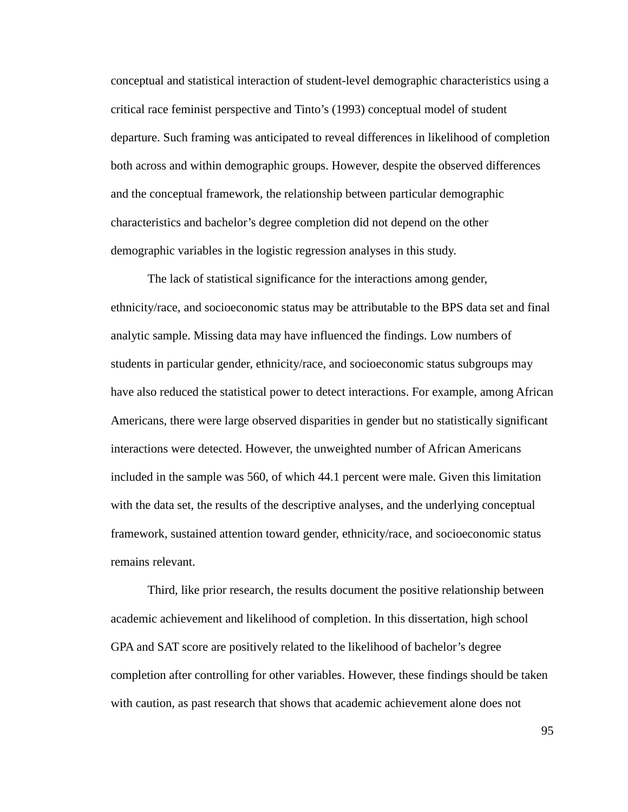conceptual and statistical interaction of student-level demographic characteristics using a critical race feminist perspective and Tinto's (1993) conceptual model of student departure. Such framing was anticipated to reveal differences in likelihood of completion both across and within demographic groups. However, despite the observed differences and the conceptual framework, the relationship between particular demographic characteristics and bachelor's degree completion did not depend on the other demographic variables in the logistic regression analyses in this study.

The lack of statistical significance for the interactions among gender, ethnicity/race, and socioeconomic status may be attributable to the BPS data set and final analytic sample. Missing data may have influenced the findings. Low numbers of students in particular gender, ethnicity/race, and socioeconomic status subgroups may have also reduced the statistical power to detect interactions. For example, among African Americans, there were large observed disparities in gender but no statistically significant interactions were detected. However, the unweighted number of African Americans included in the sample was 560, of which 44.1 percent were male. Given this limitation with the data set, the results of the descriptive analyses, and the underlying conceptual framework, sustained attention toward gender, ethnicity/race, and socioeconomic status remains relevant.

Third, like prior research, the results document the positive relationship between academic achievement and likelihood of completion. In this dissertation, high school GPA and SAT score are positively related to the likelihood of bachelor's degree completion after controlling for other variables. However, these findings should be taken with caution, as past research that shows that academic achievement alone does not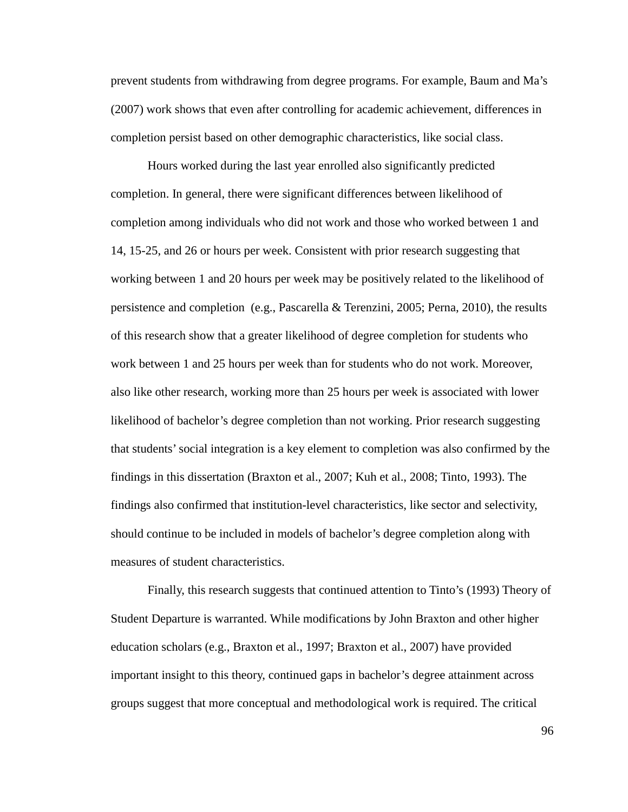prevent students from withdrawing from degree programs. For example, Baum and Ma's (2007) work shows that even after controlling for academic achievement, differences in completion persist based on other demographic characteristics, like social class.

Hours worked during the last year enrolled also significantly predicted completion. In general, there were significant differences between likelihood of completion among individuals who did not work and those who worked between 1 and 14, 15-25, and 26 or hours per week. Consistent with prior research suggesting that working between 1 and 20 hours per week may be positively related to the likelihood of persistence and completion (e.g., Pascarella & Terenzini, 2005; Perna, 2010), the results of this research show that a greater likelihood of degree completion for students who work between 1 and 25 hours per week than for students who do not work. Moreover, also like other research, working more than 25 hours per week is associated with lower likelihood of bachelor's degree completion than not working. Prior research suggesting that students' social integration is a key element to completion was also confirmed by the findings in this dissertation (Braxton et al., 2007; Kuh et al., 2008; Tinto, 1993). The findings also confirmed that institution-level characteristics, like sector and selectivity, should continue to be included in models of bachelor's degree completion along with measures of student characteristics.

Finally, this research suggests that continued attention to Tinto's (1993) Theory of Student Departure is warranted. While modifications by John Braxton and other higher education scholars (e.g., Braxton et al., 1997; Braxton et al., 2007) have provided important insight to this theory, continued gaps in bachelor's degree attainment across groups suggest that more conceptual and methodological work is required. The critical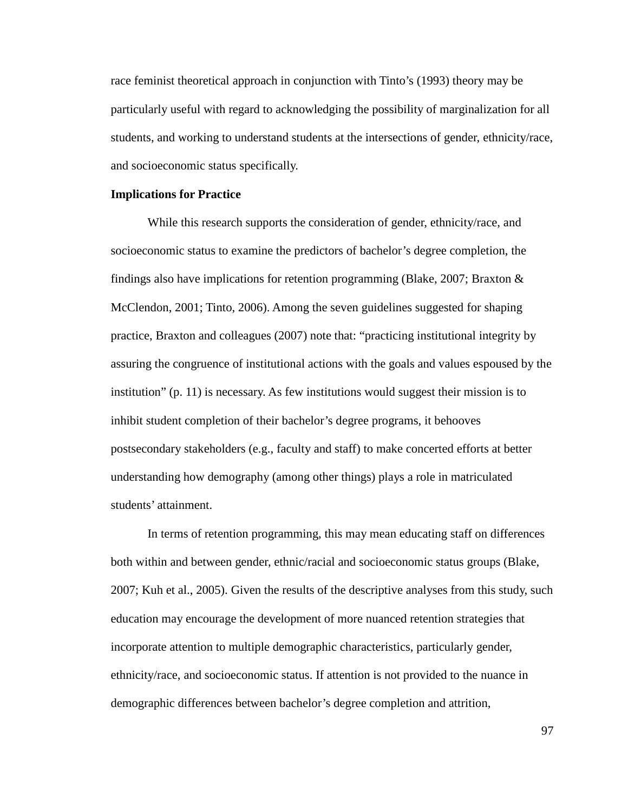race feminist theoretical approach in conjunction with Tinto's (1993) theory may be particularly useful with regard to acknowledging the possibility of marginalization for all students, and working to understand students at the intersections of gender, ethnicity/race, and socioeconomic status specifically.

## **Implications for Practice**

While this research supports the consideration of gender, ethnicity/race, and socioeconomic status to examine the predictors of bachelor's degree completion, the findings also have implications for retention programming (Blake, 2007; Braxton  $\&$ McClendon, 2001; Tinto, 2006). Among the seven guidelines suggested for shaping practice, Braxton and colleagues (2007) note that: "practicing institutional integrity by assuring the congruence of institutional actions with the goals and values espoused by the institution" (p. 11) is necessary. As few institutions would suggest their mission is to inhibit student completion of their bachelor's degree programs, it behooves postsecondary stakeholders (e.g., faculty and staff) to make concerted efforts at better understanding how demography (among other things) plays a role in matriculated students' attainment.

In terms of retention programming, this may mean educating staff on differences both within and between gender, ethnic/racial and socioeconomic status groups (Blake, 2007; Kuh et al., 2005). Given the results of the descriptive analyses from this study, such education may encourage the development of more nuanced retention strategies that incorporate attention to multiple demographic characteristics, particularly gender, ethnicity/race, and socioeconomic status. If attention is not provided to the nuance in demographic differences between bachelor's degree completion and attrition,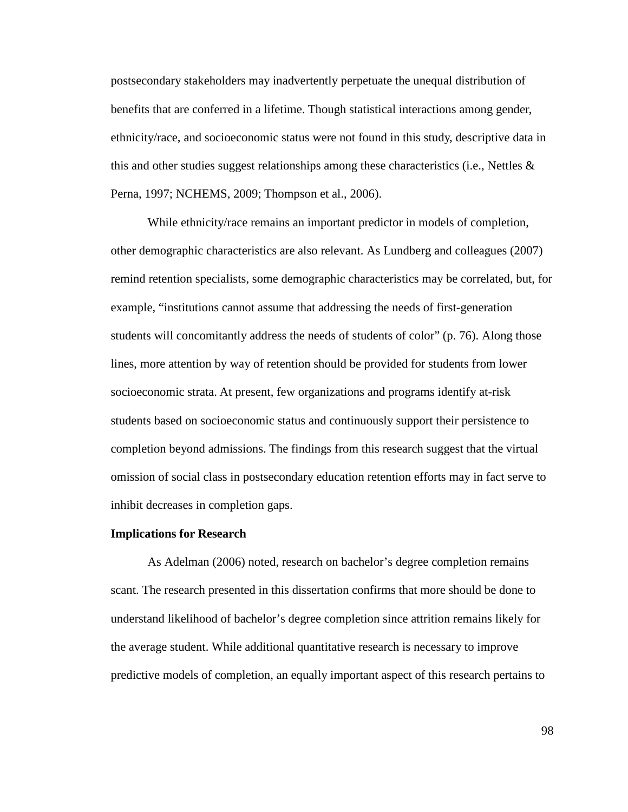postsecondary stakeholders may inadvertently perpetuate the unequal distribution of benefits that are conferred in a lifetime. Though statistical interactions among gender, ethnicity/race, and socioeconomic status were not found in this study, descriptive data in this and other studies suggest relationships among these characteristics (i.e., Nettles  $\&$ Perna, 1997; NCHEMS, 2009; Thompson et al., 2006).

While ethnicity/race remains an important predictor in models of completion, other demographic characteristics are also relevant. As Lundberg and colleagues (2007) remind retention specialists, some demographic characteristics may be correlated, but, for example, "institutions cannot assume that addressing the needs of first-generation students will concomitantly address the needs of students of color" (p. 76). Along those lines, more attention by way of retention should be provided for students from lower socioeconomic strata. At present, few organizations and programs identify at-risk students based on socioeconomic status and continuously support their persistence to completion beyond admissions. The findings from this research suggest that the virtual omission of social class in postsecondary education retention efforts may in fact serve to inhibit decreases in completion gaps.

#### **Implications for Research**

 As Adelman (2006) noted, research on bachelor's degree completion remains scant. The research presented in this dissertation confirms that more should be done to understand likelihood of bachelor's degree completion since attrition remains likely for the average student. While additional quantitative research is necessary to improve predictive models of completion, an equally important aspect of this research pertains to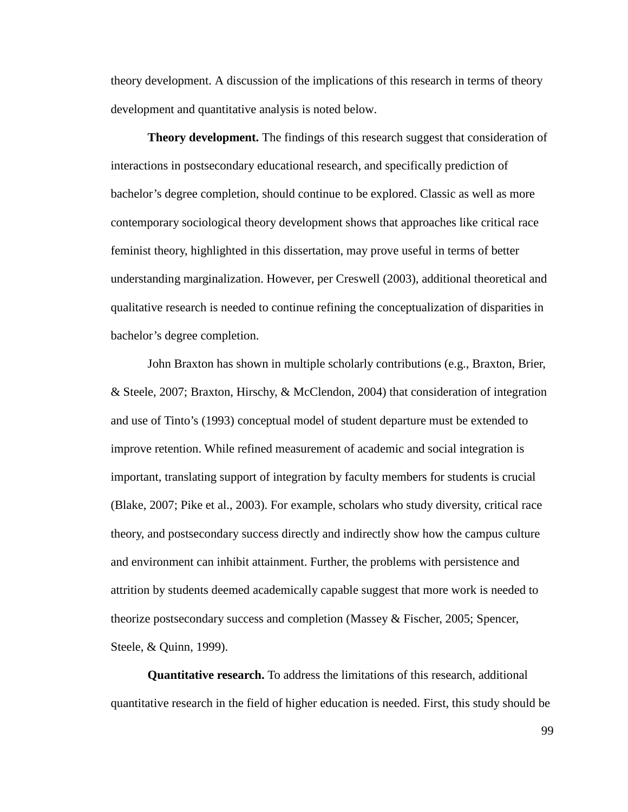theory development. A discussion of the implications of this research in terms of theory development and quantitative analysis is noted below.

 **Theory development.** The findings of this research suggest that consideration of interactions in postsecondary educational research, and specifically prediction of bachelor's degree completion, should continue to be explored. Classic as well as more contemporary sociological theory development shows that approaches like critical race feminist theory, highlighted in this dissertation, may prove useful in terms of better understanding marginalization. However, per Creswell (2003), additional theoretical and qualitative research is needed to continue refining the conceptualization of disparities in bachelor's degree completion.

 John Braxton has shown in multiple scholarly contributions (e.g., Braxton, Brier, & Steele, 2007; Braxton, Hirschy, & McClendon, 2004) that consideration of integration and use of Tinto's (1993) conceptual model of student departure must be extended to improve retention. While refined measurement of academic and social integration is important, translating support of integration by faculty members for students is crucial (Blake, 2007; Pike et al., 2003). For example, scholars who study diversity, critical race theory, and postsecondary success directly and indirectly show how the campus culture and environment can inhibit attainment. Further, the problems with persistence and attrition by students deemed academically capable suggest that more work is needed to theorize postsecondary success and completion (Massey & Fischer, 2005; Spencer, Steele, & Quinn, 1999).

**Quantitative research.** To address the limitations of this research, additional quantitative research in the field of higher education is needed. First, this study should be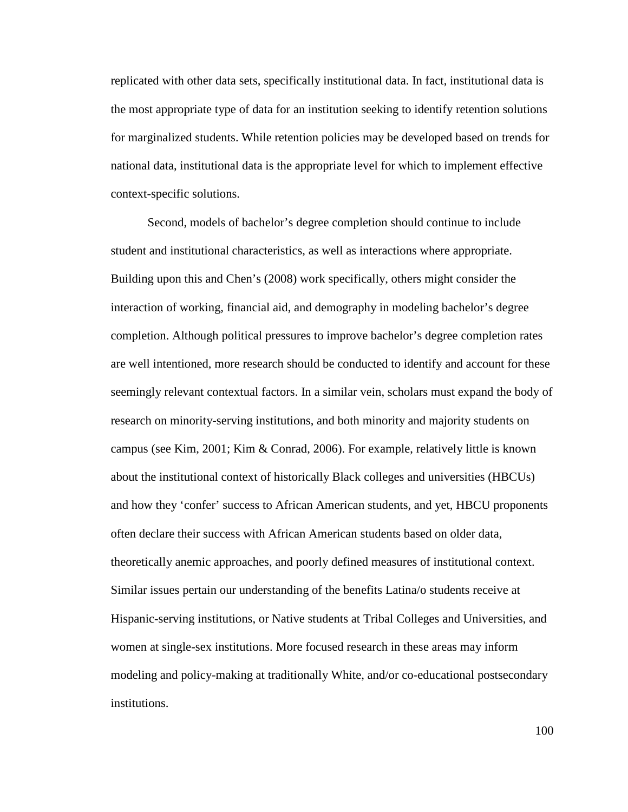replicated with other data sets, specifically institutional data. In fact, institutional data is the most appropriate type of data for an institution seeking to identify retention solutions for marginalized students. While retention policies may be developed based on trends for national data, institutional data is the appropriate level for which to implement effective context-specific solutions.

Second, models of bachelor's degree completion should continue to include student and institutional characteristics, as well as interactions where appropriate. Building upon this and Chen's (2008) work specifically, others might consider the interaction of working, financial aid, and demography in modeling bachelor's degree completion. Although political pressures to improve bachelor's degree completion rates are well intentioned, more research should be conducted to identify and account for these seemingly relevant contextual factors. In a similar vein, scholars must expand the body of research on minority-serving institutions, and both minority and majority students on campus (see Kim, 2001; Kim & Conrad, 2006). For example, relatively little is known about the institutional context of historically Black colleges and universities (HBCUs) and how they 'confer' success to African American students, and yet, HBCU proponents often declare their success with African American students based on older data, theoretically anemic approaches, and poorly defined measures of institutional context. Similar issues pertain our understanding of the benefits Latina/o students receive at Hispanic-serving institutions, or Native students at Tribal Colleges and Universities, and women at single-sex institutions. More focused research in these areas may inform modeling and policy-making at traditionally White, and/or co-educational postsecondary institutions.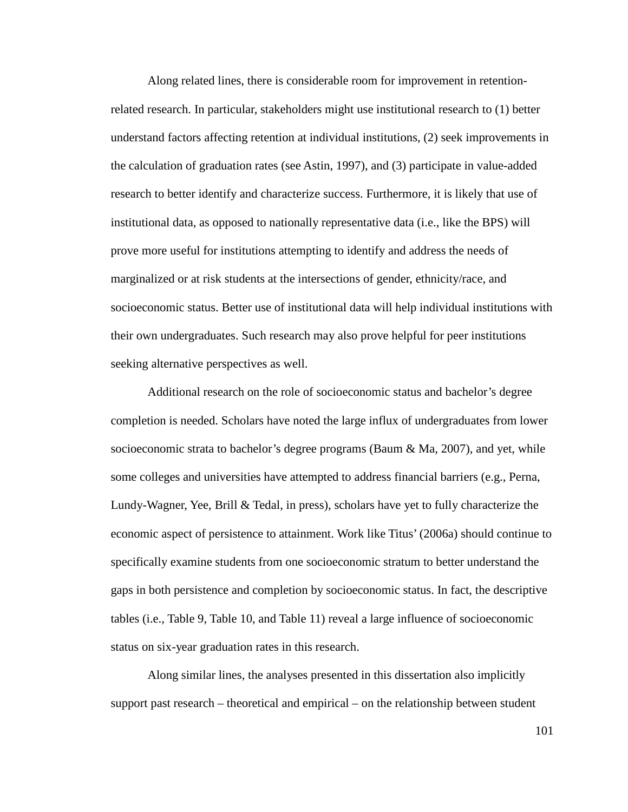Along related lines, there is considerable room for improvement in retentionrelated research. In particular, stakeholders might use institutional research to (1) better understand factors affecting retention at individual institutions, (2) seek improvements in the calculation of graduation rates (see Astin, 1997), and (3) participate in value-added research to better identify and characterize success. Furthermore, it is likely that use of institutional data, as opposed to nationally representative data (i.e., like the BPS) will prove more useful for institutions attempting to identify and address the needs of marginalized or at risk students at the intersections of gender, ethnicity/race, and socioeconomic status. Better use of institutional data will help individual institutions with their own undergraduates. Such research may also prove helpful for peer institutions seeking alternative perspectives as well.

Additional research on the role of socioeconomic status and bachelor's degree completion is needed. Scholars have noted the large influx of undergraduates from lower socioeconomic strata to bachelor's degree programs (Baum & Ma, 2007), and yet, while some colleges and universities have attempted to address financial barriers (e.g., Perna, Lundy-Wagner, Yee, Brill & Tedal, in press), scholars have yet to fully characterize the economic aspect of persistence to attainment. Work like Titus' (2006a) should continue to specifically examine students from one socioeconomic stratum to better understand the gaps in both persistence and completion by socioeconomic status. In fact, the descriptive tables (i.e., Table 9, Table 10, and Table 11) reveal a large influence of socioeconomic status on six-year graduation rates in this research.

Along similar lines, the analyses presented in this dissertation also implicitly support past research – theoretical and empirical – on the relationship between student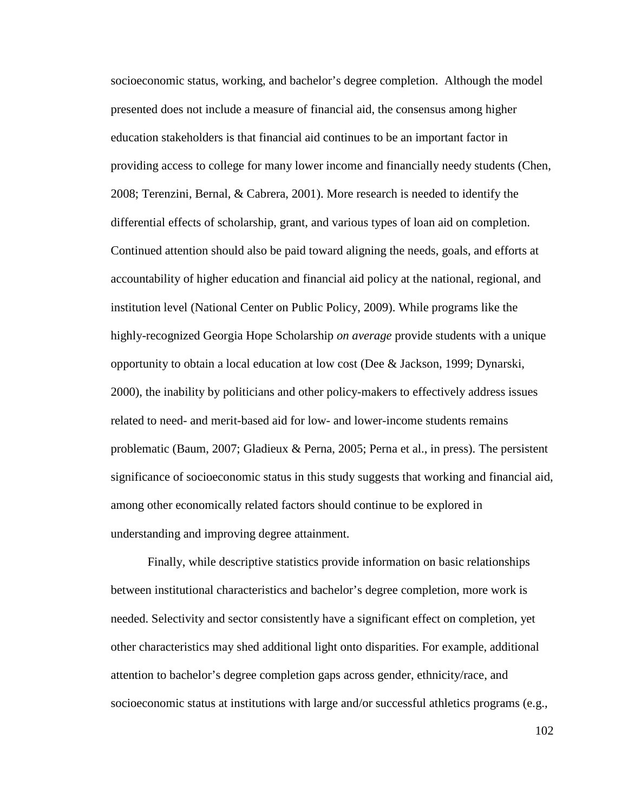socioeconomic status, working, and bachelor's degree completion. Although the model presented does not include a measure of financial aid, the consensus among higher education stakeholders is that financial aid continues to be an important factor in providing access to college for many lower income and financially needy students (Chen, 2008; Terenzini, Bernal, & Cabrera, 2001). More research is needed to identify the differential effects of scholarship, grant, and various types of loan aid on completion. Continued attention should also be paid toward aligning the needs, goals, and efforts at accountability of higher education and financial aid policy at the national, regional, and institution level (National Center on Public Policy, 2009). While programs like the highly-recognized Georgia Hope Scholarship *on average* provide students with a unique opportunity to obtain a local education at low cost (Dee & Jackson, 1999; Dynarski, 2000), the inability by politicians and other policy-makers to effectively address issues related to need- and merit-based aid for low- and lower-income students remains problematic (Baum, 2007; Gladieux & Perna, 2005; Perna et al., in press). The persistent significance of socioeconomic status in this study suggests that working and financial aid, among other economically related factors should continue to be explored in understanding and improving degree attainment.

Finally, while descriptive statistics provide information on basic relationships between institutional characteristics and bachelor's degree completion, more work is needed. Selectivity and sector consistently have a significant effect on completion, yet other characteristics may shed additional light onto disparities. For example, additional attention to bachelor's degree completion gaps across gender, ethnicity/race, and socioeconomic status at institutions with large and/or successful athletics programs (e.g.,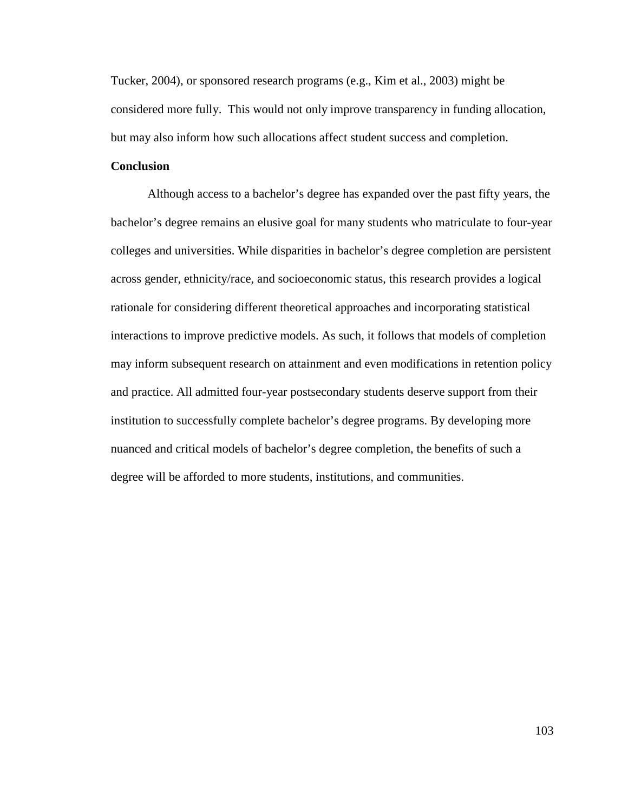Tucker, 2004), or sponsored research programs (e.g., Kim et al., 2003) might be considered more fully. This would not only improve transparency in funding allocation, but may also inform how such allocations affect student success and completion.

# **Conclusion**

 Although access to a bachelor's degree has expanded over the past fifty years, the bachelor's degree remains an elusive goal for many students who matriculate to four-year colleges and universities. While disparities in bachelor's degree completion are persistent across gender, ethnicity/race, and socioeconomic status, this research provides a logical rationale for considering different theoretical approaches and incorporating statistical interactions to improve predictive models. As such, it follows that models of completion may inform subsequent research on attainment and even modifications in retention policy and practice. All admitted four-year postsecondary students deserve support from their institution to successfully complete bachelor's degree programs. By developing more nuanced and critical models of bachelor's degree completion, the benefits of such a degree will be afforded to more students, institutions, and communities.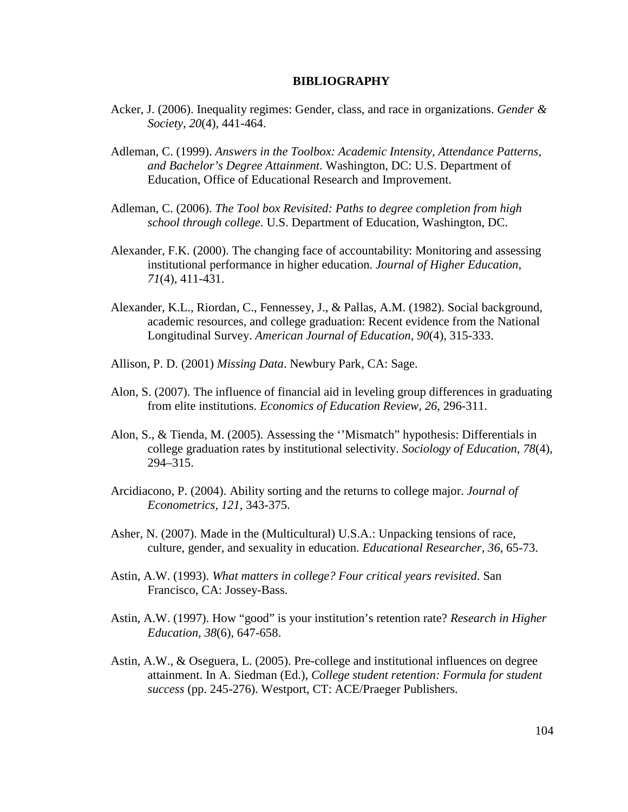### **BIBLIOGRAPHY**

- Acker, J. (2006). Inequality regimes: Gender, class, and race in organizations. *Gender & Society, 20*(4), 441-464.
- Adleman, C. (1999). *Answers in the Toolbox: Academic Intensity, Attendance Patterns, and Bachelor's Degree Attainment*. Washington, DC: U.S. Department of Education, Office of Educational Research and Improvement.
- Adleman, C. (2006). *The Tool box Revisited: Paths to degree completion from high school through college*. U.S. Department of Education, Washington, DC.
- Alexander, F.K. (2000). The changing face of accountability: Monitoring and assessing institutional performance in higher education. *Journal of Higher Education, 71*(4), 411-431.
- Alexander, K.L., Riordan, C., Fennessey, J., & Pallas, A.M. (1982). Social background, academic resources, and college graduation: Recent evidence from the National Longitudinal Survey. *American Journal of Education, 90*(4), 315-333.
- Allison, P. D. (2001) *Missing Data*. Newbury Park, CA: Sage.
- Alon, S. (2007). The influence of financial aid in leveling group differences in graduating from elite institutions. *Economics of Education Review, 26*, 296-311.
- Alon, S., & Tienda, M. (2005). Assessing the ''Mismatch" hypothesis: Differentials in college graduation rates by institutional selectivity. *Sociology of Education, 78*(4), 294–315.
- Arcidiacono, P. (2004). Ability sorting and the returns to college major. *Journal of Econometrics, 121*, 343-375.
- Asher, N. (2007). Made in the (Multicultural) U.S.A.: Unpacking tensions of race, culture, gender, and sexuality in education. *Educational Researcher, 36*, 65-73.
- Astin, A.W. (1993). *What matters in college? Four critical years revisited*. San Francisco, CA: Jossey-Bass.
- Astin, A.W. (1997). How "good" is your institution's retention rate? *Research in Higher Education, 38*(6), 647-658.
- Astin, A.W., & Oseguera, L. (2005). Pre-college and institutional influences on degree attainment. In A. Siedman (Ed.), *College student retention: Formula for student success* (pp. 245-276). Westport, CT: ACE/Praeger Publishers.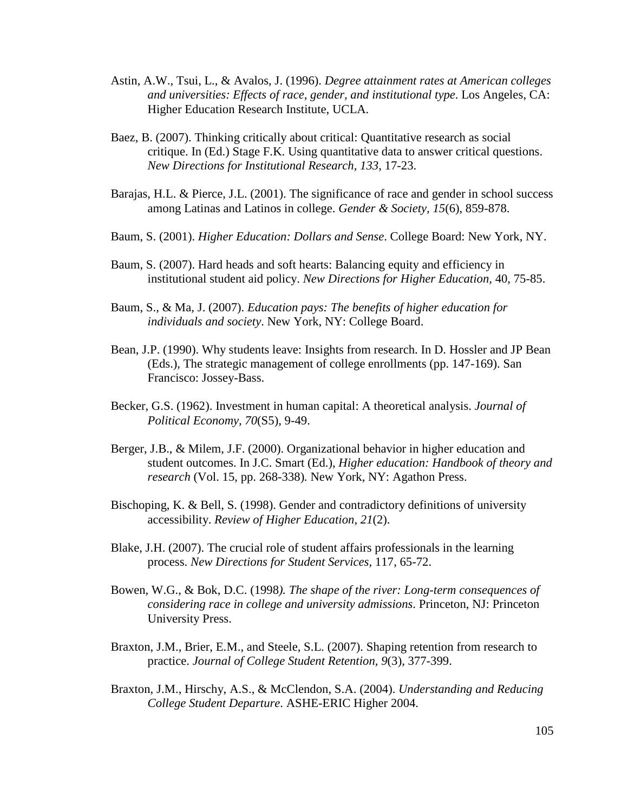- Astin, A.W., Tsui, L., & Avalos, J. (1996). *Degree attainment rates at American colleges and universities: Effects of race, gender, and institutional type*. Los Angeles, CA: Higher Education Research Institute, UCLA.
- Baez, B. (2007). Thinking critically about critical: Quantitative research as social critique. In (Ed.) Stage F.K. Using quantitative data to answer critical questions. *New Directions for Institutional Research, 133*, 17-23.
- Barajas, H.L. & Pierce, J.L. (2001). The significance of race and gender in school success among Latinas and Latinos in college. *Gender & Society, 15*(6), 859-878.
- Baum, S. (2001). *Higher Education: Dollars and Sense*. College Board: New York, NY.
- Baum, S. (2007). Hard heads and soft hearts: Balancing equity and efficiency in institutional student aid policy. *New Directions for Higher Education,* 40, 75-85.
- Baum, S., & Ma, J. (2007). *Education pays: The benefits of higher education for individuals and society*. New York, NY: College Board.
- Bean, J.P. (1990). Why students leave: Insights from research. In D. Hossler and JP Bean (Eds.), The strategic management of college enrollments (pp. 147-169). San Francisco: Jossey-Bass.
- Becker, G.S. (1962). Investment in human capital: A theoretical analysis. *Journal of Political Economy, 70*(S5), 9-49.
- Berger, J.B., & Milem, J.F. (2000). Organizational behavior in higher education and student outcomes. In J.C. Smart (Ed.), *Higher education: Handbook of theory and research* (Vol. 15, pp. 268-338)*.* New York, NY: Agathon Press.
- Bischoping, K. & Bell, S. (1998). Gender and contradictory definitions of university accessibility. *Review of Higher Education, 21*(2).
- Blake, J.H. (2007). The crucial role of student affairs professionals in the learning process. *New Directions for Student Services,* 117, 65-72.
- Bowen, W.G., & Bok, D.C. (1998*). The shape of the river: Long-term consequences of considering race in college and university admissions*. Princeton, NJ: Princeton University Press.
- Braxton, J.M., Brier, E.M., and Steele, S.L. (2007). Shaping retention from research to practice. *Journal of College Student Retention, 9*(3), 377-399.
- Braxton, J.M., Hirschy, A.S., & McClendon, S.A. (2004). *Understanding and Reducing College Student Departure*. ASHE-ERIC Higher 2004.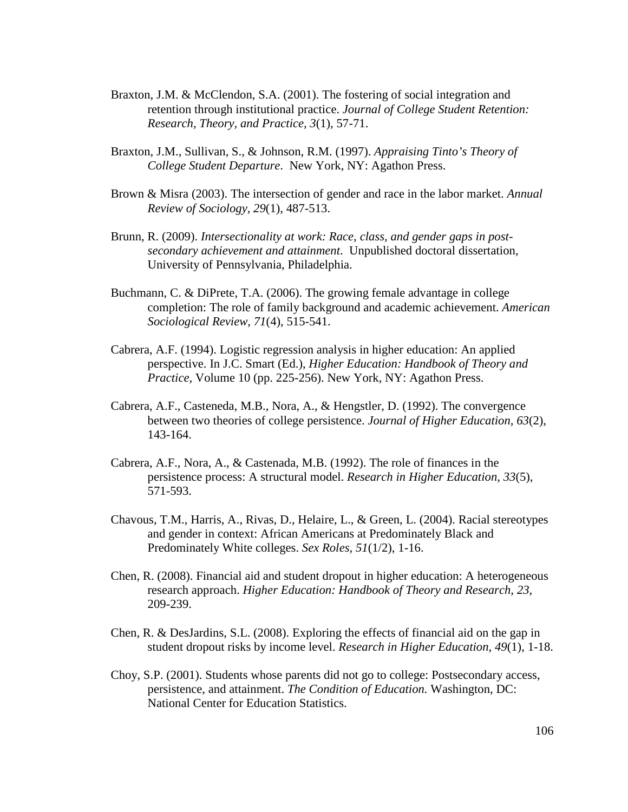- Braxton, J.M. & McClendon, S.A. (2001). The fostering of social integration and retention through institutional practice. *Journal of College Student Retention: Research, Theory, and Practice, 3*(1), 57-71.
- Braxton, J.M., Sullivan, S., & Johnson, R.M. (1997). *Appraising Tinto's Theory of College Student Departure*. New York, NY: Agathon Press.
- Brown & Misra (2003). The intersection of gender and race in the labor market. *Annual Review of Sociology, 29*(1), 487-513.
- Brunn, R. (2009). *Intersectionality at work: Race, class, and gender gaps in postsecondary achievement and attainment*. Unpublished doctoral dissertation, University of Pennsylvania, Philadelphia.
- Buchmann, C. & DiPrete, T.A. (2006). The growing female advantage in college completion: The role of family background and academic achievement. *American Sociological Review, 71*(4), 515-541.
- Cabrera, A.F. (1994). Logistic regression analysis in higher education: An applied perspective. In J.C. Smart (Ed.), *Higher Education: Handbook of Theory and Practice,* Volume 10 (pp. 225-256). New York, NY: Agathon Press.
- Cabrera, A.F., Casteneda, M.B., Nora, A., & Hengstler, D. (1992). The convergence between two theories of college persistence. *Journal of Higher Education, 63*(2), 143-164.
- Cabrera, A.F., Nora, A., & Castenada, M.B. (1992). The role of finances in the persistence process: A structural model. *Research in Higher Education, 33*(5), 571-593.
- Chavous, T.M., Harris, A., Rivas, D., Helaire, L., & Green, L. (2004). Racial stereotypes and gender in context: African Americans at Predominately Black and Predominately White colleges. *Sex Roles, 51*(1/2), 1-16.
- Chen, R. (2008). Financial aid and student dropout in higher education: A heterogeneous research approach. *Higher Education: Handbook of Theory and Research, 23*, 209-239.
- Chen, R. & DesJardins, S.L. (2008). Exploring the effects of financial aid on the gap in student dropout risks by income level. *Research in Higher Education, 49*(1), 1-18.
- Choy, S.P. (2001). Students whose parents did not go to college: Postsecondary access, persistence, and attainment. *The Condition of Education.* Washington, DC: National Center for Education Statistics.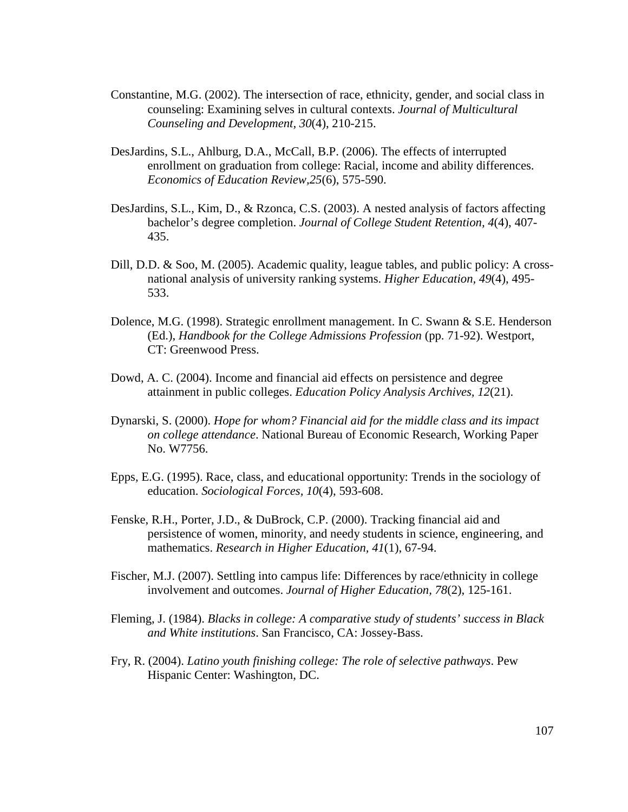- Constantine, M.G. (2002). The intersection of race, ethnicity, gender, and social class in counseling: Examining selves in cultural contexts. *Journal of Multicultural Counseling and Development, 30*(4), 210-215.
- DesJardins, S.L., Ahlburg, D.A., McCall, B.P. (2006). The effects of interrupted enrollment on graduation from college: Racial, income and ability differences. *Economics of Education Review,25*(6), 575-590.
- DesJardins, S.L., Kim, D., & Rzonca, C.S. (2003). A nested analysis of factors affecting bachelor's degree completion. *Journal of College Student Retention, 4*(4), 407- 435.
- Dill, D.D. & Soo, M. (2005). Academic quality, league tables, and public policy: A crossnational analysis of university ranking systems. *Higher Education, 49*(4), 495- 533.
- Dolence, M.G. (1998). Strategic enrollment management. In C. Swann & S.E. Henderson (Ed.), *Handbook for the College Admissions Profession* (pp. 71-92). Westport, CT: Greenwood Press.
- Dowd, A. C. (2004). Income and financial aid effects on persistence and degree attainment in public colleges. *Education Policy Analysis Archives, 12*(21).
- Dynarski, S. (2000). *Hope for whom? Financial aid for the middle class and its impact on college attendance*. National Bureau of Economic Research, Working Paper No. W7756.
- Epps, E.G. (1995). Race, class, and educational opportunity: Trends in the sociology of education. *Sociological Forces, 10*(4), 593-608.
- Fenske, R.H., Porter, J.D., & DuBrock, C.P. (2000). Tracking financial aid and persistence of women, minority, and needy students in science, engineering, and mathematics. *Research in Higher Education, 41*(1), 67-94.
- Fischer, M.J. (2007). Settling into campus life: Differences by race/ethnicity in college involvement and outcomes. *Journal of Higher Education, 78*(2), 125-161.
- Fleming, J. (1984). *Blacks in college: A comparative study of students' success in Black and White institutions*. San Francisco, CA: Jossey-Bass.
- Fry, R. (2004). *Latino youth finishing college: The role of selective pathways*. Pew Hispanic Center: Washington, DC.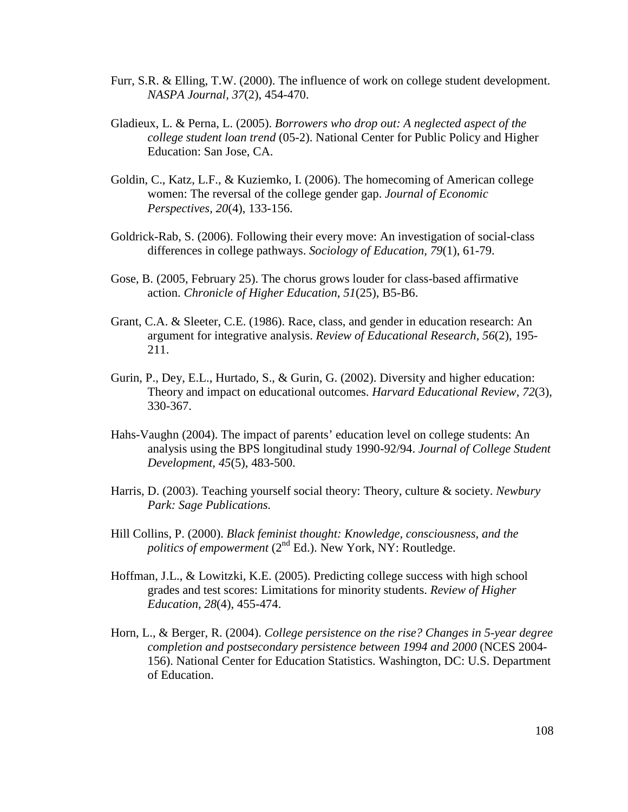- Furr, S.R. & Elling, T.W. (2000). The influence of work on college student development. *NASPA Journal, 37*(2), 454-470.
- Gladieux, L. & Perna, L. (2005). *Borrowers who drop out: A neglected aspect of the college student loan trend* (05-2). National Center for Public Policy and Higher Education: San Jose, CA.
- Goldin, C., Katz, L.F., & Kuziemko, I. (2006). The homecoming of American college women: The reversal of the college gender gap. *Journal of Economic Perspectives, 20*(4), 133-156.
- Goldrick-Rab, S. (2006). Following their every move: An investigation of social-class differences in college pathways. *Sociology of Education, 79*(1), 61-79.
- Gose, B. (2005, February 25). The chorus grows louder for class-based affirmative action. *Chronicle of Higher Education, 51*(25), B5-B6.
- Grant, C.A. & Sleeter, C.E. (1986). Race, class, and gender in education research: An argument for integrative analysis. *Review of Educational Research, 56*(2), 195- 211.
- Gurin, P., Dey, E.L., Hurtado, S., & Gurin, G. (2002). Diversity and higher education: Theory and impact on educational outcomes. *Harvard Educational Review, 72*(3), 330-367.
- Hahs-Vaughn (2004). The impact of parents' education level on college students: An analysis using the BPS longitudinal study 1990-92/94. *Journal of College Student Development, 45*(5), 483-500.
- Harris, D. (2003). Teaching yourself social theory: Theory, culture & society. *Newbury Park: Sage Publications.*
- Hill Collins, P. (2000). *Black feminist thought: Knowledge, consciousness, and the politics of empowerment* (2<sup>nd</sup> Ed.). New York, NY: Routledge.
- Hoffman, J.L., & Lowitzki, K.E. (2005). Predicting college success with high school grades and test scores: Limitations for minority students. *Review of Higher Education, 28*(4), 455-474.
- Horn, L., & Berger, R. (2004). *College persistence on the rise? Changes in 5-year degree completion and postsecondary persistence between 1994 and 2000* (NCES 2004- 156). National Center for Education Statistics. Washington, DC: U.S. Department of Education.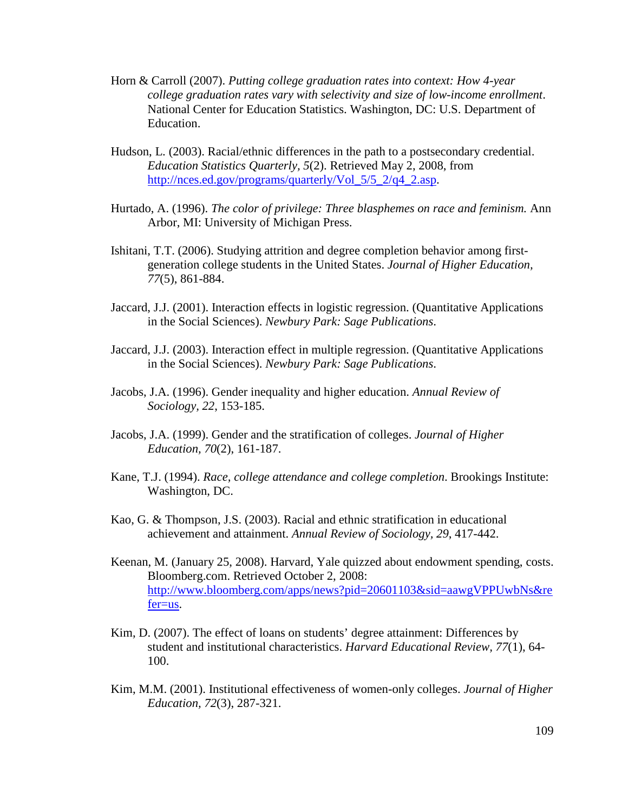- Horn & Carroll (2007). *Putting college graduation rates into context: How 4-year college graduation rates vary with selectivity and size of low-income enrollment*. National Center for Education Statistics. Washington, DC: U.S. Department of Education.
- Hudson, L. (2003). Racial/ethnic differences in the path to a postsecondary credential. *Education Statistics Quarterly, 5*(2). Retrieved May 2, 2008, from http://nces.ed.gov/programs/quarterly/Vol\_5/5\_2/q4\_2.asp.
- Hurtado, A. (1996). *The color of privilege: Three blasphemes on race and feminism.* Ann Arbor, MI: University of Michigan Press.
- Ishitani, T.T. (2006). Studying attrition and degree completion behavior among firstgeneration college students in the United States. *Journal of Higher Education, 77*(5), 861-884.
- Jaccard, J.J. (2001). Interaction effects in logistic regression. (Quantitative Applications in the Social Sciences). *Newbury Park: Sage Publications*.
- Jaccard, J.J. (2003). Interaction effect in multiple regression. (Quantitative Applications in the Social Sciences). *Newbury Park: Sage Publications*.
- Jacobs, J.A. (1996). Gender inequality and higher education. *Annual Review of Sociology, 22*, 153-185.
- Jacobs, J.A. (1999). Gender and the stratification of colleges. *Journal of Higher Education, 70*(2), 161-187.
- Kane, T.J. (1994). *Race, college attendance and college completion*. Brookings Institute: Washington, DC.
- Kao, G. & Thompson, J.S. (2003). Racial and ethnic stratification in educational achievement and attainment. *Annual Review of Sociology, 29*, 417-442.
- Keenan, M. (January 25, 2008). Harvard, Yale quizzed about endowment spending, costs. Bloomberg.com. Retrieved October 2, 2008: http://www.bloomberg.com/apps/news?pid=20601103&sid=aawgVPPUwbNs&re fer=us.
- Kim, D. (2007). The effect of loans on students' degree attainment: Differences by student and institutional characteristics. *Harvard Educational Review, 77*(1), 64- 100.
- Kim, M.M. (2001). Institutional effectiveness of women-only colleges. *Journal of Higher Education, 72*(3), 287-321.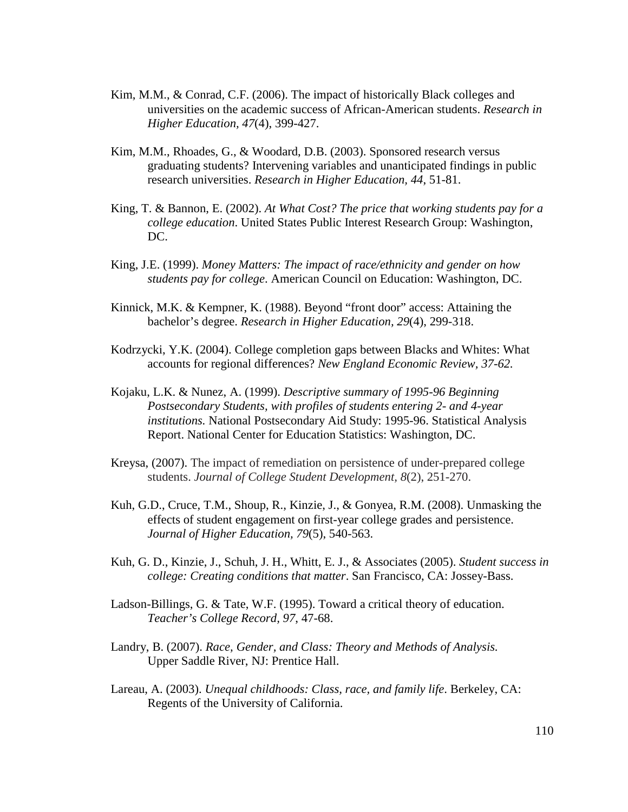- Kim, M.M., & Conrad, C.F. (2006). The impact of historically Black colleges and universities on the academic success of African-American students. *Research in Higher Education, 47*(4), 399-427.
- Kim, M.M., Rhoades, G., & Woodard, D.B. (2003). Sponsored research versus graduating students? Intervening variables and unanticipated findings in public research universities. *Research in Higher Education, 44*, 51-81.
- King, T. & Bannon, E. (2002). *At What Cost? The price that working students pay for a college education*. United States Public Interest Research Group: Washington, DC.
- King, J.E. (1999). *Money Matters: The impact of race/ethnicity and gender on how students pay for college*. American Council on Education: Washington, DC.
- Kinnick, M.K. & Kempner, K. (1988). Beyond "front door" access: Attaining the bachelor's degree. *Research in Higher Education, 29*(4), 299-318.
- Kodrzycki, Y.K. (2004). College completion gaps between Blacks and Whites: What accounts for regional differences? *New England Economic Review, 37-62.*
- Kojaku, L.K. & Nunez, A. (1999). *Descriptive summary of 1995-96 Beginning Postsecondary Students, with profiles of students entering 2- and 4-year institutions.* National Postsecondary Aid Study: 1995-96. Statistical Analysis Report. National Center for Education Statistics: Washington, DC.
- Kreysa, (2007). The impact of remediation on persistence of under-prepared college students. *Journal of College Student Development, 8*(2), 251-270.
- Kuh, G.D., Cruce, T.M., Shoup, R., Kinzie, J., & Gonyea, R.M. (2008). Unmasking the effects of student engagement on first-year college grades and persistence. *Journal of Higher Education, 79*(5), 540-563.
- Kuh, G. D., Kinzie, J., Schuh, J. H., Whitt, E. J., & Associates (2005). *Student success in college: Creating conditions that matter*. San Francisco, CA: Jossey-Bass.
- Ladson-Billings, G. & Tate, W.F. (1995). Toward a critical theory of education. *Teacher's College Record, 97*, 47-68.
- Landry, B. (2007). *Race, Gender, and Class: Theory and Methods of Analysis.*  Upper Saddle River, NJ: Prentice Hall.
- Lareau, A. (2003). *Unequal childhoods: Class, race, and family life*. Berkeley, CA: Regents of the University of California.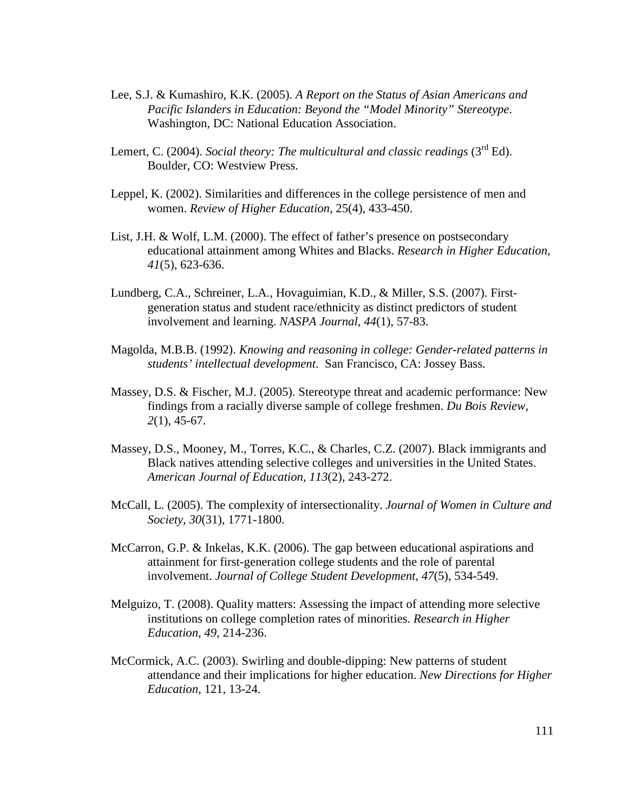- Lee, S.J. & Kumashiro, K.K. (2005). *A Report on the Status of Asian Americans and Pacific Islanders in Education: Beyond the "Model Minority" Stereotype*. Washington, DC: National Education Association.
- Lemert, C. (2004). *Social theory: The multicultural and classic readings* (3<sup>rd</sup> Ed). Boulder, CO: Westview Press.
- Leppel, K. (2002). Similarities and differences in the college persistence of men and women. *Review of Higher Education*, 25(4), 433-450.
- List, J.H. & Wolf, L.M. (2000). The effect of father's presence on postsecondary educational attainment among Whites and Blacks. *Research in Higher Education, 41*(5), 623-636.
- Lundberg, C.A., Schreiner, L.A., Hovaguimian, K.D., & Miller, S.S. (2007). Firstgeneration status and student race/ethnicity as distinct predictors of student involvement and learning. *NASPA Journal, 44*(1), 57-83.
- Magolda, M.B.B. (1992). *Knowing and reasoning in college: Gender-related patterns in students' intellectual development*. San Francisco, CA: Jossey Bass.
- Massey, D.S. & Fischer, M.J. (2005). Stereotype threat and academic performance: New findings from a racially diverse sample of college freshmen. *Du Bois Review, 2*(1), 45-67.
- Massey, D.S., Mooney, M., Torres, K.C., & Charles, C.Z. (2007). Black immigrants and Black natives attending selective colleges and universities in the United States. *American Journal of Education, 113*(2), 243-272.
- McCall, L. (2005). The complexity of intersectionality. *Journal of Women in Culture and Society, 30*(31), 1771-1800.
- McCarron, G.P. & Inkelas, K.K. (2006). The gap between educational aspirations and attainment for first-generation college students and the role of parental involvement. *Journal of College Student Development, 47*(5), 534-549.
- Melguizo, T. (2008). Quality matters: Assessing the impact of attending more selective institutions on college completion rates of minorities. *Research in Higher Education, 49*, 214-236.
- McCormick, A.C. (2003). Swirling and double-dipping: New patterns of student attendance and their implications for higher education. *New Directions for Higher Education,* 121, 13-24.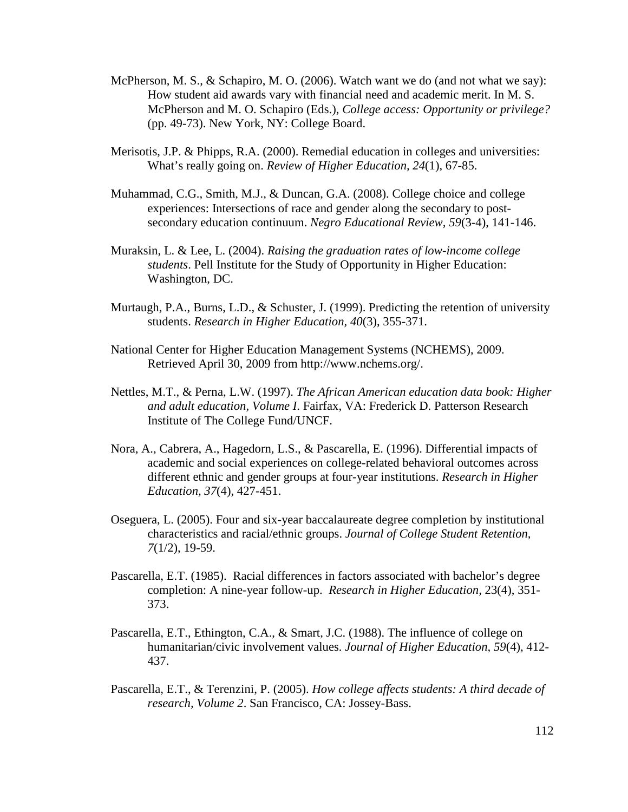- McPherson, M. S., & Schapiro, M. O. (2006). Watch want we do (and not what we say): How student aid awards vary with financial need and academic merit. In M. S. McPherson and M. O. Schapiro (Eds.), *College access: Opportunity or privilege?* (pp. 49-73). New York, NY: College Board.
- Merisotis, J.P. & Phipps, R.A. (2000). Remedial education in colleges and universities: What's really going on. *Review of Higher Education, 24*(1), 67-85.
- Muhammad, C.G., Smith, M.J., & Duncan, G.A. (2008). College choice and college experiences: Intersections of race and gender along the secondary to postsecondary education continuum. *Negro Educational Review, 59*(3-4), 141-146.
- Muraksin, L. & Lee, L. (2004). *Raising the graduation rates of low-income college students*. Pell Institute for the Study of Opportunity in Higher Education: Washington, DC.
- Murtaugh, P.A., Burns, L.D., & Schuster, J. (1999). Predicting the retention of university students. *Research in Higher Education, 40*(3), 355-371.
- National Center for Higher Education Management Systems (NCHEMS), 2009. Retrieved April 30, 2009 from http://www.nchems.org/.
- Nettles, M.T., & Perna, L.W. (1997). *The African American education data book: Higher and adult education, Volume I*. Fairfax, VA: Frederick D. Patterson Research Institute of The College Fund/UNCF.
- Nora, A., Cabrera, A., Hagedorn, L.S., & Pascarella, E. (1996). Differential impacts of academic and social experiences on college-related behavioral outcomes across different ethnic and gender groups at four-year institutions. *Research in Higher Education, 37*(4), 427-451.
- Oseguera, L. (2005). Four and six-year baccalaureate degree completion by institutional characteristics and racial/ethnic groups. *Journal of College Student Retention, 7*(1/2), 19-59.
- Pascarella, E.T. (1985). Racial differences in factors associated with bachelor's degree completion: A nine-year follow-up. *Research in Higher Education,* 23(4), 351- 373.
- Pascarella, E.T., Ethington, C.A., & Smart, J.C. (1988). The influence of college on humanitarian/civic involvement values. *Journal of Higher Education, 59*(4), 412- 437.
- Pascarella, E.T., & Terenzini, P. (2005). *How college affects students: A third decade of research, Volume 2*. San Francisco, CA: Jossey-Bass.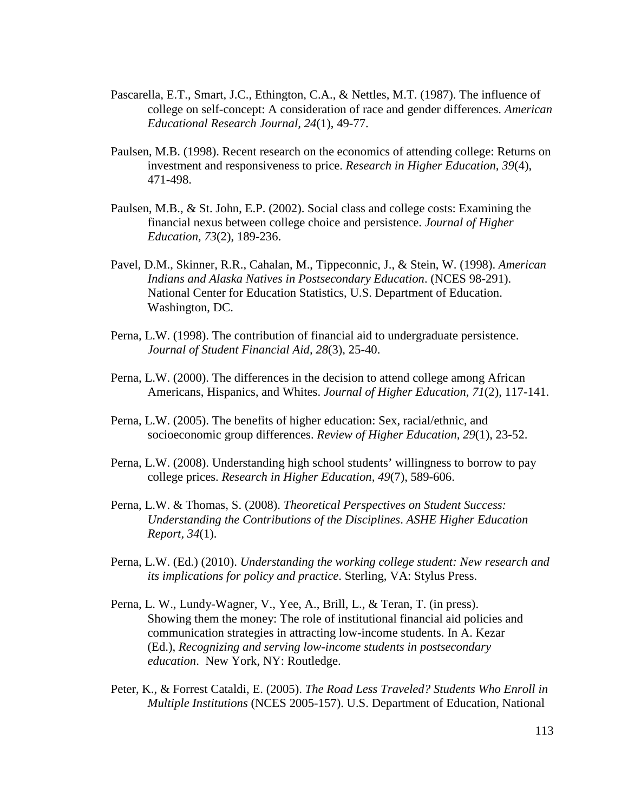- Pascarella, E.T., Smart, J.C., Ethington, C.A., & Nettles, M.T. (1987). The influence of college on self-concept: A consideration of race and gender differences. *American Educational Research Journal, 24*(1), 49-77.
- Paulsen, M.B. (1998). Recent research on the economics of attending college: Returns on investment and responsiveness to price. *Research in Higher Education, 39*(4), 471-498.
- Paulsen, M.B., & St. John, E.P. (2002). Social class and college costs: Examining the financial nexus between college choice and persistence. *Journal of Higher Education, 73*(2), 189-236.
- Pavel, D.M., Skinner, R.R., Cahalan, M., Tippeconnic, J., & Stein, W. (1998). *American Indians and Alaska Natives in Postsecondary Education*. (NCES 98-291). National Center for Education Statistics, U.S. Department of Education. Washington, DC.
- Perna, L.W. (1998). The contribution of financial aid to undergraduate persistence. *Journal of Student Financial Aid, 28*(3), 25-40.
- Perna, L.W. (2000). The differences in the decision to attend college among African Americans, Hispanics, and Whites. *Journal of Higher Education, 71*(2), 117-141.
- Perna, L.W. (2005). The benefits of higher education: Sex, racial/ethnic, and socioeconomic group differences. *Review of Higher Education, 29*(1), 23-52.
- Perna, L.W. (2008). Understanding high school students' willingness to borrow to pay college prices. *Research in Higher Education, 49*(7), 589-606.
- Perna, L.W. & Thomas, S. (2008). *Theoretical Perspectives on Student Success: Understanding the Contributions of the Disciplines*. *ASHE Higher Education Report, 34*(1).
- Perna, L.W. (Ed.) (2010). *Understanding the working college student: New research and its implications for policy and practice*. Sterling, VA: Stylus Press.
- Perna, L. W., Lundy-Wagner, V., Yee, A., Brill, L., & Teran, T. (in press). Showing them the money: The role of institutional financial aid policies and communication strategies in attracting low-income students. In A. Kezar (Ed.), *Recognizing and serving low-income students in postsecondary education*. New York, NY: Routledge.
- Peter, K., & Forrest Cataldi, E. (2005). *The Road Less Traveled? Students Who Enroll in Multiple Institutions* (NCES 2005-157). U.S. Department of Education, National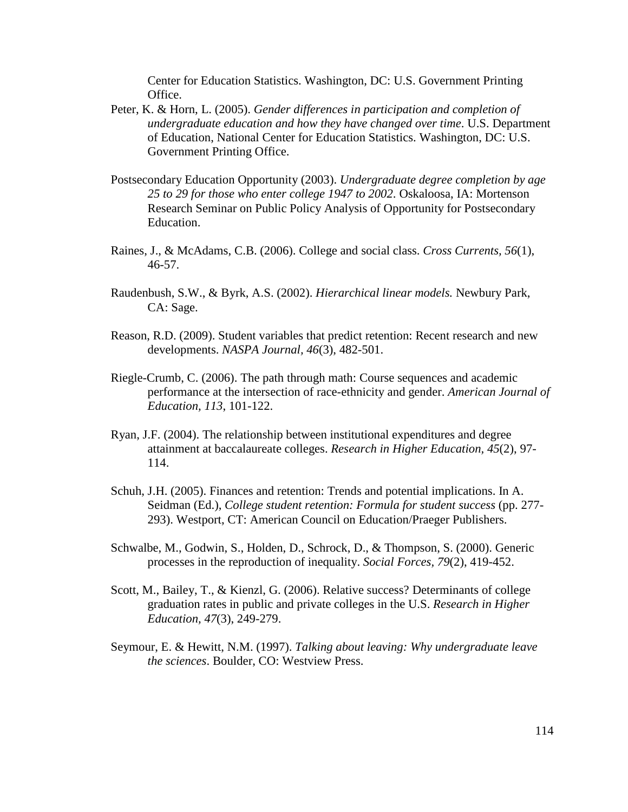Center for Education Statistics. Washington, DC: U.S. Government Printing Office.

- Peter, K. & Horn, L. (2005). *Gender differences in participation and completion of undergraduate education and how they have changed over time*. U.S. Department of Education, National Center for Education Statistics. Washington, DC: U.S. Government Printing Office.
- Postsecondary Education Opportunity (2003). *Undergraduate degree completion by age 25 to 29 for those who enter college 1947 to 2002*. Oskaloosa, IA: Mortenson Research Seminar on Public Policy Analysis of Opportunity for Postsecondary Education.
- Raines, J., & McAdams, C.B. (2006). College and social class. *Cross Currents, 56*(1), 46-57.
- Raudenbush, S.W., & Byrk, A.S. (2002). *Hierarchical linear models.* Newbury Park, CA: Sage.
- Reason, R.D. (2009). Student variables that predict retention: Recent research and new developments. *NASPA Journal, 46*(3), 482-501.
- Riegle-Crumb, C. (2006). The path through math: Course sequences and academic performance at the intersection of race-ethnicity and gender. *American Journal of Education, 113*, 101-122.
- Ryan, J.F. (2004). The relationship between institutional expenditures and degree attainment at baccalaureate colleges. *Research in Higher Education, 45*(2), 97- 114.
- Schuh, J.H. (2005). Finances and retention: Trends and potential implications. In A. Seidman (Ed.), *College student retention: Formula for student success* (pp. 277- 293). Westport, CT: American Council on Education/Praeger Publishers.
- Schwalbe, M., Godwin, S., Holden, D., Schrock, D., & Thompson, S. (2000). Generic processes in the reproduction of inequality. *Social Forces, 79*(2), 419-452.
- Scott, M., Bailey, T., & Kienzl, G. (2006). Relative success? Determinants of college graduation rates in public and private colleges in the U.S. *Research in Higher Education, 47*(3), 249-279.
- Seymour, E. & Hewitt, N.M. (1997). *Talking about leaving: Why undergraduate leave the sciences*. Boulder, CO: Westview Press.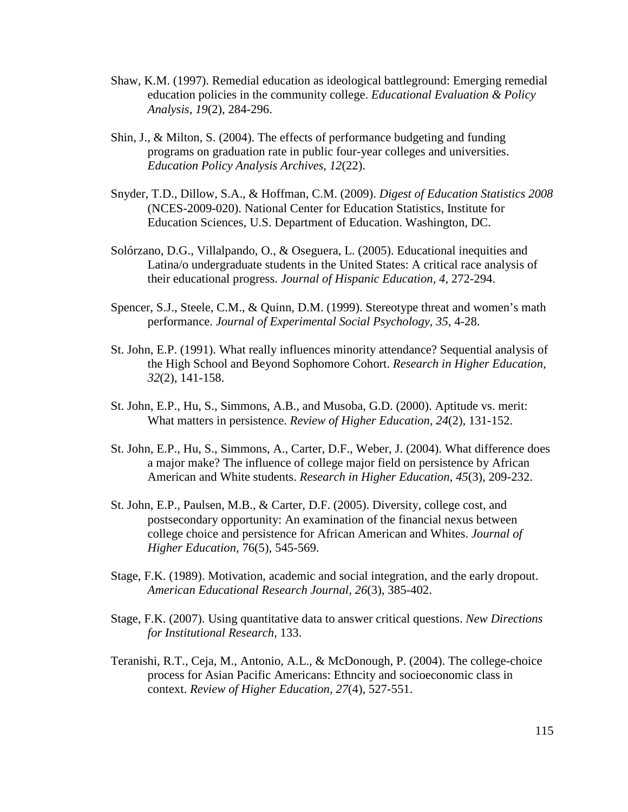- Shaw, K.M. (1997). Remedial education as ideological battleground: Emerging remedial education policies in the community college. *Educational Evaluation & Policy Analysis, 19*(2), 284-296.
- Shin, J., & Milton, S. (2004). The effects of performance budgeting and funding programs on graduation rate in public four-year colleges and universities. *Education Policy Analysis Archives, 12*(22).
- Snyder, T.D., Dillow, S.A., & Hoffman, C.M. (2009). *Digest of Education Statistics 2008*  (NCES-2009-020). National Center for Education Statistics, Institute for Education Sciences, U.S. Department of Education. Washington, DC.
- Solórzano, D.G., Villalpando, O., & Oseguera, L. (2005). Educational inequities and Latina/o undergraduate students in the United States: A critical race analysis of their educational progress. *Journal of Hispanic Education, 4*, 272-294.
- Spencer, S.J., Steele, C.M., & Quinn, D.M. (1999). Stereotype threat and women's math performance. *Journal of Experimental Social Psychology, 35*, 4-28.
- St. John, E.P. (1991). What really influences minority attendance? Sequential analysis of the High School and Beyond Sophomore Cohort. *Research in Higher Education, 32*(2), 141-158.
- St. John, E.P., Hu, S., Simmons, A.B., and Musoba, G.D. (2000). Aptitude vs. merit: What matters in persistence. *Review of Higher Education, 24*(2), 131-152.
- St. John, E.P., Hu, S., Simmons, A., Carter, D.F., Weber, J. (2004). What difference does a major make? The influence of college major field on persistence by African American and White students. *Research in Higher Education, 45*(3), 209-232.
- St. John, E.P., Paulsen, M.B., & Carter, D.F. (2005). Diversity, college cost, and postsecondary opportunity: An examination of the financial nexus between college choice and persistence for African American and Whites. *Journal of Higher Education,* 76(5), 545-569.
- Stage, F.K. (1989). Motivation, academic and social integration, and the early dropout. *American Educational Research Journal, 26*(3), 385-402.
- Stage, F.K. (2007). Using quantitative data to answer critical questions. *New Directions for Institutional Research*, 133.
- Teranishi, R.T., Ceja, M., Antonio, A.L., & McDonough, P. (2004). The college-choice process for Asian Pacific Americans: Ethncity and socioeconomic class in context. *Review of Higher Education, 27*(4), 527-551.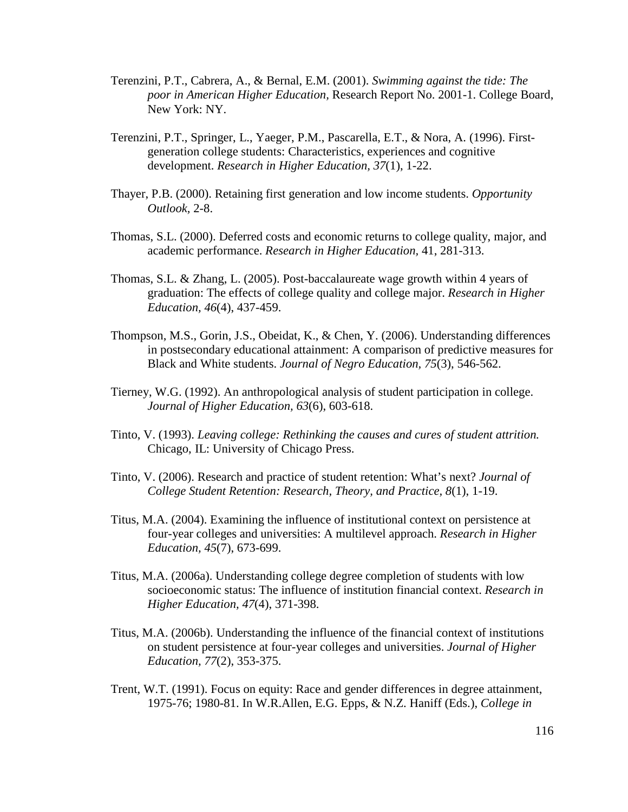- Terenzini, P.T., Cabrera, A., & Bernal, E.M. (2001). *Swimming against the tide: The poor in American Higher Education,* Research Report No. 2001-1. College Board, New York: NY.
- Terenzini, P.T., Springer, L., Yaeger, P.M., Pascarella, E.T., & Nora, A. (1996). Firstgeneration college students: Characteristics, experiences and cognitive development. *Research in Higher Education, 37*(1), 1-22.
- Thayer, P.B. (2000). Retaining first generation and low income students. *Opportunity Outlook,* 2-8.
- Thomas, S.L. (2000). Deferred costs and economic returns to college quality, major, and academic performance. *Research in Higher Education,* 41, 281-313.
- Thomas, S.L. & Zhang, L. (2005). Post-baccalaureate wage growth within 4 years of graduation: The effects of college quality and college major. *Research in Higher Education, 46*(4), 437-459.
- Thompson, M.S., Gorin, J.S., Obeidat, K., & Chen, Y. (2006). Understanding differences in postsecondary educational attainment: A comparison of predictive measures for Black and White students. *Journal of Negro Education, 75*(3), 546-562.
- Tierney, W.G. (1992). An anthropological analysis of student participation in college. *Journal of Higher Education, 63*(6), 603-618.
- Tinto, V. (1993). *Leaving college: Rethinking the causes and cures of student attrition.*  Chicago, IL: University of Chicago Press.
- Tinto, V. (2006). Research and practice of student retention: What's next? *Journal of College Student Retention: Research, Theory, and Practice, 8*(1), 1-19.
- Titus, M.A. (2004). Examining the influence of institutional context on persistence at four-year colleges and universities: A multilevel approach. *Research in Higher Education, 45*(7), 673-699.
- Titus, M.A. (2006a). Understanding college degree completion of students with low socioeconomic status: The influence of institution financial context. *Research in Higher Education, 47*(4), 371-398.
- Titus, M.A. (2006b). Understanding the influence of the financial context of institutions on student persistence at four-year colleges and universities. *Journal of Higher Education, 77*(2), 353-375.
- Trent, W.T. (1991). Focus on equity: Race and gender differences in degree attainment, 1975-76; 1980-81. In W.R.Allen, E.G. Epps, & N.Z. Haniff (Eds.), *College in*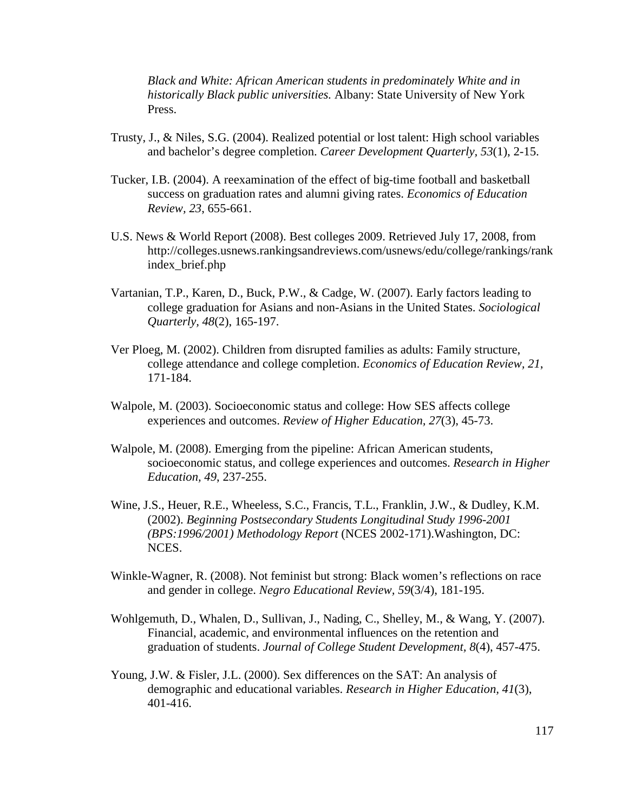*Black and White: African American students in predominately White and in historically Black public universities.* Albany: State University of New York Press.

- Trusty, J., & Niles, S.G. (2004). Realized potential or lost talent: High school variables and bachelor's degree completion. *Career Development Quarterly, 53*(1), 2-15.
- Tucker, I.B. (2004). A reexamination of the effect of big-time football and basketball success on graduation rates and alumni giving rates. *Economics of Education Review, 23*, 655-661.
- U.S. News & World Report (2008). Best colleges 2009. Retrieved July 17, 2008, from http://colleges.usnews.rankingsandreviews.com/usnews/edu/college/rankings/rank index\_brief.php
- Vartanian, T.P., Karen, D., Buck, P.W., & Cadge, W. (2007). Early factors leading to college graduation for Asians and non-Asians in the United States. *Sociological Quarterly, 48*(2), 165-197.
- Ver Ploeg, M. (2002). Children from disrupted families as adults: Family structure, college attendance and college completion. *Economics of Education Review, 21*, 171-184.
- Walpole, M. (2003). Socioeconomic status and college: How SES affects college experiences and outcomes. *Review of Higher Education, 27*(3), 45-73.
- Walpole, M. (2008). Emerging from the pipeline: African American students, socioeconomic status, and college experiences and outcomes. *Research in Higher Education, 49*, 237-255.
- Wine, J.S., Heuer, R.E., Wheeless, S.C., Francis, T.L., Franklin, J.W., & Dudley, K.M. (2002). *Beginning Postsecondary Students Longitudinal Study 1996-2001 (BPS:1996/2001) Methodology Report* (NCES 2002-171).Washington, DC: NCES.
- Winkle-Wagner, R. (2008). Not feminist but strong: Black women's reflections on race and gender in college. *Negro Educational Review, 59*(3/4), 181-195.
- Wohlgemuth, D., Whalen, D., Sullivan, J., Nading, C., Shelley, M., & Wang, Y. (2007). Financial, academic, and environmental influences on the retention and graduation of students. *Journal of College Student Development, 8*(4), 457-475.
- Young, J.W. & Fisler, J.L. (2000). Sex differences on the SAT: An analysis of demographic and educational variables. *Research in Higher Education, 41*(3), 401-416.